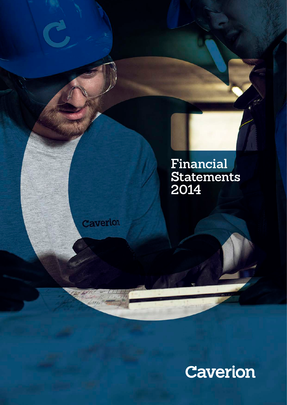

Caverion

Caverion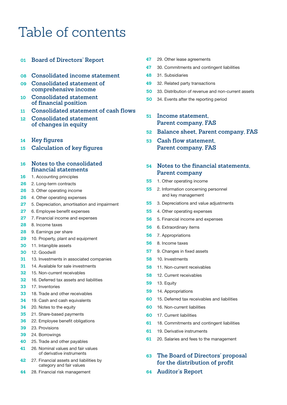# Table of contents

## **[Board of Directors' Report](#page-2-0)**

- **[Consolidated income statement](#page-9-0)**
- **[Consolidated statement of](#page-10-0)  [comprehensive income](#page-10-0)**
- **[Consolidated statement](#page-11-0)  [of financial position](#page-11-0)**
- **[Consolidated statement of cash flows](#page-12-0)**
- **[Consolidated statement](#page-13-0)  [of changes in equity](#page-13-0)**
- **[Key figures](#page-15-0)**
- **[Calculation of key figures](#page-16-0)**

## **[Notes to the consolidated](#page-17-0)  [financial statements](#page-17-0)**

- [1. Accounting principles](#page-17-0)
- [2. Long-term contracts](#page-27-0)
- [3. Other operating income](#page-27-0)
- [4. Other operating expenses](#page-27-0)
- [5. Depreciation, amortisation and impairment](#page-28-0)
- [6. Employee benefit expenses](#page-28-0)
- [7. Financial income and expenses](#page-28-0)
- [8. Income taxes](#page-29-0)
- [9. Earnings per share](#page-29-0)
- [10. Property, plant and equipment](#page-30-0)
- [11. Intangible assets](#page-31-0)
- [12. Goodwill](#page-31-0)
- [13. Investments in associated companies](#page-32-0)
- [14. Available for sale investments](#page-32-0)
- [15. Non-current receivables](#page-33-0)
- [16. Deferred tax assets and liabilities](#page-33-0)
- [17. Inventories](#page-34-0)
- [18. Trade and other receivables](#page-34-0)
- [19. Cash and cash equivalents](#page-35-0)
- [20. Notes to the equity](#page-35-0)
- [21. Share-based payments](#page-36-0)
- [22. Employee benefit obligations](#page-37-0)
- [23. Provisions](#page-40-0)
- [24. Borrowings](#page-40-0)
- [25. Trade and other payables](#page-41-0)
- [26. Nominal values and fair values](#page-42-0)  [of derivative instruments](#page-42-0)
- [27. Financial assets and liabilities by](#page-43-0)  [category and fair values](#page-43-0)
- [28. Financial risk management](#page-45-0)
- [29. Other lease agreements](#page-48-0)
- [30. Commitments and contingent liabilities](#page-48-0)
- [31. Subsidiaries](#page-49-0)
- [32. Related party transactions](#page-50-0)
- [33. Distribution of revenue and non-current assets](#page-51-0)
- [34. Events after the reporting period](#page-51-0)
- **[Income statement,](#page-52-0)  [Parent company, FAS](#page-52-0)**
- **[Balance sheet, Parent company, FAS](#page-53-0)**
- **[Cash flow statement,](#page-54-0)  [Parent company, FAS](#page-54-0)**

## **[Notes to the financial statements,](#page-55-0)  [Parent company](#page-55-0)**

- [1. Other operating income](#page-56-0)
- [2. Information concerning personnel](#page-56-0)  [and key management](#page-56-0)
- [3. Depreciations and value adjustments](#page-56-0)
- [4. Other operating expenses](#page-56-0)
- [5. Financial income and expenses](#page-57-0)
- [6. Extraordinary items](#page-57-0)
- [7. Appropriations](#page-57-0)
- [8. Income taxes](#page-57-0)
- [9. Changes in fixed assets](#page-58-0)
- [10. Investments](#page-59-0)
- [11. Non-current receivables](#page-59-0)
- [12. Current receivables](#page-59-0)
- [13. Equity](#page-60-0)
- [14. Appropriations](#page-60-0)
- [15. Deferred tax receivables and liabilities](#page-61-0)
- [16. Non-current liabilities](#page-61-0)
- [17. Current liabilities](#page-61-0)
- [18. Commitments and contingent liabilities](#page-62-0)
- [19. Derivative instruments](#page-62-0)
- [20. Salaries and fees to the management](#page-62-0)
- **[The Board of Directors' proposal](#page-64-0)  [for the distribution of profit](#page-64-0)**
- **[Auditor's Report](#page-65-0)**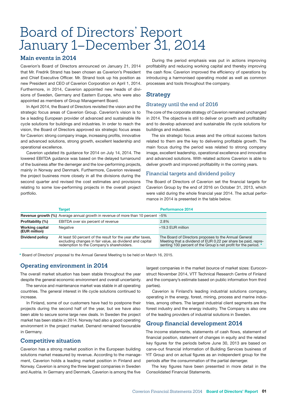# <span id="page-2-0"></span>Board of Directors' Report January 1–December 31, 2014

## **Main events in 2014**

Caverion's Board of Directors announced on January 21, 2014 that Mr. Fredrik Strand has been chosen as Caverion's President and Chief Executive Officer. Mr. Strand took up his position as new President and CEO of Caverion Corporation on April 1, 2014. Furthermore, in 2014, Caverion appointed new heads of divisions of Sweden, Germany and Eastern Europe, who were also appointed as members of Group Management Board.

In April 2014, the Board of Directors revisited the vision and the strategic focus areas of Caverion Group. Caverion's vision is to be a leading European provider of advanced and sustainable life cycle solutions for buildings and industries. In order to reach the vision, the Board of Directors approved six strategic focus areas for Caverion: strong company image, increasing profits, innovative and advanced solutions, strong growth, excellent leadership and operational excellence.

Caverion updated its guidance for 2014 on July 14, 2014. The lowered EBITDA guidance was based on the delayed turnaround of the business after the demerger and the low-performing projects, mainly in Norway and Denmark. Furthermore, Caverion reviewed the project business more closely in all the divisions during the second quarter and revised the cost estimates and provisions relating to some low-performing projects in the overall project portfolio.

During the period emphasis was put in actions improving profitability and reducing working capital and thereby improving the cash flow. Caverion improved the efficiency of operations by introducing a harmonised operating model as well as common processes and tools throughout the company.

## **Strategy**

## Strategy until the end of 2016

The core of the corporate strategy of Caverion remained unchanged in 2014. The objective is still to deliver on growth and profitability and to develop advanced and sustainable life cycle solutions for buildings and industries.

The six strategic focus areas and the critical success factors related to them are the key to delivering profitable growth. The main focus during the period was related to strong company image, excellent leadership, operational excellence and innovative and advanced solutions. With related actions Caverion is able to deliver growth and improved profitability in the coming years.

## Financial targets and dividend policy

The Board of Directors of Caverion set the financial targets for Caverion Group by the end of 2016 on October 31, 2013, which were valid during the whole financial year 2014. The actual performance in 2014 is presented in the table below.

|                                         | <b>Target</b>                                                                                                                                                        | <b>Performance 2014</b>                                                                                                                                                                   |
|-----------------------------------------|----------------------------------------------------------------------------------------------------------------------------------------------------------------------|-------------------------------------------------------------------------------------------------------------------------------------------------------------------------------------------|
|                                         | <b>Revenue growth (%)</b> Average annual growth in revenue of more than 10 percent -5%                                                                               |                                                                                                                                                                                           |
| Profitability (%)                       | EBITDA over six percent of revenue                                                                                                                                   | 2.8%                                                                                                                                                                                      |
| <b>Working capital</b><br>(EUR million) | Negative                                                                                                                                                             | $-19.3$ EUR million                                                                                                                                                                       |
| <b>Dividend policy</b>                  | At least 50 percent of the result for the year after taxes,<br>excluding changes in fair value, as dividend and capital<br>redemption to the Company's shareholders. | The Board of Directors proposes to the Annual General<br>Meeting that a dividend of EUR 0.22 per share be paid, repre-<br>senting 100 percent of the Group's net profit for the period. * |

\* Board of Directors' proposal to the Annual General Meeting to be held on March 16, 2015.

## **Operating environment in 2014**

The overall market situation has been stable throughout the year despite the general economic environment and overall uncertainty.

The service and maintenance market was stable in all operating countries. The general interest in life cycle solutions continued to increase.

In Finland, some of our customers have had to postpone their projects during the second half of the year, but we have also been able to secure some large new deals. In Sweden the project market has been stable in 2014. Norway had also a good operating environment in the project market. Demand remained favourable in Germany.

## **Competitive situation**

Caverion has a strong market position in the European building solutions market measured by revenue. According to the management, Caverion holds a leading market position in Finland and Norway. Caverion is among the three largest companies in Sweden and Austria. In Germany and Denmark, Caverion is among the five

largest companies in the market (source of market sizes: Euroconstruct November 2014, VTT Technical Research Centre of Finland and the company's estimate based on public information from third parties).

Caverion is Finland's leading industrial solutions company, operating in the energy, forest, mining, process and marine industries, among others. The largest industrial client segments are the forest industry and the energy industry. The Company is also one of the leading providers of industrial solutions in Sweden.

## **Group financial development 2014**

The income statements, statements of cash flows, statement of financial position, statement of changes in equity and the related key figures for the periods before June 30, 2013 are based on carve-out financial information of Building Services business of YIT Group and on actual figures as an independent group for the periods after the consummation of the partial demerger.

The key figures have been presented in more detail in the Consolidated Financial Statements.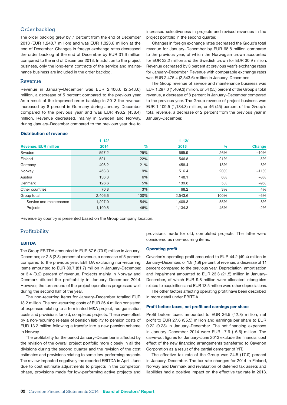### Order backlog

The order backlog grew by 7 percent from the end of December 2013 (EUR 1,240.7 million) and was EUR 1,323.6 million at the end of December. Changes in foreign exchange rates decreased the order backlog at the end of December by EUR 31.6 million compared to the end of December 2013. In addition to the project business, only the long-term contracts of the service and maintenance business are included in the order backlog.

### Revenue

Revenue in January–December was EUR 2,406.6 (2,543.6) million, a decrease of 5 percent compared to the previous year. As a result of the improved order backlog in 2013 the revenue increased by 8 percent in Germany during January–December compared to the previous year and was EUR 496.2 (458.4) million. Revenue decreased, mainly in Sweden and Norway, during January–December compared to the previous year due to

increased selectiveness in projects and revised revenues in the project portfolio in the second quarter.

Changes in foreign exchange rates decreased the Group's total revenue for January–December by EUR 68.8 million compared to the previous year, of which the Norwegian crown accounted for EUR 32.2 million and the Swedish crown for EUR 30.9 million. Revenue decreased by 3 percent at previous year's exchange rates for January–December. Revenue with comparable exchange rates was EUR 2,475.4 (2,543.6) million in January–December.

The Group revenue of service and maintenance business was EUR 1,297.0 (1,409.3) million, or 54 (55) percent of the Group's total revenue, a decrease of 8 percent in January–December compared to the previous year. The Group revenue of project business was EUR 1,109.5 (1,134.3) million, or 46 (45) percent of the Group's total revenue, a decrease of 2 percent from the previous year in January–December.

#### Distribution of revenue

|                             | $1 - 12/$ |               | $1 - 12/$ |      |               |
|-----------------------------|-----------|---------------|-----------|------|---------------|
| <b>Revenue, EUR million</b> | 2014      | $\frac{9}{6}$ | 2013      | $\%$ | <b>Change</b> |
| Sweden                      | 597.2     | 25%           | 665.9     | 26%  | $-10%$        |
| Finland                     | 521.1     | 22%           | 546.8     | 21%  | $-5%$         |
| Germany                     | 496.2     | 21%           | 458.4     | 18%  | 8%            |
| Norway                      | 458.3     | 19%           | 516.4     | 20%  | $-11%$        |
| Austria                     | 136.3     | 6%            | 148.1     | 6%   | $-8%$         |
| Denmark                     | 126.6     | 5%            | 139.8     | 5%   | $-9%$         |
| Other countries             | 70.8      | 3%            | 68.2      | 3%   | 4%            |
| Group total                 | 2,406.6   | 100%          | 2,543.6   | 100% | $-5%$         |
| - Service and maintenance   | 1,297.0   | 54%           | 1,409.3   | 55%  | $-8%$         |
| - Projects                  | 1,109.5   | 46%           | 1.134.3   | 45%  | $-2%$         |

Revenue by country is presented based on the Group company location.

### Profitability

#### EBITDA

The Group EBITDA amounted to EUR 67.5 (70.9) million in January– December, or 2.8 (2.8) percent of revenue, a decrease of 5 percent compared to the previous year. EBITDA excluding non-recurring items amounted to EUR 80.7 (81.7) million in January–December, or 3.4 (3.2) percent of revenue. Projects mainly in Norway and Denmark diluted the profitability in January−December 2014. However, the turnaround of the project operations progressed well during the second half of the year.

The non-recurring items for January–December totalled EUR 13.2 million. The non-recurring costs of EUR 26.4 million consisted of expenses relating to a terminated M&A project, reorganisation costs and provisions for old, completed projects. These were offset by a non-recurring release of pension liability to pension costs of EUR 13.2 million following a transfer into a new pension scheme in Norway.

The profitability for the period January–December is affected by the revision of the overall project portfolio more closely in all the divisions during the second quarter and the revision of the cost estimates and provisions relating to some low-performing projects. The review impacted negatively the reported EBITDA in April–June due to cost estimate adjustments to projects in the completion phase, provisions made for low-performing active projects and

provisions made for old, completed projects. The latter were considered as non-recurring items.

#### Operating profit

Caverion's operating profit amounted to EUR 44.2 (49.4) million in January–December, or 1.8 (1.9) percent of revenue, a decrease of 11 percent compared to the previous year. Depreciation, amortisation and impairment amounted to EUR 23.3 (21.5) million in January– December, of which EUR 9.8 million were allocated intangibles related to acquisitions and EUR 13.5 million were other depreciations.

The other factors affecting operating profit have been described in more detail under EBITDA.

#### Profit before taxes, net profit and earnings per share

Profit before taxes amounted to EUR 36.5 (42.8) million, net profit to EUR 27.6 (35.5) million and earnings per share to EUR 0.22 (0.28) in January–December. The net financing expenses in January–December 2014 were EUR –7.6 (–6.6) million. The carve-out figures for January–June 2013 exclude the financial cost effect of the new financing arrangements transferred to Caverion Corporation as a result of the partial demerger of YIT.

The effective tax rate of the Group was 24.5 (17.0) percent in January–December. The tax rate changes for 2014 in Finland, Norway and Denmark and revaluation of deferred tax assets and liabilities had a positive impact on the effective tax rate in 2013.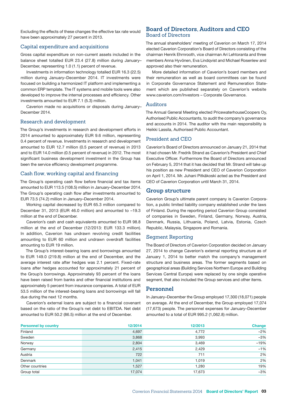Excluding the effects of these changes the effective tax rate would have been approximately 27 percent in 2013.

### Capital expenditure and acquisitions

Gross capital expenditure on non-current assets included in the balance sheet totalled EUR 23.4 (27.8) million during January– December, representing 1.0 (1.1) percent of revenue.

Investments in information technology totalled EUR 16.3 (22.5) million during January–December 2014. IT investments were focused on building a harmonized IT platform and implementing a common ERP template. The IT systems and mobile tools were also developed to improve the internal processes and efficiency. Other investments amounted to EUR 7.1 (5.3) million.

Caverion made no acquisitions or disposals during January– December 2014.

### Research and development

The Group's investments in research and development efforts in 2014 amounted to approximately EUR 9.6 million, representing 0.4 percent of revenue. Investments in research and development amounted to EUR 12.7 million (0.5 percent of revenue) in 2013 and to EUR 14.0 million (0.5 percent of revenue) in 2012. The most significant business development investment in the Group has been the service efficiency development programme.

### Cash flow, working capital and financing

The Group's operating cash flow before financial and tax items amounted to EUR 113.5 (108.5) million in January–December 2014. The Group's operating cash flow after investments amounted to EUR 73.5 (74.2) million in January–December 2014.

Working capital decreased by EUR 65.3 million compared to December 31, 2013 (EUR 46.0 million) and amounted to –19.3 million at the end of December.

Caverion's cash and cash equivalents amounted to EUR 98.8 million at the end of December (12/2013: EUR 133.3 million). In addition, Caverion has undrawn revolving credit facilities amounting to EUR 60 million and undrawn overdraft facilities amounting to EUR 19 million.

The Group's interest-bearing loans and borrowings amounted to EUR 149.0 (219.8) million at the end of December, and the average interest rate after hedges was 2.1 percent. Fixed-rate loans after hedges accounted for approximately 21 percent of the Group's borrowings. Approximately 93 percent of the loans have been raised from banks and other financial institutions and approximately 5 percent from insurance companies. A total of EUR 53.5 million of the interest-bearing loans and borrowings will fall due during the next 12 months.

Caverion's external loans are subject to a financial covenant based on the ratio of the Group's net debt to EBITDA. Net debt amounted to EUR 50.2 (86.5) million at the end of December.

## **Board of Directors, Auditors and CEO** Board of Directors

The annual shareholders' meeting of Caverion on March 17, 2014 elected Caverion Corporation's Board of Directors consisting of the chairman Henrik Ehrnrooth, vice chairman Ari Lehtoranta and three members Anna Hyvönen, Eva Lindqvist and Michael Rosenlew and approved also their remuneration.

More detailed information of Caverion's board members and their remuneration as well as board committees can be found in Corporate Governance Statement and Remuneration Statement which are published separately on Caverion's website www.caverion.com/Investors – Corporate Governance.

### Auditors

The Annual General Meeting elected PricewaterhouseCoopers Oy, Authorised Public Accountants, to audit the company's governance and accounts in 2014. The auditor with the main responsibility is Heikki Lassila, Authorised Public Accountant.

### President and CEO

Caverion's Board of Directors announced on January 21, 2014 that it had chosen Mr. Fredrik Strand as Caverion's President and Chief Executive Officer. Furthermore the Board of Directors announced on February 5, 2014 that it has decided that Mr. Strand will take up his position as new President and CEO of Caverion Corporation on April 1, 2014. Mr. Juhani Pitkäkoski acted as the President and CEO of Caverion Corporation until March 31, 2014.

### **Group structure**

Caverion Group's ultimate parent company is Caverion Corporation, a public limited liability company established under the laws of Finland. During the reporting period Caverion Group consisted of companies in Sweden, Finland, Germany, Norway, Austria, Denmark, Russia, Lithuania, Poland, Latvia, Estonia, Czech Republic, Malaysia, Singapore and Romania.

### Segment Reporting

The Board of Directors of Caverion Corporation decided on January 27, 2014 to change Caverion's external reporting structure as of January 1, 2014 to better match the company's management structure and business areas. The former segments based on geographical areas (Building Services Northern Europe and Building Services Central Europe) were replaced by one single operative segment, that also included the Group services and other items.

### **Personnel**

In January–December the Group employed 17,300 (18,071) people on average. At the end of December, the Group employed 17,074 (17,673) people. The personnel expenses for January–December amounted to a total of EUR 995.2 (1,062.8) million.

| <b>Personnel by country</b> | 12/2014 | 12/2013 | <b>Change</b> |
|-----------------------------|---------|---------|---------------|
| Finland                     | 4,697   | 4,772   | $-2%$         |
| Sweden                      | 3,868   | 3,993   | $-3%$         |
| Norway                      | 2,804   | 3.469   | $-19%$        |
| Germany                     | 2,415   | 2,429   | $-1%$         |
| Austria                     | 722     | 711     | 2%            |
| Denmark                     | 1,041   | 1,019   | 2%            |
| Other countries             | 1,527   | 1,280   | 19%           |
| Group total                 | 17.074  | 17,673  | $-3%$         |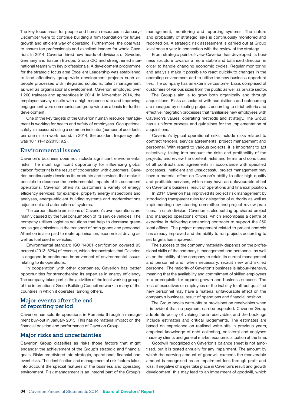The key focus areas for people and human resources in January– December were to continue building a firm foundation for future growth and efficient way of operating. Furthermore, the goal was to ensure top professionals and excellent leaders for whole Caverion. In 2014, Caverion hired new heads of divisions of Sweden, Germany and Eastern Europe, Group CIO and strengthened international teams with key professionals. A development programme for the strategic focus area Excellent Leadership was established to lead effectively group-wide development projects such as people processes with integrated solutions, talent management as well as organisational development. Caverion employed over 1,200 trainees and apprentices in 2014. In November 2014, the employee survey results with a high response rate and improving engagement were communicated group wide as a basis for further development.

One of the key targets of the Caverion human resource management is working for health and safety of employees. Occupational safety is measured using a common indicator (number of accidents per one million work hours). In 2014, the accident frequency rate was 10.1 (1–12/2013: 9.2).

### **Environmental issues**

Caverion's business does not include significant environmental risks. The most significant opportunity for influencing global carbon footprint is the result of cooperation with customers. Caverion continuously develops its products and services that make it possible to decrease the environmental impacts of its customers' operations. Caverion offers its customers a variety of energy efficiency services: for example, property energy inspections and analyses, energy-efficient building systems and modernisations adjustment and automation of systems.

The carbon dioxide emissions of Caverion's own operations are mainly caused by the fuel consumption of its service vehicles. The company utilises logistics solutions that help to decrease greenhouse gas emissions in the transport of both goods and personnel. Attention is also paid to route optimisation, economical driving as well as fuel used in vehicles.

Environmental standard ISO 14001 certification covered 93 percent (2013: 82%) of revenue, which demonstrates that Caverion is engaged in continuous improvement of environmental issues relating to its operations.

In cooperation with other companies, Caverion has better opportunities for strengthening its expertise in energy efficiency. The company takes part in the activities of the local working groups of the international Green Building Council network in many of the countries in which it operates, among others.

### **Major events after the end of reporting period**

Caverion has sold its operations in Romania through a management buy-out in January 2015. This has no material impact on the financial position and performance of Caverion Group.

### **Major risks and uncertainties**

Caverion Group classifies as risks those factors that might endanger the achievement of the Group's strategic and financial goals. Risks are divided into strategic, operational, financial and event risks. The identification and management of risk factors takes into account the special features of the business and operating environment. Risk management is an integral part of the Group's

management, monitoring and reporting systems. The nature and probability of strategic risks is continuously monitored and reported on. A strategic risk assessment is carried out at Group level once a year in connection with the review of the strategy.

From strategic point-of-view Caverion has developed its business structure towards a more stable and balanced direction in order to handle changing economic cycles. Regular monitoring and analysis make it possible to react quickly to changes in the operating environment and to utilise the new business opportunities. The company has an extensive customer base, comprised of customers of various sizes from the public as well as private sector.

The Group's aim is to grow both organically and through acquisitions. Risks associated with acquisitions and outsourcing are managed by selecting projects according to strict criteria and effective integration processes that familiarise new employees with Caverion's values, operating methods and strategy. The Group has a uniform process and guidelines for the implementation of acquisitions.

Caverion's typical operational risks include risks related to contract tenders, service agreements, project management and personnel. With regard to various projects, it is important to act selectively, taking into account the risks and profitability of the projects, and review the content, risks and terms and conditions of all contracts and agreements in accordance with specified processes. Inefficient and unsuccessful project management may have a material effect on Caverion's ability to offer high-quality and profitable services, which may have an unfavourable effect on Caverion's business, result of operations and financial position.

In 2014 Caverion has improved its project risk management by introducing transparent rules for delegation of authority as well as implementing new steering committee and project review practices. In each division, Caverion is also setting up shared project and managed operations offices, which encompass a centre of expertise in delivering demanding contracts to support the 250 local offices. The project management related to project controls has already improved and the ability to run projects according to set targets has improved.

The success of the company materially depends on the professional skills of the company's management and personnel, as well as on the ability of the company to retain its current management and personnel and, when necessary, recruit new and skilled personnel. The majority of Caverion's business is labour-intensive, meaning that the availability and commitment of skilled employees is a prerequisite for organic growth and business success. The loss of executives or employees or the inability to attract qualified new personnel may have a material unfavourable effect on the company's business, result of operations and financial position.

The Group books write-offs or provisions on receivables when it is evident that no payment can be expected. Caverion Group adopts its policy of valuing trade receivables and the bookings include estimates and critical judgements. The estimates are based on experience on realised write-offs in previous years, empirical knowledge of debt collecting, collateral and analyses made by clients and general market economic situation at the time.

Goodwill recognized on Caverion's balance sheet is not amortised, but it is tested annually for any impairment. The amount by which the carrying amount of goodwill exceeds the recoverable amount is recognised as an impairment loss through profit and loss. If negative changes take place in Caverion's result and growth development, this may lead to an impairment of goodwill, which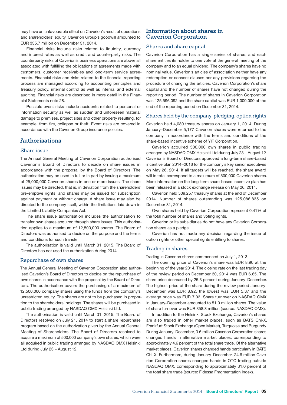may have an unfavourable effect on Caverion's result of operations and shareholders' equity. Caverion Group's goodwill amounted to EUR 335.7 million on December 31, 2014.

Financial risks include risks related to liquidity, currency and interest rates as well as credit and counterparty risks. The counterparty risks of Caverion's business operations are above all associated with fulfilling the obligations of agreements made with customers, customer receivables and long-term service agreements. Financial risks and risks related to the financial reporting process are managed according to accounting principles and Treasury policy, internal control as well as internal and external auditing. Financial risks are described in more detail in the Financial Statements note 28.

Possible event risks include accidents related to personal or information security as well as sudden and unforeseen material damage to premises, project sites and other property resulting, for example, from fire, collapse or theft. Event risks are covered in accordance with the Caverion Group insurance policies.

### **Authorisations**

#### Share issue

The Annual General Meeting of Caverion Corporation authorised Caverion's Board of Directors to decide on share issues in accordance with the proposal by the Board of Directors. The authorisation may be used in full or in part by issuing a maximum of 25,000,000 Caverion shares in one or more issues. The share issues may be directed, that is, in deviation from the shareholders' pre-emptive rights, and shares may be issued for subscription against payment or without charge. A share issue may also be directed to the company itself, within the limitations laid down in the Limited Liability Companies Act.

The share issue authorisation includes the authorisation to transfer own shares acquired through share issues. This authorisation applies to a maximum of 12,500,000 shares. The Board of Directors was authorised to decide on the purpose and the terms and conditions for such transfer.

The authorisation is valid until March 31, 2015. The Board of Directors has not used the authorization during 2014.

### Repurchase of own shares

The Annual General Meeting of Caverion Corporation also authorised Caverion's Board of Directors to decide on the repurchase of own shares in accordance with the proposal by the Board of Directors. The authorisation covers the purchasing of a maximum of 12,500,000 company shares using the funds from the company's unrestricted equity. The shares are not to be purchased in proportion to the shareholders' holdings. The shares will be purchased in public trading arranged by NASDAQ OMX Helsinki Ltd.

The authorisation is valid until March 31, 2015. The Board of Directors resolved on July 21, 2014 to start a share repurchase program based on the authorization given by the Annual General Meeting of Shareholders. The Board of Directors resolved to acquire a maximum of 500,000 company's own shares, which were all acquired in public trading arranged by NASDAQ OMX Helsinki Ltd during July 23 – August 12.

### **Information about shares in Caverion Corporation**

### Shares and share capital

Caverion Corporation has a single series of shares, and each share entitles its holder to one vote at the general meeting of the company and to an equal dividend. The company's shares have no nominal value. Caverion's articles of association neither have any redemption or consent clauses nor any provisions regarding the procedure of changing the articles. Caverion Corporation's share capital and the number of shares have not changed during the reporting period. The number of shares in Caverion Corporation was 125,596,092 and the share capital was EUR 1,000,000 at the end of the reporting period on December 31, 2014.

#### Shares held by the company, pledging, option rights

Caverion held 4,080 treasury shares on January 1, 2014. During January–December 5,177 Caverion shares were returned to the company in accordance with the terms and conditions of the share-based incentive scheme of YIT Corporation.

Caverion acquired 500,000 own shares in public trading arranged by NASDAQ OMX Helsinki Ltd during July 23 – August 12. Caverion's Board of Directors approved a long-term share-based incentive plan 2014−2016 for the company's key senior executives on May 26, 2014. If all targets will be reached, the share award will in total correspond to a maximum of 500,000 Caverion shares. More information on the long-term share-based incentive plan has been released in a stock exchange release on May 26, 2014.

Caverion held 509,257 treasury shares at the end of December 2014. Number of shares outstanding was 125,086,835 on December 31, 2014.

Own shares held by Caverion Corporation represent 0.41% of the total number of shares and voting rights.

Caverion or its subsidiaries do not have any Caverion Corporation shares as a pledge.

Caverion has not made any decision regarding the issue of option rights or other special rights entitling to shares.

#### Trading in shares

Trading in Caverion shares commenced on July 1, 2013.

The opening price of Caverion's share was EUR 8.90 at the beginning of the year 2014. The closing rate on the last trading day of the review period on December 30, 2014 was EUR 6.65. The share price decreased by 25.3 percent during January–December. The highest price of the share during the review period January– December was EUR 8.92, the lowest was EUR 5.37 and the average price was EUR 7.03. Share turnover on NASDAQ OMX in January–December amounted to 51.0 million shares. The value of share turnover was EUR 358.3 million (source: NASDAQ OMX).

In addition to the Helsinki Stock Exchange, Caverion's shares are also traded in other market places, such as BATS Chi-X, Frankfurt Stock Exchange (Open Market), Turquoise and Burgundy. During January–December, 3.6 million Caverion Corporation shares changed hands in alternative market places, corresponding to approximately 4.6 percent of the total share trade. Of the alternative market places, Caverion shares changed hands particularly in BATS Chi-X. Furthermore, during January–December, 24.6 million Caverion Corporation shares changed hands in OTC trading outside NASDAQ OMX, corresponding to approximately 31.0 percent of the total share trade (source: Fidessa Fragmentation Index).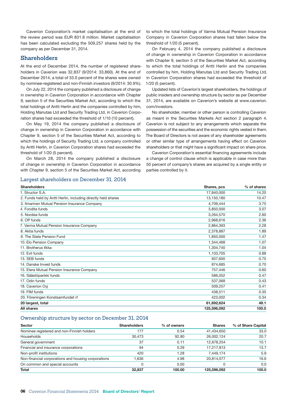Caverion Corporation's market capitalisation at the end of the review period was EUR 831.8 million. Market capitalisation has been calculated excluding the 509,257 shares held by the company as per December 31, 2014.

### **Shareholders**

At the end of December 2014, the number of registered shareholders in Caverion was 32,837 (9/2014: 33,860). At the end of December 2014, a total of 33.0 percent of the shares were owned by nominee-registered and non-Finnish investors (9/2014: 30.9%).

On July 22, 2014 the company published a disclosure of change in ownership in Caverion Corporation in accordance with Chapter 9, section 5 of the Securities Market Act, according to which the total holdings of Antti Herlin and the companies controlled by him, Holding Manutas Ltd and Security Trading Ltd, in Caverion Corporation shares had exceeded the threshold of 1/10 (10 percent).

On May 19, 2014 the company published a disclosure of change in ownership in Caverion Corporation in accordance with Chapter 9, section 5 of the Securities Market Act, according to which the holdings of Security Trading Ltd, a company controlled by Antti Herlin, in Caverion Corporation shares had exceeded the threshold of 1/20 (5 percent).

On March 28, 2014 the company published a disclosure of change in ownership in Caverion Corporation in accordance with Chapter 9, section 5 of the Securities Market Act, according

#### Largest shareholders on December 31, 2014

to which the total holdings of Varma Mutual Pension Insurance Company in Caverion Corporation shares had fallen below the threshold of 1/20 (5 percent).

On February 4, 2014 the company published a disclosure of change in ownership in Caverion Corporation in accordance with Chapter 9, section 5 of the Securities Market Act, according to which the total holdings of Antti Herlin and the companies controlled by him, Holding Manutas Ltd and Security Trading Ltd, in Caverion Corporation shares had exceeded the threshold of 1/20 (5 percent).

Updated lists of Caverion's largest shareholders, the holdings of public insiders and ownership structure by sector as per December 31, 2014, are available on Caverion's website at www.caverion. com/investors.

No shareholder, member or other person is controlling Caverion as meant in the Securities Markets Act section 2 paragraph 4. Caverion is not subject to any arrangements which separate the possession of the securities and the economic rights vested in them. The Board of Directors is not aware of any shareholder agreements or other similar type of arrangements having effect on Caverion shareholders or that might have a significant impact on share price.

Caverion Corporation's essential financing agreements include a change of control clause which is applicable in case more than 50 percent of company's shares are acquired by a single entity or parties controlled by it.

| <b>Shareholders</b>                                           | Shares, pcs | % of shares |
|---------------------------------------------------------------|-------------|-------------|
| 1. Structor S.A.                                              | 17,840,000  | 14.20       |
| 2. Funds held by Antti Herlin, including directly held shares | 13,150,180  | 10.47       |
| 3. Ilmarinen Mutual Pension Insurance Company                 | 4,709,444   | 3.75        |
| 4. Fondita funds                                              | 3,850,000   | 3.07        |
| 5. Nordea-funds                                               | 3,264,570   | 2.60        |
| 6. OP funds                                                   | 2,968,616   | 2.36        |
| 7. Varma Mutual Pension Insurance Company                     | 2,864,393   | 2.28        |
| 8. Aktia funds                                                | 2,378,887   | 1.89        |
| 9. The State Pension Fund                                     | 1,850,000   | 1.47        |
| 10. Elo Pension Company                                       | 1,344,468   | 1.07        |
| 11. Brotherus Ilkka                                           | 1,304,740   | 1.04        |
| 12. Evli funds                                                | 1,103,705   | 0.88        |
| 13. SEB funds                                                 | 937.600     | 0.75        |
| 14. Danske Invest funds                                       | 874,685     | 0.70        |
| 15. Etera Mutual Pension Insurance Company                    | 757,446     | 0.60        |
| 16. Säästöpankki funds                                        | 586,052     | 0.47        |
| 17. Odin funds                                                | 537,068     | 0.43        |
| 18. Caverion Oyj                                              | 509,257     | 0.41        |
| 19. FIM funds                                                 | 438,511     | 0.35        |
| 20. Föreningen Konstsamfundet rf                              | 423,002     | 0.34        |
| 20 largest, total                                             | 61,692,624  | 49.1        |
| All shares                                                    | 125,596,092 | 100.0       |
|                                                               |             |             |

### Ownership structure by sector on December 31, 2014

| <b>Sector</b>                                       | <b>Shareholders</b> | % of owners | <b>Shares</b> | % of Share Capital |
|-----------------------------------------------------|---------------------|-------------|---------------|--------------------|
| Nominee registered and non-Finnish holders          | 177                 | 0.54        | 41,434,650    | 33.0               |
| Households                                          | 30.473              | 92.80       | 26.002.124    | 20.7               |
| General government                                  | 37                  | 0.11        | 12,678,254    | 10.1               |
| Financial and insurance corporations                | 94                  | 0.29        | 17,217,813    | 13.7               |
| Non-profit institutions                             | 420                 | 1.28        | 7.449.174     | 5.9                |
| Non-financial corporations and housing corporations | 1.636               | 4.98        | 20,814,077    | 16.6               |
| On common and special accounts                      |                     | 0.00        |               | 0.0                |
| <b>Total</b>                                        | 32,837              | 100.00      | 125,596,092   | 100.0              |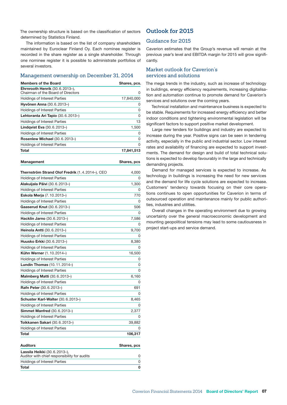The ownership structure is based on the classification of sectors determined by Statistics Finland.

The information is based on the list of company shareholders maintained by Euroclear Finland Oy. Each nominee register is recorded in the share register as a single shareholder. Through one nominee register it is possible to administrate portfolios of several investors.

#### Management ownership on December 31, 2014

| <b>Members of the Board</b>                                                 | Shares, pcs. |  |
|-----------------------------------------------------------------------------|--------------|--|
| <b>Ehrnrooth Henrik (30.6.2013-),</b><br>Chairman of the Board of Directors | 0            |  |
| <b>Holdings of Interest Parties</b>                                         | 17,840,000   |  |
| Hyvönen Anna (30.6.2013-)                                                   | 0            |  |
| Holdings of Interest Parties                                                | 0            |  |
| Lehtoranta Ari Tapio (30.6.2013-)                                           | O            |  |
| <b>Holdings of Interest Parties</b>                                         | 13           |  |
| <b>Lindgvist Eva</b> (30.6.2013-)                                           | 1,500        |  |
| Holdings of Interest Parties                                                | 0            |  |
| <b>Rosenlew Michael (30.6.2013-)</b>                                        | 0            |  |
| <b>Holdings of Interest Parties</b>                                         | 0            |  |
| Total                                                                       | 17.841.513   |  |

| <b>Management</b> | Shares, pcs |  |
|-------------------|-------------|--|
|                   |             |  |

| Thernström Strand Olof Fredrik (1.4.2014-), CEO | 4,000    |
|-------------------------------------------------|----------|
| <b>Holdings of Interest Parties</b>             | 0        |
| Alakuijala Päivi (30.6.2013-)                   | 1,300    |
| <b>Holdings of Interest Parties</b>             | 0        |
| Eskola Merja (7.10.2013-)                       | 770      |
| <b>Holdings of Interest Parties</b>             | 0        |
| Gaaserud Knut (30.6.2013-)                      | 506      |
| <b>Holdings of Interest Parties</b>             | O        |
| Hacklin Jarno (30.6.2013-)                      | 7,586    |
| Holdings of Interest Parties                    | 0        |
| Heinola Antti (30.6.2013-)                      | 9,700    |
| Holdings of Interest Parties                    | O        |
| Huusko Erkki (30.6.2013-)                       | 8,380    |
| <b>Holdings of Interest Parties</b>             | 0        |
| Kühn Werner (1.10.2014-)                        | 16,500   |
| Holdings of Interest Parties                    | 0        |
| Lundin Thomas (10.11.2014-)                     | $\Omega$ |
| Holdings of Interest Parties                    | 0        |
| <b>Malmberg Matti (30.6.2013-)</b>              | 6,160    |
| <b>Holdings of Interest Parties</b>             | 0        |
| Rafn Peter (30.6.2013-)                         | 691      |
| Holdings of Interest Parties                    | 0        |
| Schuster Karl-Walter (30.6.2013-)               | 8,465    |
| <b>Holdings of Interest Parties</b>             | O        |
| <b>Simmet Manfred (30.6.2013-)</b>              | 2,377    |
| <b>Holdings of Interest Parties</b>             | 0        |
| Toikkanen Sakari (30.6.2013-)                   | 39,882   |
| <b>Holdings of Interest Parties</b>             | O        |
| <b>Total</b>                                    | 106.317  |

### Auditors **Shares**, pcs Lassila Heikki (30.6.2013–), Auditor with chief responsibility for audits 0 Holdings of Interest Parties 0 Total 0

## **Outlook for 2015**

## Guidance for 2015

Caverion estimates that the Group's revenue will remain at the previous year's level and EBITDA margin for 2015 will grow significantly.

## Market outlook for Caverion's services and solutions

The mega trends in the industry, such as increase of technology in buildings, energy efficiency requirements, increasing digitalisation and automation continue to promote demand for Caverion's services and solutions over the coming years.

Technical installation and maintenance business is expected to be stable. Requirements for increased energy efficiency and better indoor conditions and tightening environmental legislation will be significant factors to support positive market development.

Large new tenders for buildings and industry are expected to increase during the year. Positive signs can be seen in tendering activity, especially in the public and industrial sector. Low interest rates and availability of financing are expected to support investments. The demand for design and build of total technical solutions is expected to develop favourably in the large and technically demanding projects.

Demand for managed services is expected to increase. As technology in buildings is increasing the need for new services and the demand for life cycle solutions are expected to increase. Customers' tendency towards focusing on their core operations continues to open opportunities for Caverion in terms of outsourced operation and maintenance mainly for public authorities, industries and utilities.

Overall changes in the operating environment due to growing uncertainty over the general macroeconomic development and mounting geopolitical tensions may lead to some cautiousness in project start-ups and service demand.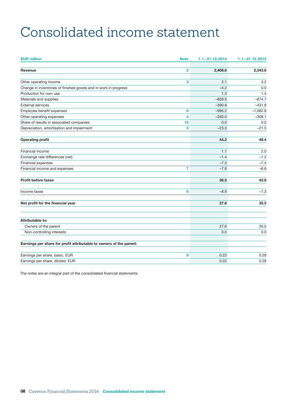# <span id="page-9-0"></span>Consolidated income statement

| <b>EUR million</b>                                                  | <b>Note</b>    | 1.1 . - 31.12.2014 | 1.1 .- 31.12.2013 |
|---------------------------------------------------------------------|----------------|--------------------|-------------------|
| Revenue                                                             | $\overline{2}$ | 2,406.6            | 2,543.6           |
|                                                                     |                |                    |                   |
| Other operating income                                              | 3              | 2.1                | 3.2               |
| Change in inventories of finished goods and in work in progress     |                | $-4.2$             | 0.0               |
| Production for own use                                              |                | 1.3                | 1.4               |
| Materials and supplies                                              |                | $-659.5$           | $-674.7$          |
| <b>External services</b>                                            |                | $-390.6$           | $-431.8$          |
| Employee benefit expenses                                           | 6              | $-995.2$           | $-1,062.8$        |
| Other operating expenses                                            | 4              | $-293.0$           | $-308.1$          |
| Share of results in associated companies                            | 13             | 0.0                | 0.0               |
| Depreciation, amortisation and impairment                           | 5              | $-23.3$            | $-21.5$           |
|                                                                     |                |                    |                   |
| <b>Operating profit</b>                                             |                | 44.2               | 49.4              |
| Financial income                                                    |                | 1.1                | 2.0               |
| Exchange rate differences (net)                                     |                | $-1.4$             | $-1.2$            |
| Financial expenses                                                  |                | $-7.3$             | $-7.4$            |
| Financial income and expenses                                       | 7              | $-7.6$             | $-6.6$            |
| <b>Profit before taxes</b>                                          |                | 36.5               | 42.8              |
| Income taxes                                                        | 8              | $-8.9$             | $-7.3$            |
| Net profit for the financial year                                   |                | 27.6               | 35.5              |
|                                                                     |                |                    |                   |
| Attributable to:                                                    |                |                    |                   |
| Owners of the parent                                                |                | 27.6               | 35.5              |
| Non-controlling interests                                           |                | 0.0                | 0.0               |
| Earnings per share for profit attributable to owners of the parent: |                |                    |                   |
| Earnings per share, basic, EUR                                      | 9              | 0.22               | 0.28              |
| Earnings per share, diluted, EUR                                    |                | 0.22               | 0.28              |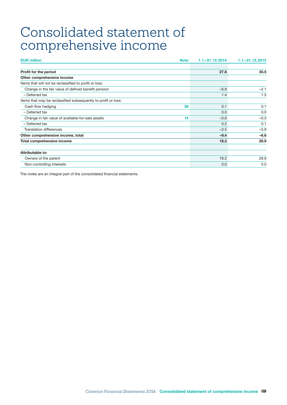# <span id="page-10-0"></span>Consolidated statement of comprehensive income

| <b>EUR million</b><br><b>Note</b>                              | 1.1 . - 31.12.2014 | $1.1 - 31.12.2013$ |
|----------------------------------------------------------------|--------------------|--------------------|
|                                                                |                    |                    |
| Profit for the period                                          | 27.6               | 35.5               |
| Other comprehensive income                                     |                    |                    |
| Items that will not be reclassified to profit or loss:         |                    |                    |
| Change in the fair value of defined benefit pension            | $-6.9$             | $-2.1$             |
| - Deferred tax                                                 | 1.4                | 1.5                |
| Items that may be reclassified subsequently to profit or loss: |                    |                    |
| Cash flow hedging<br>28                                        | 0.1                | 0.1                |
| - Deferred tax                                                 | 0.0                | 0.0                |
| Change in fair value of available-for-sale assets<br>14        | $-0.6$             | $-0.3$             |
| - Deferred tax                                                 | 0.2                | 0.1                |
| <b>Translation differences</b>                                 | $-3.5$             | $-5.9$             |
| Other comprehensive income, total                              | $-9.4$             | $-6.6$             |
| Total comprehensive income                                     | 18.2               | 28.9               |
| <b>Attributable to:</b>                                        |                    |                    |
| Owners of the parent                                           | 18.2               | 28.9               |
| Non-controlling interests                                      | 0.0                | 0.0                |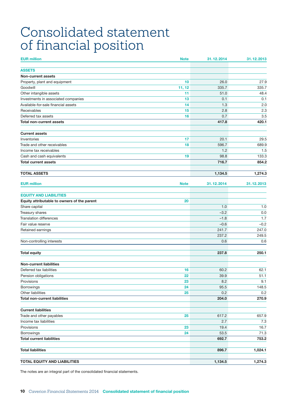# <span id="page-11-0"></span>Consolidated statement of financial position

| <b>EUR million</b>                          | <b>Note</b> | 31.12.2014   | 31.12.2013   |
|---------------------------------------------|-------------|--------------|--------------|
| <b>ASSETS</b>                               |             |              |              |
| <b>Non-current assets</b>                   |             |              |              |
| Property, plant and equipment               | 10          | 26.0         | 27.9         |
| Goodwill                                    | 11, 12      | 335.7        | 335.7        |
| Other intangible assets                     | 11          | 51.0         | 48.4         |
| Investments in associated companies         | 13          | 0.1          | 0.1          |
| Available-for-sale financial assets         | 14          | 1.3          | 2.0          |
| Receivables                                 | 15          | 2.8          | 2.3          |
| Deferred tax assets                         | 16          | 0.7          | 3.5          |
| <b>Total non-current assets</b>             |             | 417.8        | 420.1        |
| <b>Current assets</b>                       |             |              |              |
| Inventories                                 | 17          | 20.1         | 29.5         |
| Trade and other receivables                 | 18          | 596.7        | 689.9        |
| Income tax receivables                      |             | 1.2          | 1.5          |
| Cash and cash equivalents                   | 19          | 98.8         | 133.3        |
| <b>Total current assets</b>                 |             | 716.7        | 854.2        |
| <b>TOTAL ASSETS</b>                         |             | 1,134.5      | 1,274.3      |
|                                             |             |              |              |
| <b>EUR million</b>                          | <b>Note</b> | 31.12.2014   | 31.12.2013   |
| <b>EQUITY AND LIABILITIES</b>               |             |              |              |
| Equity attributable to owners of the parent | 20          |              |              |
| Share capital                               |             | 1.0          | 1.0          |
| Treasury shares                             |             | $-3.2$       | 0.0          |
| <b>Translation differences</b>              |             | $-1.8$       | 1.7          |
| Fair value reserve                          |             | $-0.6$       | $-0.2$       |
| Retained earnings                           |             | 241.7        | 247.0        |
| Non-controlling interests                   |             | 237.2<br>0.6 | 249.5<br>0.6 |
|                                             |             |              |              |
| <b>Total equity</b>                         |             | 237.8        | 250.1        |
| <b>Non-current liabilities</b>              |             |              |              |
| Deferred tax liabilities                    | 16          | 60.2         | 62.1         |
| Pension obligations                         | 22          | 39.9         | 51.1         |
| Provisions                                  | 23          | 8.2          | 9.1          |
| Borrowings                                  | 24          | 95.5         | 148.5        |
| Other liabilities                           | 25          | 0.2          | 0.2          |
| <b>Total non-current liabilities</b>        |             | 204.0        | 270.9        |
| <b>Current liabilities</b>                  |             |              |              |
| Trade and other payables                    | 25          | 617.2        | 657.9        |
| Income tax liabilities                      |             | 2.7          | 7.3          |
| Provisions                                  | 23          | 19.4         | 16.7         |
| Borrowings                                  | 24          | 53.5         | 71.3         |
| <b>Total current liabilities</b>            |             | 692.7        | 753.2        |
| <b>Total liabilities</b>                    |             | 896.7        | 1,024.1      |
|                                             |             |              |              |
| <b>TOTAL EQUITY AND LIABILITIES</b>         |             | 1,134.5      | 1,274.3      |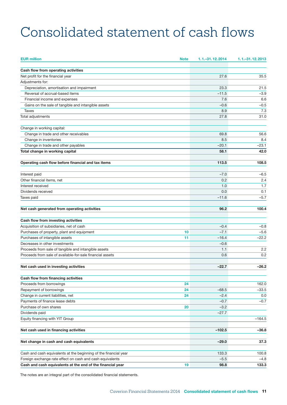# <span id="page-12-0"></span>Consolidated statement of cash flows

| <b>EUR million</b>                                               | <b>Note</b> | 1.1. - 31.12.2014 | 1.1 .- 31.12.2013 |
|------------------------------------------------------------------|-------------|-------------------|-------------------|
| Cash flow from operating activities                              |             |                   |                   |
| Net profit for the financial year                                |             | 27.6              | 35.5              |
| Adjustments for:                                                 |             |                   |                   |
| Depreciation, amortisation and impairment                        |             | 23.3              | 21.5              |
| Reversal of accrual-based items                                  |             | $-11.5$           | $-3.9$            |
| Financial income and expenses                                    |             | 7.6               | 6.6               |
| Gains on the sale of tangible and intangible assets              |             | $-0.6$            | $-0.5$            |
| Taxes                                                            |             | 8.9               | 7.3               |
| Total adjustments                                                |             | 27.8              | 31.0              |
| Change in working capital:                                       |             |                   |                   |
| Change in trade and other receivables                            |             | 69.8              | 56.6              |
| Change in inventories                                            |             | 8.5               | 8.4               |
| Change in trade and other payables                               |             | $-20.1$           | $-23.1$           |
| Total change in working capital                                  |             | 58.1              | 42.0              |
| Operating cash flow before financial and tax items               |             | 113.5             | 108.5             |
| Interest paid                                                    |             | $-7.0$            | $-6.5$            |
| Other financial items, net                                       |             | 0.2               | 2.4               |
| Interest received                                                |             | 1.0               | 1.7               |
| Dividends received                                               |             | 0.0               | 0.1               |
| Taxes paid                                                       |             | $-11.6$           | $-5.7$            |
| Net cash generated from operating activities                     |             | 96.2              | 100.4             |
| Cash flow from investing activities                              |             |                   |                   |
| Acquisition of subsidiaries, net of cash                         |             | $-0.4$            | $-0.8$            |
| Purchases of property, plant and equipment                       | 10          | $-7.1$            | $-5.6$            |
| Purchases of intangible assets                                   | 11          | $-16.4$           | $-22.2$           |
| Decreases in other investments                                   |             | $-0.6$            |                   |
| Proceeds from sale of tangible and intangible assets             |             | 1.1               | 2.2               |
| Proceeds from sale of available-for-sale financial assets        |             | 0.6               | 0.2               |
| Net cash used in investing activities                            |             | $-22.7$           | $-26.2$           |
| Cash flow from financing activities                              |             |                   |                   |
| Proceeds from borrowings                                         | 24          |                   | 162.0             |
| Repayment of borrowings                                          | 24          | $-68.5$           | $-33.5$           |
| Change in current liabilities, net                               | 24          | $-2.4$            | 0.0               |
| Payments of finance lease debts                                  |             | $-0.7$            | $-0.7$            |
| Purchase of own shares                                           | 20          | $-3.2$            |                   |
| Dividends paid                                                   |             | $-27.7$           |                   |
| Equity financing with YIT Group                                  |             |                   | $-164.5$          |
| Net cash used in financing activities                            |             | $-102.5$          | $-36.8$           |
| Net change in cash and cash equivalents                          |             | $-29.0$           | 37.3              |
|                                                                  |             |                   |                   |
| Cash and cash equivalents at the beginning of the financial year |             | 133.3             | 100.8             |
| Foreign exchange rate effect on cash and cash equivalents        |             | $-5.5$            | $-4.8$            |
| Cash and cash equivalents at the end of the financial year       | 19          | 98.8              | 133.3             |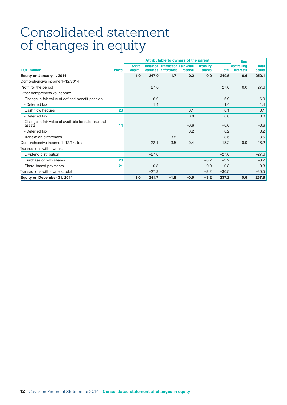# <span id="page-13-0"></span>Consolidated statement of changes in equity

|                                                                |             |                         | Attributable to owners of the parent |                                                                |         |                           |              | Non-                            |                        |
|----------------------------------------------------------------|-------------|-------------------------|--------------------------------------|----------------------------------------------------------------|---------|---------------------------|--------------|---------------------------------|------------------------|
| <b>EUR million</b>                                             | <b>Note</b> | <b>Share</b><br>capital |                                      | <b>Retained Translation Fair value</b><br>earnings differences | reserve | <b>Treasury</b><br>shares | <b>Total</b> | controlling<br><b>interests</b> | <b>Total</b><br>equity |
| Equity on January 1, 2014                                      |             | 1.0                     | 247.0                                | 1.7                                                            | $-0.2$  | 0.0                       | 249.5        | 0.6                             | 250.1                  |
| Comprehensive income 1-12/2014                                 |             |                         |                                      |                                                                |         |                           |              |                                 |                        |
| Profit for the period                                          |             |                         | 27.6                                 |                                                                |         |                           | 27.6         | 0.0                             | 27.6                   |
| Other comprehensive income:                                    |             |                         |                                      |                                                                |         |                           |              |                                 |                        |
| Change in fair value of defined benefit pension                |             |                         | $-6.9$                               |                                                                |         |                           | $-6.9$       |                                 | $-6.9$                 |
| - Deferred tax                                                 |             |                         | 1.4                                  |                                                                |         |                           | 1.4          |                                 | 1.4                    |
| Cash flow hedges                                               | 28          |                         |                                      |                                                                | 0.1     |                           | 0.1          |                                 | 0.1                    |
| - Deferred tax                                                 |             |                         |                                      |                                                                | 0.0     |                           | 0.0          |                                 | 0.0                    |
| Change in fair value of available for sale financial<br>assets | 14          |                         |                                      |                                                                | $-0.6$  |                           | $-0.6$       |                                 | $-0.6$                 |
| - Deferred tax                                                 |             |                         |                                      |                                                                | 0.2     |                           | 0.2          |                                 | 0.2                    |
| <b>Translation differences</b>                                 |             |                         |                                      | $-3.5$                                                         |         |                           | $-3.5$       |                                 | $-3.5$                 |
| Comprehensive income 1-12/14, total                            |             |                         | 22.1                                 | $-3.5$                                                         | $-0.4$  |                           | 18.2         | 0.0                             | 18.2                   |
| Transactions with owners                                       |             |                         |                                      |                                                                |         |                           |              |                                 |                        |
| Dividend distribution                                          |             |                         | $-27.6$                              |                                                                |         |                           | $-27.6$      |                                 | $-27.6$                |
| Purchase of own shares                                         | 20          |                         |                                      |                                                                |         | $-3.2$                    | $-3.2$       |                                 | $-3.2$                 |
| Share-based payments                                           | 21          |                         | 0.3                                  |                                                                |         | 0.0                       | 0.3          |                                 | 0.3                    |
| Transactions with owners, total                                |             |                         | $-27.3$                              |                                                                |         | $-3.2$                    | $-30.5$      |                                 | $-30.5$                |
| Equity on December 31, 2014                                    |             | 1.0                     | 241.7                                | $-1.8$                                                         | $-0.6$  | $-3.2$                    | 237.2        | 0.6                             | 237.8                  |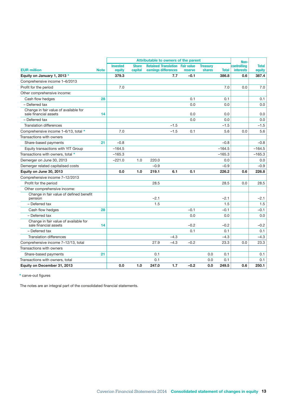|                                                                | Attributable to owners of the parent |                           |                         |                                                                | Non-   |                |                           |              |                                 |                        |
|----------------------------------------------------------------|--------------------------------------|---------------------------|-------------------------|----------------------------------------------------------------|--------|----------------|---------------------------|--------------|---------------------------------|------------------------|
| <b>EUR million</b>                                             | <b>Note</b>                          | <b>Invested</b><br>equity | <b>Share</b><br>capital | <b>Retained Translation Fair value</b><br>earnings differences |        | <b>reserve</b> | <b>Treasury</b><br>shares | <b>Total</b> | controlling<br><b>interests</b> | <b>Total</b><br>equity |
| Equity on January 1, 2013 *                                    |                                      | 379.3                     |                         |                                                                | 7.7    | $-0.1$         |                           | 386.8        | 0.6                             | 387.4                  |
| Comprehensive income 1-6/2013                                  |                                      |                           |                         |                                                                |        |                |                           |              |                                 |                        |
| Profit for the period                                          |                                      | 7.0                       |                         |                                                                |        |                |                           | 7.0          | 0.0                             | 7.0                    |
| Other comprehensive income:                                    |                                      |                           |                         |                                                                |        |                |                           |              |                                 |                        |
| Cash flow hedges                                               | 28                                   |                           |                         |                                                                |        | 0.1            |                           | 0.1          |                                 | 0.1                    |
| - Deferred tax                                                 |                                      |                           |                         |                                                                |        | 0.0            |                           | 0.0          |                                 | 0.0                    |
| Change in fair value of available for<br>sale financial assets | 14                                   |                           |                         |                                                                |        | 0.0            |                           | 0.0          |                                 | 0.0                    |
| - Deferred tax                                                 |                                      |                           |                         |                                                                |        | 0.0            |                           | 0.0          |                                 | 0.0                    |
| <b>Translation differences</b>                                 |                                      |                           |                         |                                                                | $-1.5$ |                |                           | $-1.5$       |                                 | $-1.5$                 |
| Comprehensive income 1-6/13, total *                           |                                      | 7.0                       |                         |                                                                | $-1.5$ | 0.1            |                           | 5.6          | 0.0                             | 5.6                    |
| Transactions with owners                                       |                                      |                           |                         |                                                                |        |                |                           |              |                                 |                        |
| Share-based payments                                           | 21                                   | $-0.8$                    |                         |                                                                |        |                |                           | $-0.8$       |                                 | $-0.8$                 |
| Equity transactions with YIT Group                             |                                      | $-164.5$                  |                         |                                                                |        |                |                           | $-164.5$     |                                 | $-164.5$               |
| Transactions with owners, total *                              |                                      | $-165.3$                  |                         |                                                                |        |                |                           | $-165.3$     |                                 | $-165.3$               |
| Demerger on June 30, 2013                                      |                                      | $-221.0$                  | 1.0                     | 220.0                                                          |        |                |                           | 0.0          |                                 | 0.0                    |
| Demerger related capitalised costs                             |                                      |                           |                         | $-0.9$                                                         |        |                |                           | $-0.9$       |                                 | $-0.9$                 |
| Equity on June 30, 2013                                        |                                      | 0.0                       | 1.0                     | 219.1                                                          | 6.1    | 0.1            |                           | 226.2        | 0.6                             | 226.8                  |
| Comprehensive income 7-12/2013                                 |                                      |                           |                         |                                                                |        |                |                           |              |                                 |                        |
| Profit for the period                                          |                                      |                           |                         | 28.5                                                           |        |                |                           | 28.5         | 0.0                             | 28.5                   |
| Other comprehensive income:                                    |                                      |                           |                         |                                                                |        |                |                           |              |                                 |                        |
| Change in fair value of defined benefit<br>pension             |                                      |                           |                         | $-2.1$                                                         |        |                |                           | $-2.1$       |                                 | $-2.1$                 |
| - Deferred tax                                                 |                                      |                           |                         | 1.5                                                            |        |                |                           | 1.5          |                                 | 1.5                    |
| Cash flow hedges                                               | 28                                   |                           |                         |                                                                |        | $-0.1$         |                           | $-0.1$       |                                 | $-0.1$                 |
| - Deferred tax                                                 |                                      |                           |                         |                                                                |        | 0.0            |                           | 0.0          |                                 | 0.0                    |
| Change in fair value of available for<br>sale financial assets | 14                                   |                           |                         |                                                                |        | $-0.2$         |                           | $-0.2$       |                                 | $-0.2$                 |
| - Deferred tax                                                 |                                      |                           |                         |                                                                |        | 0.1            |                           | 0.1          |                                 | 0.1                    |
| <b>Translation differences</b>                                 |                                      |                           |                         |                                                                | $-4.3$ |                |                           | $-4.3$       |                                 | $-4.3$                 |
| Comprehensive income 7-12/13, total                            |                                      |                           |                         | 27.9                                                           | $-4.3$ | $-0.2$         |                           | 23.3         | 0.0                             | 23.3                   |
| Transactions with owners                                       |                                      |                           |                         |                                                                |        |                |                           |              |                                 |                        |
| Share-based payments                                           | 21                                   |                           |                         | 0.1                                                            |        |                | 0.0                       | 0.1          |                                 | 0.1                    |
| Transactions with owners, total                                |                                      |                           |                         | 0.1                                                            |        |                | 0.0                       | 0.1          |                                 | 0.1                    |
| Equity on December 31, 2013                                    |                                      | 0.0                       | 1.0                     | 247.0                                                          | 1.7    | $-0.2$         | 0.0                       | 249.5        | 0.6                             | 250.1                  |

\* carve-out figures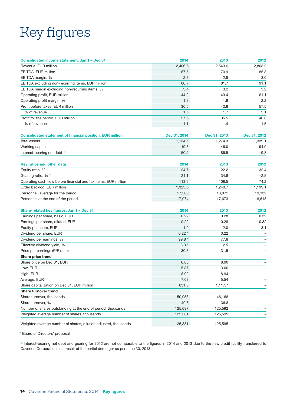# <span id="page-15-0"></span>Key figures

| Consolidated income statement, Jan 1 - Dec 31                    | 2014         | 2013         | 2012         |
|------------------------------------------------------------------|--------------|--------------|--------------|
| Revenue, EUR million                                             | 2,406.6      | 2,543.6      | 2,803.2      |
| EBITDA, EUR million                                              | 67.5         | 70.9         | 85.3         |
| EBITDA margin, %                                                 | 2.8          | 2.8          | 3.0          |
| EBITDA excluding non-recurring items, EUR million                | 80.7         | 81.7         | 91.1         |
| EBITDA margin excluding non-recurring items, %                   | 3.4          | 3.2          | 3.2          |
| Operating profit, EUR million                                    | 44.2         | 49.4         | 61.1         |
| Operating profit margin, %                                       | 1.8          | 1.9          | 2.2          |
| Profit before taxes, EUR million                                 | 36.5         | 42.8         | 57.5         |
| % of revenue                                                     | 1.5          | 1.7          | 2.1          |
| Profit for the period, EUR million                               | 27.6         | 35.5         | 40.8         |
| % of revenue                                                     | 1.1          | 1.4          | 1.5          |
| <b>Consolidated statement of financial position, EUR million</b> | Dec 31, 2014 | Dec 31, 2013 | Dec 31, 2012 |
| Total assets                                                     | 1,134.5      | 1,274.3      | 1,339.1      |
| Working capital                                                  | $-19.3$      | 46.0         | 94.0         |
| Interest-bearing net debt <sup>1)</sup>                          | 50.2         | 86.5         | $-9.8$       |
|                                                                  |              |              |              |
| Key ratios and other data                                        | 2014         | 2013         | 2012         |
| Equity ratio, %                                                  | 24.7         | 22.2         | 32.4         |
| Gearing ratio, % <sup>1)</sup>                                   | 21.1         | 34.6         | $-2.5$       |
| Operating cash flow before financial and tax items, EUR million  | 113.5        | 108.5        | 74.2         |
| Order backlog, EUR million                                       | 1,323.6      | 1,240.7      | 1,199.1      |
| Personnel, average for the period                                | 17,300       | 18,071       | 19,132       |
| Personnel at the end of the period                               | 17,074       | 17,673       | 18,618       |
| Share-related key figures, Jan 1 - Dec 31                        | 2014         | 2013         | 2012         |
| Earnings per share, basic, EUR                                   | 0.22         | 0.28         | 0.32         |
| Earnings per share, diluted, EUR                                 | 0.22         | 0.28         | 0.32         |
| Equity per share, EUR                                            | 1.9          | 2.0          | 3.1          |
| Dividend per share, EUR                                          | $0.22*$      | 0.22         |              |
| Dividend per earnings, %                                         | $99.8*$      | 77.8         |              |
| Effective dividend yield, %                                      | $3.3*$       | 2.5          |              |
| Price per earnings (P/E ratio)                                   | 30.3         | 31.5         |              |
| Share price trend                                                |              |              |              |
| Share price on Dec 31, EUR                                       | 6.65         | 8.90         |              |
| Low, EUR                                                         | 5.37         | 3.00         |              |
| High, EUR                                                        | 8.92         | 8.94         |              |
| Average, EUR                                                     | 7.03         | 5.54         |              |
| Share capitalization on Dec 31, EUR million                      | 831.8        | 1,117.7      |              |
| Share turnover trend                                             |              |              |              |
| Share turnover, thousands                                        | 50,953       | 46,168       |              |
| Share turnover, %                                                | 40.6         | 36.8         |              |
| Number of shares outstanding at the end of period, thousands     | 125,087      | 125,592      |              |
| Weighted average number of shares, thousands                     | 125,381      | 125,595      |              |
| Weighted average number of shares, dilution adjusted, thousands  | 125,381      | 125,595      |              |

\* Board of Directors' proposal

1) Interest-bearing net debt and gearing for 2012 are not comparable to the figures in 2014 and 2013 due to the new credit facility transferred to Caverion Corporation as a result of the partial demerger as per June 30, 2013.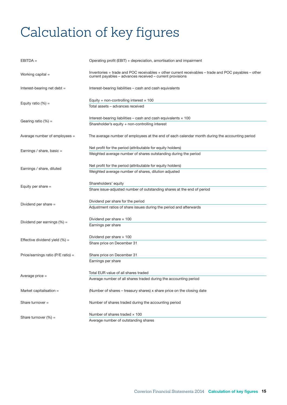# <span id="page-16-0"></span>Calculation of key figures

| $EBITDA =$                         | Operating profit (EBIT) + depreciation, amortisation and impairment                                                                                               |
|------------------------------------|-------------------------------------------------------------------------------------------------------------------------------------------------------------------|
| Working capital =                  | Inventories + trade and POC receivables + other current receivables - trade and POC payables - other<br>current payables - advances received - current provisions |
| Interest-bearing net debt =        | Interest-bearing liabilities - cash and cash equivalents                                                                                                          |
| Equity ratio $(\%) =$              | Equity + non-controlling interest $\times$ 100<br>Total assets - advances received                                                                                |
| Gearing ratio $(\%) =$             | Interest-bearing liabilities – cash and cash equivalents $\times$ 100<br>Shareholder's equity + non-controlling interest                                          |
| Average number of employees =      | The average number of employees at the end of each calendar month during the accounting period                                                                    |
| Earnings / share, basic =          | Net profit for the period (attributable for equity holders)<br>Weighted average number of shares outstanding during the period                                    |
| Earnings / share, diluted          | Net profit for the period (attributable for equity holders)<br>Weighted average number of shares, dilution adjusted                                               |
| Equity per share $=$               | Shareholders' equity<br>Share issue-adjusted number of outstanding shares at the end of period                                                                    |
| Dividend per share $=$             | Dividend per share for the period<br>Adjustment ratios of share issues during the period and afterwards                                                           |
| Dividend per earnings $(\%) =$     | Dividend per share $\times$ 100<br>Earnings per share                                                                                                             |
| Effective dividend yield (%) =     | Dividend per share $\times$ 100<br>Share price on December 31                                                                                                     |
| Price/earnings ratio (P/E ratio) = | Share price on December 31<br>Earnings per share                                                                                                                  |
| Average price =                    | Total EUR value of all shares traded<br>Average number of all shares traded during the accounting period                                                          |
| Market capitalisation =            | (Number of shares - treasury shares) x share price on the closing date                                                                                            |
| Share turnover $=$                 | Number of shares traded during the accounting period                                                                                                              |
| Share turnover $(\%) =$            | Number of shares traded $\times$ 100<br>Average number of outstanding shares                                                                                      |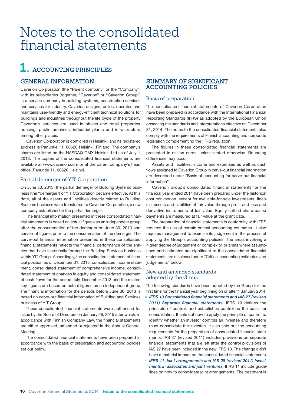# <span id="page-17-0"></span>Notes to the consolidated financial statements

# **1. ACCOUNTING PRINCIPLES**

## **GENERAL INFORMATION**

Caverion Corporation (the "Parent company" or the "Company") with its subsidiaries (together, "Caverion" or "Caverion Group") is a service company in building systems, construction services and services for industry. Caverion designs, builds, operates and maintains user-friendly and energy-efficient technical solutions for buildings and industries throughout the life cycle of the property. Caverion's services are used in offices and retail properties, housing, public premises, industrial plants and infrastructure, among other places.

Caverion Corporation is domiciled in Helsinki, and its registered address is Panuntie 11, 00620 Helsinki, Finland. The company's shares are listed on the NASDAQ OMX Helsinki Ltd as of July 1, 2013. The copies of the consolidated financial statements are available at www.caverion.com or at the parent company's head office, Panuntie 11, 00620 Helsinki.

### Partial demerger of YIT Corporation

On June 30, 2013, the partial demerger of Building Systems business (the "demerger") of YIT Corporation became effective. At this date, all of the assets and liabilities directly related to Building Systems business were transferred to Caverion Corporation, a new company established in the partial demerger.

The financial information presented in these consolidated financial statements is based on actual figures as an independent group after the consummation of the demerger on June 30, 2013 and carve-out figures prior to the consummation of the demerger. The carve-out financial information presented in these consolidated financial statements reflects the financial performance of the entities that have historically formed the Building Services business within YIT Group. Accordingly, the consolidated statement of financial position as of December 31, 2013, consolidated income statement, consolidated statement of comprehensive income, consolidated statement of changes in equity and consolidated statement of cash flows for the period July–December 2013 and the related key figures are based on actual figures as an independent group. The financial information for the periods before June 30, 2013 is based on carve-out financial information of Building and Services business of YIT Group.

These consolidated financial statements were authorised for issue by the Board of Directors on January 28, 2015 after which, in accordance with Finnish Company Law, the financial statements are either approved, amended or rejected in the Annual General Meeting.

The consolidated financial statements have been prepared in accordance with the basis of preparation and accounting policies set out below.

## **SUMMARY OF SIGNIFICANT ACCOUNTING POLICIES**

### Basis of preparation

The consolidated financial statements of Caverion Corporation have been prepared in accordance with the International Financial Reporting Standards (IFRS) as adopted by the European Union observing the standards and interpretations effective on December 31, 2014. The notes to the consolidated financial statements also comply with the requirements of Finnish accounting and corporate legislation complementing the IFRS regulation.

The figures in these consolidated financial statements are presented in million euros, unless stated otherwise. Rounding differences may occur.

Assets and liabilities, income and expenses as well as cash flows assigned to Caverion Group in carve-out financial information are described under "Basis of accounting for carve-out financial information".

Caverion Group's consolidated financial statements for the financial year ended 2014 have been prepared under the historical cost convention, except for available-for-sale investments, financial assets and liabilities at fair value through profit and loss and derivative instruments at fair value. Equity-settled share-based payments are measured at fair value at the grant date.

The preparation of financial statements in conformity with IFRS requires the use of certain critical accounting estimates. It also requires management to exercise its judgement in the process of applying the Group's accounting policies. The areas involving a higher degree of judgement or complexity, or areas where assumptions and estimates are significant to the consolidated financial statements are disclosed under "Critical accounting estimates and judgements" below.

### New and amended standards adopted by the Group

The following standards have been adopted by the Group for the first time for the financial year beginning on or after 1 January 2014:

- ° *IFRS 10 Consolidated financial statements and IAS 27 (revised 2011) Separate financial statements.* IFRS 10 defines the principle of control, and establishes control as the basis for consolidation. It sets out how to apply the principle of control to identify whether an investor controls an investee and therefore must consolidate the investee. It also sets out the accounting requirements for the preparation of consolidated financial statements. IAS 27 (revised 2011) includes provisions on separate financial statements that are left after the control provisions of IAS 27 have been included in the new IFRS 10. The change didn't have a material impact on the consolidated financial statements.
- ° *IFRS 11 Joint arrangements and IAS 28 (revised 2011) Investments in associates and joint ventures*: IFRS 11 include guidelines on how to consolidate joint arrangements. The treatment is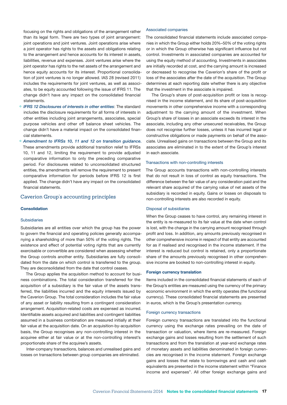focusing on the rights and obligations of the arrangement rather than its legal form. There are two types of joint arrangement: joint operations and joint ventures. Joint operations arise where a joint operator has rights to the assets and obligations relating to the arrangement and hence accounts for its interest in assets, liabilities, revenue and expenses. Joint ventures arise where the joint operator has rights to the net assets of the arrangement and hence equity accounts for its interest. Proportional consolidation of joint ventures is no longer allowed. IAS 28 (revised 2011) includes the requirements for joint ventures, as well as associates, to be equity accounted following the issue of IFRS 11. The change didn't have any impact on the consolidated financial statements.

- ° *IFRS 12 Disclosures of interests in other entities*: The standard includes the disclosure requirements for all forms of interests in other entities including joint arrangements, associates, special purpose vehicles and other off balance sheet vehicles. The change didn't have a material impact on the consolidated financial statements.
- ° *Amendment to IFRSs 10, 11 and 12 on transition guidance.* These amendments provide additional transition relief to IFRSs 10, 11 and 12, limiting the requirement to provide adjusted comparative information to only the preceding comparative period. For disclosures related to unconsolidated structured entities, the amendments will remove the requirement to present comparative information for periods before IFRS 12 is first applied. The change didn't have any impact on the consolidated financial statements.

### Caverion Group's accounting principles

#### Consolidation

#### **Subsidiaries**

Subsidiaries are all entities over which the group has the power to govern the financial and operating policies generally accompanying a shareholding of more than 50% of the voting rights. The existence and effect of potential voting rights that are currently exercisable or convertible are considered when assessing whether the Group controls another entity. Subsidiaries are fully consolidated from the date on which control is transferred to the group. They are deconsolidated from the date that control ceases.

The Group applies the acquisition method to account for business combinations. The total consideration transferred for the acquisition of a subsidiary is the fair value of the assets transferred, the liabilities incurred and the equity interests issued by the Caverion Group. The total consideration includes the fair value of any asset or liability resulting from a contingent consideration arrangement. Acquisition-related costs are expensed as incurred. Identifiable assets acquired and liabilities and contingent liabilities assumed in a business combination are measured initially at their fair value at the acquisition date. On an acquisition-by-acquisition basis, the Group recognises any non-controlling interest in the acquiree either at fair value or at the non-controlling interest's proportionate share of the acquiree's assets.

Inter-company transactions, balances and unrealised gains and losses on transactions between group companies are eliminated.

#### Associated companies

The consolidated financial statements include associated companies in which the Group either holds 20%–50% of the voting rights or in which the Group otherwise has significant influence but not control. Investments in associated companies are accounted for using the equity method of accounting. Investments in associates are initially recorded at cost, and the carrying amount is increased or decreased to recognise the Caverion's share of the profit or loss of the associates after the date of the acquisition. The Group determines at each reporting date whether there is any objective that the investment in the associate is impaired.

The Group's share of post-acquisition profit or loss is recognised in the income statement, and its share of post-acquisition movements in other comprehensive income with a corresponding adjustment to the carrying amount of the investment. When Group's share of losses in an associate exceeds its interest in the associate, including any other unsecured receivables, the Group does not recognise further losses, unless it has incurred legal or constructive obligations or made payments on behalf of the associate. Unrealised gains on transactions between the Group and its associates are eliminated in to the extent of the Group's interest in each associate.

#### Transactions with non-controlling interests

The Group accounts transactions with non-controlling interests that do not result in loss of control as equity transactions. The difference between the fair value of any consideration paid and the relevant share acquired of the carrying value of net assets of the subsidiary is recorded in equity. Gains or losses on disposals to non-controlling interests are also recorded in equity.

#### Disposal of subsidiaries

When the Group ceases to have control, any remaining interest in the entity is re-measured to its fair value at the date when control is lost, with the change in the carrying amount recognised through profit and loss. In addition, any amounts previously recognised in other comprehensive income in respect of that entity are accounted for as if realised and recognised in the income statement. If the interest is reduced but control is retained, only a proportionate share of the amounts previously recognised in other comprehensive income are booked to non-controlling interest in equity.

#### Foreign currency translation

Items included in the consolidated financial statements of each of the Group's entities are measured using the currency of the primary economic environment in which the entity operates (the functional currency). These consolidated financial statements are presented in euros, which is the Group's presentation currency.

#### Foreign currency transactions

Foreign currency transactions are translated into the functional currency using the exchange rates prevailing on the date of transaction or valuation, where items are re-measured. Foreign exchange gains and losses resulting from the settlement of such transactions and from the translation at year-end exchange rates of monetary assets and liabilities denominated in foreign currencies are recognised in the income statement. Foreign exchange gains and losses that relate to borrowings and cash and cash equivalents are presented in the income statement within "Finance income and expenses". All other foreign exchange gains and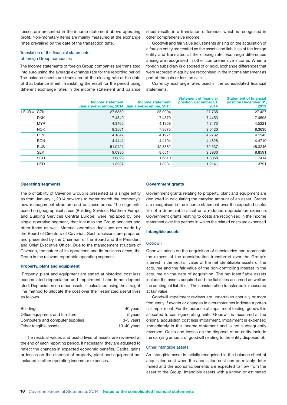losses are presented in the income statement above operating profit. Non-monetary items are mainly measured at the exchange rates prevailing on the date of the transaction date.

#### Translation of the financial statements of foreign Group companies

The income statements of foreign Group companies are translated into euro using the average exchange rate for the reporting period. The balance sheets are translated at the closing rate at the date of that balance sheet. Translating the result for the period using different exchange rates in the income statement and balance

sheet results in a translation difference, which is recognised in other comprehensive income.

Goodwill and fair value adjustments arising on the acquisition of a foreign entity are treated as the assets and liabilities of the foreign entity and translated at the closing rate. Exchange differences arising are recognised in other comprehensive income. When a foreign subsidiary is disposed of or sold, exchange differences that were recorded in equity are recognised in the income statement as part of the gain or loss on sale.

Currency exchange rates used in the consolidated financial statements:

|               | Income statement | Income statement<br>January-December, 2014 January-December, 2013 | <b>Statement of financial</b><br>position December 31,<br>2014 | <b>Statement of financial</b><br>position December 31,<br>2013 |
|---------------|------------------|-------------------------------------------------------------------|----------------------------------------------------------------|----------------------------------------------------------------|
| $1$ EUR = CZK | 27,5359          | 25.9904                                                           | 27.735                                                         | 27.427                                                         |
| <b>DKK</b>    | 7.4549           | 7.4579                                                            | 7.4453                                                         | 7.4593                                                         |
| <b>MYR</b>    | 4.3465           | 4.1858                                                            | 4.2473                                                         | 4.5221                                                         |
| <b>NOK</b>    | 8.3561           | 7.8075                                                            | 9.0420                                                         | 8.3630                                                         |
| <b>PLN</b>    | 4.1847           | 4.1971                                                            | 4.2732                                                         | 4.1543                                                         |
| <b>RON</b>    | 4.4441           | 4.4194                                                            | 4.4828                                                         | 4.4710                                                         |
| <b>RUB</b>    | 51.0421          | 42.3362                                                           | 72.337                                                         | 45.3246                                                        |
| <b>SEK</b>    | 9.0980           | 8.6514                                                            | 9.3930                                                         | 8.8591                                                         |
| SGD           | 1.6829           | 1.6610                                                            | 1.6058                                                         | 1.7414                                                         |
| <b>USD</b>    | 1.3287           | 1.3281                                                            | 1.2141                                                         | 1.3791                                                         |

#### Operating segments

The profitability of Caverion Group is presented as a single entity as from January 1, 2014 onwards to better match the company's new management structure and business areas. The segments based on geographical areas (Building Services Northern Europe and Building Services Central Europe) were replaced by one single operative segment, that includes the Group services and other items as well. Material operative decisions are made by the Board of Directors of Caverion. Such decisions are prepared and presented by the Chairman of the Board and the President and Chief Executive Officer. Due to the management structure of Caverion, the nature of its operations and its business areas, the Group is the relevant reportable operating segment.

#### Property, plant and equipment

 Property, plant and equipment are stated at historical cost less accumulated depreciation and impairment. Land is not depreciated. Depreciation on other assets is calculated using the straightline method to allocate the cost over their estimated useful lives as follows.

| <b>Buildings</b>                | 40 years      |
|---------------------------------|---------------|
| Office equipment and furniture  | 5 years       |
| Computers and computer supplies | 3-5 years     |
| Other tangible assets           | $10-40$ years |

The residual values and useful lives of assets are reviewed at the end of each reporting period. If necessary, they are adjusted to reflect the changes in expected economic benefits. Capital gains or losses on the disposal of property, plant and equipment are included in other operating income or expenses.

#### Government grants

Government grants relating to property, plant and equipment are deducted in calculating the carrying amount of an asset. Grants are recognised in the income statement over the expected useful life of a depreciable asset as a reduced depreciation expense. Government grants relating to costs are recognised in the income statement over the periods in which the related costs are expensed.

#### Intangible assets

#### Goodwill

Goodwill arises on the acquisition of subsidiaries and represents the excess of the consideration transferred over the Group's interest in the net fair value of the net identifiable assets of the acquiree and the fair value of the non-controlling interest in the acquiree on the date of acquisition. The net identifiable assets include the assets acquired and the liabilities assumed as well as the contingent liabilities. The consideration transferred is measured at fair value.

Goodwill impairment reviews are undertaken annually or more frequently if events or changes in circumstances indicate a potential impairment. For the purpose of impairment testing, goodwill is allocated to cash-generating units. Goodwill is measured at the original acquisition cost less impairment. Impairment is expensed immediately in the income statement and is not subsequently reversed. Gains and losses on the disposal of an entity include the carrying amount of goodwill relating to the entity disposed of.

#### Other intangible assets

An intangible asset is initially recognised in the balance sheet at acquisition cost when the acquisition cost can be reliably determined and the economic benefits are expected to flow from the asset to the Group. Intangible assets with a known or estimated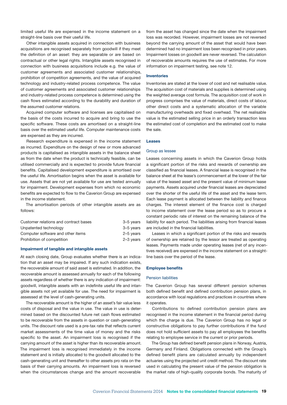limited useful life are expensed in the income statement on a straight-line basis over their useful life.

Other intangible assets acquired in connection with business acquisitions are recognised separately from goodwill if they meet the definition of an asset: they are separable or are based on contractual or other legal rights. Intangible assets recognised in connection with business acquisitions include e.g. the value of customer agreements and associated customer relationships, prohibition of competition agreements, and the value of acquired technology and industry-related process competence. The value of customer agreements and associated customer relationships and industry-related process competence is determined using the cash flows estimated according to the durability and duration of the assumed customer relations.

Acquired computer software and licenses are capitalised on the basis of the costs incurred to acquire and bring to use the specific software. These costs are amortised on a straight-line basis over the estimated useful life. Computer maintenance costs are expensed as they are incurred.

Research expenditure is expensed in the income statement as incurred. Expenditure on the design of new or more advanced products is capitalised as intangible assets in the balance sheet as from the date when the product is technically feasible, can be utilised commercially and is expected to provide future financial benefits. Capitalised development expenditure is amortised over the useful life. Amortisation begins when the asset is available for use. Assets that are not yet available for use are tested annually for impairment. Development expenses from which no economic benefits are expected to flow to the Caverion Group are expensed in the income statement.

The amortisation periods of other intangible assets are as follows:

| Customer relations and contract bases | 3-5 years |
|---------------------------------------|-----------|
| Unpatented technology                 | 3-5 years |
| Computer software and other items     | 2-5 years |
| Prohibition of competition            | 2-3 years |

#### Impairment of tangible and intangible assets

At each closing date, Group evaluates whether there is an indication that an asset may be impaired. If any such indication exists, the recoverable amount of said asset is estimated. In addition, the recoverable amount is assessed annually for each of the following assets regardless of whether there is any indication of impairment: goodwill, intangible assets with an indefinite useful life and intangible assets not yet available for use. The need for impairment is assessed at the level of cash-generating units.

The recoverable amount is the higher of an asset's fair value less costs of disposal and the value in use. The value in use is determined based on the discounted future net cash flows estimated to be recoverable from the assets in question or cash-generating units. The discount rate used is a pre-tax rate that reflects current market assessments of the time value of money and the risks specific to the asset. An impairment loss is recognised if the carrying amount of the asset is higher than its recoverable amount. The impairment loss is recognised immediately in the income statement and is initially allocated to the goodwill allocated to the cash-generating unit and thereafter to other assets pro rata on the basis of their carrying amounts. An impairment loss is reversed when the circumstances change and the amount recoverable

from the asset has changed since the date when the impairment loss was recorded. However, impairment losses are not reversed beyond the carrying amount of the asset that would have been determined had no impairment loss been recognised in prior years. Impairment losses on goodwill are never reversed. The calculation of recoverable amounts requires the use of estimates. For more information on impairment testing, see note 12.

#### Inventories

Inventories are stated at the lower of cost and net realisable value. The acquisition cost of materials and supplies is determined using the weighted average cost formula. The acquisition cost of work in progress comprises the value of materials, direct costs of labour, other direct costs and a systematic allocation of the variable manufacturing overheads and fixed overhead. The net realisable value is the estimated selling price in an orderly transaction less the estimated cost of completion and the estimated cost to make the sale.

#### **Leases**

#### Group as lessee

Leases concerning assets in which the Caverion Group holds a significant portion of the risks and rewards of ownership are classified as financial leases. A financial lease is recognised in the balance sheet at the lease's commencement at the lower of the fair value of the leased asset and the present value of minimum lease payments. Assets acquired under financial leases are depreciated over the shorter of the useful life of the asset and the lease term. Each lease payment is allocated between the liability and finance charges. The interest element of the finance cost is charged to income statement over the lease period so as to procure a constant periodic rate of interest on the remaining balance of the liability for each period. The liabilities arising from financial leases are included in the financial liabilities.

Leases in which a significant portion of the risks and rewards of ownership are retained by the lessor are treated as operating leases. Payments made under operating leases (net of any incentives received) are expensed in the income statement on a straightline basis over the period of the lease.

#### Employee benefits

#### Pension liabilities

The Caverion Group has several different pension schemes both defined benefit and defined contribution pension plans, in accordance with local regulations and practices in countries where it operates.

Contributions to defined contribution pension plans are recognised in the income statement in the financial period during which the charge is due. The Caverion Group has no legal or constructive obligations to pay further contributions if the fund does not hold sufficient assets to pay all employees the benefits relating to employee service in the current or prior periods.

The Group has defined benefit pension plans in Norway, Austria, Germany and Finland. Obligations connected with the Group's defined benefit plans are calculated annually by independent actuaries using the projected unit credit method. The discount rate used in calculating the present value of the pension obligation is the market rate of high-quality corporate bonds. The maturity of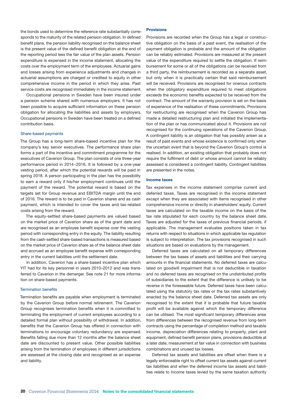the bonds used to determine the reference rate substantially corresponds to the maturity of the related pension obligation. In defined benefit plans, the pension liability recognised on the balance sheet is the present value of the defined benefit obligation at the end of the reporting period less the fair value of the plan assets. Pension expenditure is expensed in the income statement, allocating the costs over the employment term of the employees. Actuarial gains and losses arising from experience adjustments and changes in actuarial assumptions are charged or credited to equity in other comprehensive income in the period in which they arise. Past service costs are recognised immediately in the income statement.

Occupational pensions in Sweden have been insured under a pension scheme shared with numerous employers. It has not been possible to acquire sufficient information on these pension obligation for allocating the liabilities and assets by employers. Occupational pensions in Sweden have been treated on a defined contribution basis.

#### Share-based payments

The Group has a long-term share-based incentive plan for the company's key senior executives. The performance share plan forms a part of the incentive and commitment programme for the executives of Caverion Group. The plan consists of one three-year performance period in 2014−2016. It is followed by a one-year vesting period, after which the potential rewards will be paid in spring 2018. A person participating in the plan has the possibility to earn a reward only if his/her employment continues until the payment of the reward. The potential reward is based on the targets set for Group revenue and EBITDA margin until the end of 2016. The reward is to be paid in Caverion shares and as cash payment, which is intended to cover the taxes and tax-related costs arising from the reward.

The equity-settled share-based payments are valued based on the market price of Caverion share as of the grant date and are recognised as an employee benefit expense over the vesting period with corresponding entry in the equity. The liability resulting from the cash-settled share-based transactions is measured based on the market price of Caverion share as of the balance sheet date and accrued as an employee benefit expense with corresponding entry in the current liabilities until the settlement date.

In addition, Caverion has a share-based incentive plan which YIT had for its key personnel in years 2010–2012 and was transferred to Caverion in the demerger. See note 21 for more information on share-based payments.

#### Termination benefits

Termination benefits are payable when employment is terminated by the Caverion Group before normal retirement. The Caverion Group recognises termination benefits when it is committed to terminating the employment of current employees according to a detailed formal plan without possibility of withdrawal. In addition, benefits that the Caverion Group has offered in connection with terminations to encourage voluntary redundancy are expensed. Benefits falling due more than 12 months after the balance sheet date are discounted to present value. Other possible liabilities arising from the termination of employees in different jurisdictions are assessed at the closing date and recognised as an expense and liability.

#### **Provisions**

Provisions are recorded when the Group has a legal or constructive obligation on the basis of a past event, the realisation of the payment obligation is probable and the amount of the obligation can be reliably estimated. Provisions are measured at the present value of the expenditure required to settle the obligation. If reimbursement for some or all of the obligations can be received from a third party, the reimbursement is recorded as a separate asset, but only when it is practically certain that said reimbursement will be received. Provisions are recognised for onerous contracts when the obligatory expenditure required to meet obligations exceeds the economic benefits expected to be received from the contract. The amount of the warranty provision is set on the basis of experience of the realisation of these commitments. Provisions for restructuring are recognised when the Caverion Group has made a detailed restructuring plan and initiated the implementation of the plan or has communicated about it. Provisions are not recognised for the continuing operations of the Caverion Group. A contingent liability is an obligation that has possibly arisen as a result of past events and whose existence is confirmed only when the uncertain event that is beyond the Caverion Group's control is realised. In addition, an existing obligation that probably does not require the fulfilment of debt or whose amount cannot be reliably assessed is considered a contingent liability. Contingent liabilities are presented in the notes.

#### Income taxes

Tax expenses in the income statement comprise current and deferred taxes. Taxes are recognised in the income statement except when they are associated with items recognised in other comprehensive income or directly in shareholders' equity. Current taxes are calculated on the taxable income on the basis of the tax rate stipulated for each country by the balance sheet date. Taxes are adjusted for the taxes of previous financial periods, if applicable. The management evaluates positions taken in tax returns with respect to situations in which applicable tax regulation is subject to interpretation. The tax provisions recognised in such situations are based on evaluations by the management.

Deferred taxes are calculated on all temporary differences between the tax bases of assets and liabilities and their carrying amounts in the financial statements. No deferred taxes are calculated on goodwill impairment that is not deductible in taxation and no deferred taxes are recognised on the undistributed profits of subsidiaries to the extent that the difference is unlikely to be reverse in the foreseeable future. Deferred taxes have been calculated using the statutory tax rates or the tax rates substantively enacted by the balance sheet date. Deferred tax assets are only recognised to the extent that it is probable that future taxable profit will be available against which the temporary difference can be utilised. The most significant temporary differences arise from differences between the recognised revenue from long-term contracts using the percentage of completion method and taxable income, depreciation differences relating to property, plant and equipment, defined benefit pension plans, provisions deductible at a later date, measurement at fair value in connection with business combinations and unused tax losses.

Deferred tax assets and liabilities are offset when there is a legally enforceable right to offset current tax assets against current tax liabilities and when the deferred income tax assets and liabilities relate to income taxes levied by the same taxation authority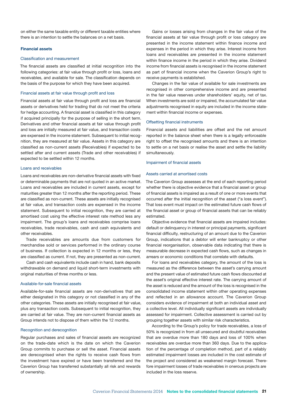on either the same taxable entity or different taxable entities where there is an intention to settle the balances on a net basis.

#### Financial assets

#### Classification and measurement

The financial assets are classified at initial recognition into the following categories: at fair value through profit or loss, loans and receivables, and available for sale. The classification depends on the basis of the purpose for which they have been acquired.

#### Financial assets at fair value through profit and loss

Financial assets at fair value through profit and loss are financial assets or derivatives held for trading that do not meet the criteria for hedge accounting. A financial asset is classified in this category if acquired principally for the purpose of selling in the short term. Derivatives and other financial assets at fair value through profit and loss are initially measured at fair value, and transaction costs are expensed in the income statement. Subsequent to initial recognition, they are measured at fair value. Assets in this category are classified as non-current assets (Receivables) if expected to be settled after and current assets (Trade and other receivables) if expected to be settled within 12 months.

#### Loans and receivables

Loans and receivables are non-derivative financial assets with fixed or determinable payments that are not quoted in an active market. Loans and receivables are included in current assets, except for maturities greater than 12 months after the reporting period. These are classified as non-current. These assets are initially recognised at fair value, and transaction costs are expensed in the income statement. Subsequent to initial recognition, they are carried at amortised cost using the effective interest rate method less any impairment. The group's loans and receivables comprise loans receivables, trade receivables, cash and cash equivalents and other receivables.

Trade receivables are amounts due from customers for merchandise sold or services performed in the ordinary course of business. If collection is expected in 12 months or less, they are classified as current. If not, they are presented as non-current.

Cash and cash equivalents include cash in hand, bank deposits withdrawable on demand and liquid short-term investments with original maturities of three months or less.

#### Available-for-sale financial assets

Available-for-sale financial assets are non-derivatives that are either designated in this category or not classified in any of the other categories. These assets are initially recognised at fair value, plus any transaction costs. Subsequent to initial recognition, they are carried at fair value. They are non-current financial assets as Group intends not to dispose of them within the 12 months.

#### Recognition and derecognition

Regular purchases and sales of financial assets are recognized on the trade-date which is the date on which the Caverion Group commits to purchase or sell the asset. Financial assets are derecognised when the rights to receive cash flows from the investment have expired or have been transferred and the Caverion Group has transferred substantially all risk and rewards of ownership.

Gains or losses arising from changes in the fair value of the financial assets at fair value through profit or loss category are presented in the income statement within finance income and expenses in the period in which they arise. Interest income from loans and receivables are presented in the income statement within finance income in the period in which they arise. Dividend income from financial assets is recognised in the income statement as part of financial income when the Caverion Group's right to receive payments is established.

Changes in the fair value of available for sale investments are recognised in other comprehensive income and are presented in the fair value reserves under shareholders' equity, net of tax. When investments are sold or impaired, the accumulated fair value adjustments recognised in equity are included in the income statement within financial income or expenses.

#### Offsetting financial instruments

Financial assets and liabilities are offset and the net amount reported in the balance sheet when there is a legally enforceable right to offset the recognised amounts and there is an intention to settle on a net basis or realise the asset and settle the liability simultaneously.

#### Impairment of financial assets

#### Assets carried at amortised costs

The Caverion Group assesses at the end of each reporting period whether there is objective evidence that a financial asset or group of financial assets is impaired as a result of one or more events that occurred after the initial recognition of the asset ("a loss event"). That loss event must impact on the estimated future cash flows of the financial asset or group of financial assets that can be reliably estimated.

Objective evidence that financial assets are impaired includes: default or delinquency in interest or principal payments, significant financial difficulty, restructuring of an amount due to the Caverion Group, indications that a debtor will enter bankruptcy or other financial reorganisation, observable data indicating that there is measurable decrease in expected cash flows, such as changes in arrears or economic conditions that correlate with defaults.

For loans and receivables category, the amount of the loss is measured as the difference between the asset's carrying amount and the present value of estimated future cash flows discounted at the asset's original effective interest rate. The carrying amount of the asset is reduced and the amount of the loss is recognised in the consolidated income statement within other operating expenses and reflected in an allowance account. The Caverion Group considers evidence of impairment at both an individual asset and a collective level. All individually significant assets are individually assessed for impairment. Collective assessment is carried out by grouping together assets with similar risk characteristics.

According to the Group's policy for trade receivables, a loss of 50% is recognized in from all unsecured and doubtful receivables that are overdue more than 180 days and loss of 100% when receivables are overdue more than 360 days. Due to the application of the percentage of completion method, part of a reliably estimated impairment losses are included in the cost estimate of the project and considered as weakened margin forecast. Therefore impairment losses of trade receivables in onerous projects are included in the loss reserve.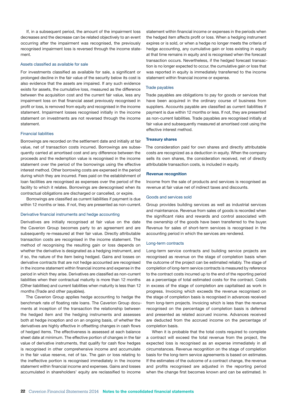If, in a subsequent period, the amount of the impairment loss decreases and the decrease can be related objectively to an event occurring after the impairment was recognised, the previously recognised impairment loss is reversed through the income statement.

#### Assets classified as available for sale

For investments classified as available for sale, a significant or prolonged decline in the fair value of the security below its cost is also evidence that the assets are impaired. If any such evidence exists for assets, the cumulative loss, measured as the difference between the acquisition cost and the current fair value, less any impairment loss on that financial asset previously recognised in profit or loss, is removed from equity and recognised in the income statement. Impairment losses recognised initially in the income statement on investments are not reversed through the income statement.

#### Financial liabilities

Borrowings are recorded on the settlement date and initially at fair value, net of transaction costs incurred. Borrowings are subsequently carried at amortised cost and any difference between the proceeds and the redemption value is recognised in the income statement over the period of the borrowings using the effective interest method. Other borrowing costs are expensed in the period during which they are incurred. Fees paid on the establishment of loan facilities are recognised as expenses over the period of the facility to which it relates. Borrowings are derecognised when its contractual obligations are discharged or cancelled, or expire.

Borrowings are classified as current liabilities if payment is due within 12 months or less. If not, they are presented as non-current.

#### Derivative financial instruments and hedge accounting

Derivatives are initially recognised at fair value on the date the Caverion Group becomes party to an agreement and are subsequently re-measured at their fair value. Directly attributable transaction costs are recognised in the income statement. The method of recognising the resulting gain or loss depends on whether the derivative is designated as a hedging instrument, and if so, the nature of the item being hedged. Gains and losses on derivative contracts that are not hedge accounted are recognised in the income statement within financial income and expense in the period in which they arise. Derivatives are classified as non-current liabilities when their contractual maturity is more than 12 months (Other liabilities) and current liabilities when maturity is less than 12 months (Trade and other payables).

The Caverion Group applies hedge accounting to hedge the benchmark rate of floating rate loans. The Caverion Group documents at inception of the transaction the relationship between the hedged item and the hedging instruments and assesses both at hedge inception and on an ongoing basis, of whether the derivatives are highly effective in offsetting changes in cash flows of hedged items. The effectiveness is assessed at each balance sheet date at minimum. The effective portion of changes in the fair value of derivative instruments, that qualify for cash flow hedges is recognised in other comprehensive income and accumulate in the fair value reserve, net of tax. The gain or loss relating to the ineffective portion is recognised immediately in the income statement within financial income and expenses. Gains and losses accumulated in shareholders' equity are reclassified to income

statement within financial income or expenses in the periods when the hedged item affects profit or loss. When a hedging instrument expires or is sold, or when a hedge no longer meets the criteria of hedge accounting, any cumulative gain or loss existing in equity at that time remains in equity and is recognised when the forecast transaction occurs. Nevertheless, if the hedged forecast transaction is no longer expected to occur, the cumulative gain or loss that was reported in equity is immediately transferred to the income statement within financial income or expense.

#### Trade payables

Trade payables are obligations to pay for goods or services that have been acquired in the ordinary course of business from suppliers. Accounts payable are classified as current liabilities if payment is due within 12 months or less. If not, they are presented as non-current liabilities. Trade payables are recognised initially at fair value and subsequently measured at amortised cost using the effective interest method.

#### Treasury shares

The consideration paid for own shares and directly attributable costs are recognized as a deduction in equity. When the company sells its own shares, the consideration received, net of directly attributable transaction costs, is included in equity.

#### Revenue recognition

Income from the sale of products and services is recognised as revenue at fair value net of indirect taxes and discounts.

#### Goods and services sold

Group provides building services as well as industrial services and maintenance. Revenue from sales of goods is recorded when the significant risks and rewards and control associated with the ownership of the goods have been transferred to the buyer. Revenue for sales of short-term services is recognised in the accounting period in which the services are rendered.

#### Long-term contracts

Long-term service contracts and building service projects are recognised as revenue on the stage of completion basis when the outcome of the project can be estimated reliably. The stage of completion of long-term service contracts is measured by reference to the contract costs incurred up to the end of the reporting period as a percentage of total estimated costs for the contract. Costs in excess of the stage of completion are capitalised as work in progress. Invoicing which exceeds the revenue recognised on the stage of completion basis is recognised in advances received from long-term projects. Invoicing which is less than the revenue recognised on the percentage of completion basis is deferred and presented as related accrued income. Advances received are deducted from the accrued income on the percentage of completion basis.

When it is probable that the total costs required to complete a contract will exceed the total revenue from the project, the expected loss is recognised as an expense immediately in all circumstances. Revenue recognition on the stage of completion basis for the long-term service agreements is based on estimates. If the estimates of the outcome of a contract change, the revenue and profits recognised are adjusted in the reporting period when the change first becomes known and can be estimated. In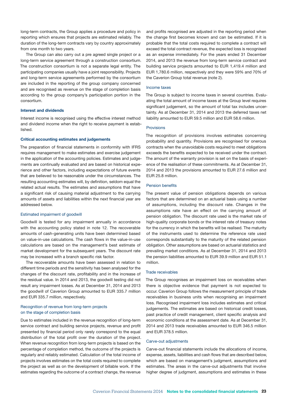long-term contracts, the Group applies a procedure and policy in reporting which ensures that projects are estimated reliably. The duration of the long-term contracts vary by country approximately from one month to two years.

The Group can also carry out a pre agreed single project or a long-term service agreement through a construction consortium. The construction consortium is not a separate legal entity. The participating companies usually have a joint responsibility. Projects and long-term service agreements performed by the consortium are included in the reporting of the group company concerned and are recognised as revenue on the stage of completion basis according to the group company's participation portion in the consortium.

#### Interest and dividends

Interest income is recognised using the effective interest method and dividend income when the right to receive payment is established.

#### Critical accounting estimates and judgements

The preparation of financial statements in conformity with IFRS requires management to make estimates and exercise judgement in the application of the accounting policies. Estimates and judgements are continually evaluated and are based on historical experience and other factors, including expectations of future events that are believed to be reasonable under the circumstances. The resulting accounting estimates will, by definition, seldom equal the related actual results. The estimates and assumptions that have a significant risk of causing material adjustment to the carrying amounts of assets and liabilities within the next financial year are addressed below.

#### Estimated impairment of goodwill

Goodwill is tested for any impairment annually in accordance with the accounting policy stated in note 12. The recoverable amounts of cash-generating units have been determined based on value-in-use calculations. The cash flows in the value-in-use calculations are based on the management's best estimate of market development for the subsequent years. The discount rate may be increased with a branch specific risk factor.

The recoverable amounts have been assessed in relation to different time periods and the sensitivity has been analysed for the changes of the discount rate, profitability and in the increase of the residual value. In 2014 and 2013, the goodwill testing did not result any impairment losses. As at December 31, 2014 and 2013 the goodwill of Caverion Group amounted to EUR 335.7 million and EUR 335.7 million, respectively.

#### Recognition of revenue from long-term projects on the stage of completion basis

Due to estimates included in the revenue recognition of long-term service contract and building service projects, revenue and profit presented by financial period only rarely correspond to the equal distribution of the total profit over the duration of the project. When revenue recognition from long-term projects is based on the percentage of completion method, the outcome of the projects is regularly and reliably estimated. Calculation of the total income of projects involves estimates on the total costs required to complete the project as well as on the development of billable work. If the estimates regarding the outcome of a contract change, the revenue

and profits recognised are adjusted in the reporting period when the change first becomes known and can be estimated. If it is probable that the total costs required to complete a contract will exceed the total contract revenue, the expected loss is recognised as an expense immediately. For the years ended 31 December 2014, and 2013 the revenue from long-term service contract and building service projects amounted to EUR 1,419.4 million and EUR 1,780.6 million, respectively and they were 59% and 70% of the Caverion Group total revenue (note 2).

#### Income taxes

The Group is subject to income taxes in several countries. Evaluating the total amount of income taxes at the Group level requires significant judgement, so the amount of total tax includes uncertainty. As at December 31, 2014 and 2013 the deferred taxes net liability amounted to EUR 59.5 million and EUR 58.6 million.

#### Provisions

The recognition of provisions involves estimates concerning probability and quantity. Provisions are recognised for onerous contracts when the unavoidable costs required to meet obligations exceeds the benefits expected to be received under the contract. The amount of the warranty provision is set on the basis of experience of the realisation of these commitments. As at December 31, 2014 and 2013 the provisions amounted to EUR 27.6 million and EUR 25.8 million.

#### Pension benefits

The present value of pension obligations depends on various factors that are determined on an actuarial basis using a number of assumptions, including the discount rate. Changes in the assumptions rate have an effect on the carrying amount of pension obligation. The discount rate used is the market rate of high-quality corporate bonds or the interest rate of treasury notes for the currency in which the benefits will be realised. The maturity of the instruments used to determine the reference rate used corresponds substantially to the maturity of the related pension obligation. Other assumptions are based on actuarial statistics and prevailing market conditions. As at December 31, 2014 and 2013 the pension liabilities amounted to EUR 39.9 million and EUR 51.1 million.

#### Trade receivables

The Group recognises an impairment loss on receivables when there is objective evidence that payment is not expected to occur. Caverion Group follows the measurement principle of trade receivables in business units when recognising an impairment loss. Recognised impairment loss includes estimates and critical judgements. The estimates are based on historical credit losses, past practice of credit management, client specific analysis and economic conditions at the assessment date. As at December 31, 2014 and 2013 trade receivables amounted to EUR 346.5 million and EUR 378.5 million.

#### Carve-out adjustments

Carve-out financial statements include the allocations of income, expense, assets, liabilities and cash flows that are described below, which are based on management's judgment, assumptions and estimates. The areas in the carve-out adjustments that involve higher degree of judgment, assumptions and estimates in these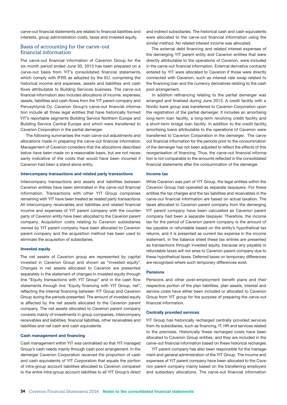carve-out financial statements are related to financial liabilities and interests, group administration costs, taxes and invested equity.

### Basis of accounting for the carve-out financial information

The carve-out financial information of Caverion Group for the six month period ended June 30, 2013 has been prepared on a carve-out basis from YIT's consolidated financial statements, which comply with IFRS as adopted by the EU, comprising the historical income and expenses, assets and liabilities and cash flows attributable to Building Services business. The carve-out financial information also includes allocations of income, expenses, assets, liabilities and cash-flows from the YIT parent company and Perusyhtymä Oy. Caverion Group's carve-out financial information include all those legal entities that have historically formed YIT's reportable segments Building Service Northern Europe and Building Service Central Europe and which were transferred to Caverion Corporation in the partial demerger.

The following summarises the main carve-out adjustments and allocations made in preparing the carve-out financial information. Management of Caverion considers that the allocations described below have been made on a reasonable basis, but are not necessarily indicative of the costs that would have been incurred if Caverion had been a stand-alone entity.

#### Intercompany transactions and related party transactions

Intercompany transactions and assets and liabilities between Caverion entities have been eliminated in the carve-out financial information. Transactions with other YIT Group companies remaining with YIT have been treated as related party transactions. All intercompany receivables and liabilities and related financial income and expenses of YIT parent company with the counterparty of Caverion entity have been allocated to the Caverion parent company. Acquisition costs relating to Caverion subsidiaries owned by YIT parent company have been allocated to Caverion parent company and the acquisition method has been used to eliminate the acquisition of subsidiaries.

#### Invested equity

The net assets of Caverion group are represented by capital invested in Caverion Group and shown as "invested equity". Changes in net assets allocated to Caverion are presented separately in the statement of changes in invested equity through line "Equity transactions with YIT Group" and in the cash flow statements through line "Equity financing with YIT Group, net", reflecting the internal financing between YIT Group and Caverion Group during the periods presented. The amount of invested equity is affected by the net assets allocated to the Caverion parent company. The net assets allocated to Caverion parent company consists mainly of investments in group companies, intercompany receivables and liabilities, financial liabilities, other receivables and liabilities and net cash and cash equivalents.

#### Cash management and financing

Cash management within YIT was centralised so that YIT managed Group's cash needs mainly through cash pool arrangement. In the demerger Caverion Corporation received the proportion of cash and cash equivalents of YIT Corporation that equals the portion of intra-group account liabilities allocated to Caverion compared to the entire intra-group account liabilities to all YIT Group's direct and indirect subsidiaries. The historical cash and cash equivalents were allocated to the carve-out financial information using the similar method. No related interest income was allocated.

The external debt financing and related interest expenses of the demerging YIT parent entity and Caverion entities that were directly attributable to the operations of Caverion, were included in the carve-out financial information. External derivative contracts entered by YIT were allocated to Caverion if those were directly connected with Caverion, such as interest rate swap related to the financing loan and the currency derivatives relating to the cash pool arrangement.

In addition refinancing relating to the partial demerger was arranged and finalised during June 2013. A credit facility with a Nordic bank group was transferred to Caverion Corporation upon the registration of the partial demerger. It includes an amortising long-term loan facility, a long-term revolving credit facility and a short-term bridge loan facility. In addition to the credit facility, amortising loans attributable to the operations of Caverion were transferred to Caverion Corporation in the demerger. The carveout financial information for the periods prior to the consummation of the demerger has not been adjusted to reflect the effects of this reorganisation of financing. Thus, the carve-out financial information is not comparable to the amounts reflected in the consolidated financial statements after the consummation of the demerger.

#### Income tax

While Caverion was part of YIT Group, the legal entities within the Caverion Group had operated as separate taxpayers. For these entities the tax charges and the tax liabilities and receivables in the carve-out financial information are based on actual taxation. The taxes allocated to Caverion parent company from the demerging YIT parent company have been calculated as Caverion parent company had been a separate taxpayer. Therefore, the income tax for the period of Caverion parent company is the amount of tax payable or refundable based on the entity's hypothetical tax returns, and it is presented as current tax expense in the income statement. In the balance sheet these tax entries are presented as transactions through invested equity, because any payable or refundable taxes will not arise to Caverion parent company due to these hypothetical taxes. Deferred taxes on temporary differences are recognised where such temporary differences exist.

#### Pensions

Pensions and other post-employment benefit plans and their respective portion of the plan liabilities, plan assets, interest and service costs have either been included or allocated to Caverion Group from YIT group for the purpose of preparing the carve-out financial information.

#### Centrally provided services

YIT Group has historically recharged centrally provided services from its subsidiaries, such as financing, IT, HR and services related to the premises. Historically these recharged costs have been allocated to Caverion Group entities, and they are included in the carve-out financial information based on these historical recharges.

YIT parent company has also been responsible for the management and general administration of the YIT Group. The income and expenses of YIT parent company have been allocated to the Caverion parent company mainly based on the transferring employers and subsidiary allocations. The carve-out financial information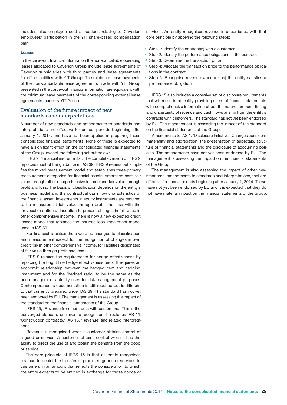includes also employee cost allocations relating to Caverion employees' participation in the YIT share-based compensation plan.

#### Leases

In the carve-out financial information the non-cancellable operating leases allocated to Caverion Group include lease agreements of Caverion subsidiaries with third parties and lease agreements for office facilities with YIT Group. The minimum lease payments of the non-cancellable lease agreements made with YIT Group presented in the carve-out financial information are equivalent with the minimum lease payments of the corresponding external lease agreements made by YIT Group.

### Evaluation of the future impact of new standardss and interpretations

A number of new standards and amendments to standards and interpretations are effective for annual periods beginning after January 1, 2014, and have not been applied in preparing these consolidated financial statements. None of these is expected to have a significant effect on the consolidated financial statements of the Group, except the following set out below:

IFRS 9, 'Financial instruments'. The complete version of IFRS 9 replaces most of the guidance in IAS 39. IFRS 9 retains but simplifies the mixed measurement model and establishes three primary measurement categories for financial assets: amortised cost, fair value through other comprehensive income and fair value through profit and loss. The basis of classification depends on the entity's business model and the contractual cash flow characteristics of the financial asset. Investments in equity instruments are required to be measured at fair value through profit and loss with the irrevocable option at inception to present changes in fair value in other comprehensive income. There is now a new expected credit losses model that replaces the incurred loss impairment model used in IAS 39.

For financial liabilities there were no changes to classification and measurement except for the recognition of changes in own credit risk in other comprehensive income, for liabilities designated at fair value through profit and loss.

IFRS 9 relaxes the requirements for hedge effectiveness by replacing the bright line hedge effectiveness tests. It requires an economic relationship between the hedged item and hedging instrument and for the 'hedged ratio' to be the same as the one management actually uses for risk management purposes. Contemporaneous documentation is still required but is different to that currently prepared under IAS 39. The standard has not yet been endorsed by EU. The management is assessing the impact of the standard on the financial statements of the Group.

IFRS 15, 'Revenue from contracts with customers.' This is the converged standard on revenue recognition. It replaces IAS 11, 'Construction contracts,' IAS 18, 'Revenue' and related interpretations.

Revenue is recognised when a customer obtains control of a good or service. A customer obtains control when it has the ability to direct the use of and obtain the benefits from the good or service.

The core principle of IFRS 15 is that an entity recognises revenue to depict the transfer of promised goods or services to customers in an amount that reflects the consideration to which the entity expects to be entitled in exchange for those goods or

services. An entity recognises revenue in accordance with that core principle by applying the following steps:

- ° Step 1: Identify the contract(s) with a customer
- <sup>o</sup> Step 2: Identify the performance obligations in the contract
- ° Step 3: Determine the transaction price
- ° Step 4: Allocate the transaction price to the performance obligations in the contract
- ° Step 5: Recognise revenue when (or as) the entity satisfies a performance obligation

IFRS 15 also includes a cohesive set of disclosure requirements that will result in an entity providing users of financial statements with comprehensive information about the nature, amount, timing and uncertainty of revenue and cash flows arising from the entity's contracts with customers. The standard has not yet been endorsed by EU. The management is assessing the impact of the standard on the financial statements of the Group.

Amendments to IAS 1: 'Disclosure Initiative'. Changes considers materiality and aggregation, the presentation of subtotals, structure of financial statements and the disclosure of accounting policies. The amendments have not yet been endorsed by EU. The management is assessing the impact on the financial statements of the Group.

The management is also assessing the impact of other new standards, amendments to standards and interpretations, that are effective for annual periods beginning after January 1, 2014. These have not yet been endorsed by EU and it is expected that they do not have material impact on the financial statements of the Group.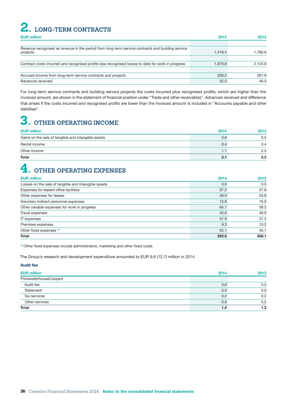## <span id="page-27-0"></span>**2. LONG-TERM CONTRACTS**

| <b>EUR million</b>                                                                                            | 2014    | 2013    |
|---------------------------------------------------------------------------------------------------------------|---------|---------|
|                                                                                                               |         |         |
| Revenue recognised as revenue in the period from long-term service contracts and building service<br>projects | 1.419.4 | 1.780.6 |
|                                                                                                               |         |         |
| Contract costs incurred and recognised profits less recognised losses to date for work in progress            | 1.876.8 | 2.124.9 |
| Accrued income from long-term service contracts and projects                                                  | 206.2   | 261.9   |
| Advances received                                                                                             | 52.0    | 46.3    |

For long-term service contracts and building service projects the costs incurred plus recognised profits, which are higher than the invoiced amount, are shown in the statement of financial position under "Trade and other receivables". Advances received and difference that arises if the costs incurred and recognised profits are lower than the invoiced amount is included in "Accounts payable and other liabilities".

# **3. OTHER OPERATING INCOME**

| <b>EUR million</b>                                  | 2014 | 2013 |
|-----------------------------------------------------|------|------|
| Gains on the sale of tangible and intangible assets | 0.6  | 0.5  |
| Rental income                                       | 0.4  | 0.4  |
| Other income                                        |      | 2.3  |
| <b>Total</b>                                        | 2.1  | 3.2  |

# **4. OTHER OPERATING EXPENSES**

| <b>Total</b>                                         | 293.0 | 308.1 |
|------------------------------------------------------|-------|-------|
| Other fixed expenses <sup>1)</sup>                   | 42.1  | 45.1  |
| Premises expenses                                    | 9.3   | 10.2  |
| <b>IT</b> expenses                                   | 31.9  | 37.2  |
| Travel expenses                                      | 45.6  | 48.9  |
| Other variable expenses for work in progress         | 64.1  | 59.3  |
| Voluntary indirect personnel expenses                | 15.8  | 16.0  |
| Other expenses for leases                            | 46.9  | 53.8  |
| Expenses for leased office facilities                | 37.2  | 37.8  |
| Losses on the sale of tangible and intangible assets | 0.0   | 0.0   |
| <b>EUR million</b>                                   | 2014  | 2013  |

<sup>1)</sup> Other fixed expenses include administrative, marketing and other fixed costs.

The Group's research and development expenditure amounted to EUR 9.6 (12.7) million in 2014.

### Audit fee

| <b>EUR million</b>     | 2014 | 2013 |
|------------------------|------|------|
| PricewaterhouseCoopers |      |      |
| Audit fee              | 0.6  | 0.5  |
| Statement              | 0.0  | 0.0  |
| Tax services           | 0.2  | 0.2  |
| Other services         | 0.6  | 0.5  |
| <b>Total</b>           | 1.4  | 1.2  |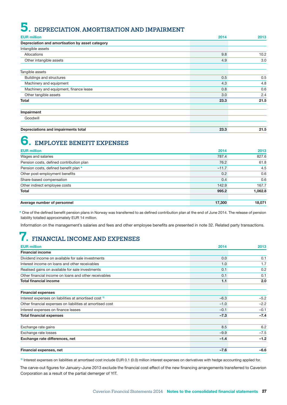# <span id="page-28-0"></span>**5. DEPRECIATION, AMORTISATION AND IMPAIRMENT**

| <b>EUR million</b>                              | 2014 | 2013 |
|-------------------------------------------------|------|------|
| Depreciation and amortisation by asset category |      |      |
| Intangible assets                               |      |      |
| Allocations                                     | 9.8  | 10.2 |
| Other intangible assets                         | 4.9  | 3.0  |
| Tangible assets                                 |      |      |
| <b>Buildings and structures</b>                 | 0.5  | 0.5  |
| Machinery and equipment                         | 4.3  | 4.8  |
| Machinery and equipment, finance lease          | 0.8  | 0.6  |
| Other tangible assets                           | 3.0  | 2.4  |
| <b>Total</b>                                    | 23.3 | 21.5 |
| Impairment                                      |      |      |
| Goodwill                                        |      |      |
| Depreciations and impairments total             | 23.3 | 21.5 |

# **6. EMPLOYEE BENEFIT EXPENSES**

| <b>EUR million</b>                       | 2014    | 2013    |
|------------------------------------------|---------|---------|
| Wages and salaries                       | 787.4   | 827.6   |
| Pension costs, defined contribution plan | 76.2    | 61.8    |
| Pension costs, defined benefit plan *    | $-11.7$ | 4.5     |
| Other post-employment benefits           | 0.2     | 0.6     |
| Share-based compensation                 | 0.4     | 0.6     |
| Other indirect employee costs            | 142.9   | 167.7   |
| <b>Total</b>                             | 995.2   | 1,062.8 |
| Average number of personnel              | 17,300  | 18.071  |

\* One of the defined benefit pension plans in Norway was transferred to as defined contribution plan at the end of June 2014. The release of pension liability totalled approximately EUR 14 million.

Information on the management's salaries and fees and other employee benefits are presented in note 32. Related party transactions.

# **7. FINANCIAL INCOME AND EXPENSES**

| <b>EUR million</b>                                               | 2014   | 2013   |
|------------------------------------------------------------------|--------|--------|
| <b>Financial income</b>                                          |        |        |
| Dividend income on available for sale investments                | 0.0    | 0.1    |
| Interest income on loans and other receivables                   | 1.0    | 1.7    |
| Realised gains on available for sale investments                 | 0.1    | 0.2    |
| Other financial income on loans and other receivables            | 0.1    | 0.1    |
| <b>Total financial income</b>                                    | 1.1    | 2.0    |
| <b>Financial expenses</b>                                        |        |        |
| Interest expenses on liabilities at amortised cost <sup>1)</sup> | $-6.3$ | $-5.2$ |
| Other financial expenses on liabilities at amortised cost        | $-1.0$ | $-2.2$ |
| Interest expenses on finance leases                              | $-0.1$ | $-0.1$ |
| <b>Total financial expenses</b>                                  | $-7.3$ | $-7.4$ |
| Exchange rate gains                                              | 8.5    | 6.2    |
| Exchange rate losses                                             | $-9.9$ | $-7.5$ |
| Exchange rate differences, net                                   | $-1.4$ | $-1.2$ |
| Financial expenses, net                                          | $-7.6$ | $-6.6$ |

1) Interest expenses on liabilities at amortised cost include EUR 0.1 (0.0) million interest expenses on derivatives with hedge accounting applied for.

The carve-out figures for January–June 2013 exclude the financial cost effect of the new financing arrangements transferred to Caverion Corporation as a result of the partial demerger of YIT.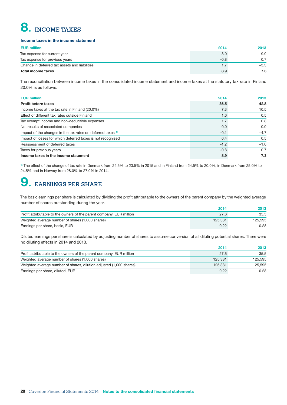# <span id="page-29-0"></span>**8. INCOME TAXES**

#### Income taxes in the income statement

| <b>EUR million</b>                            | 2014   | 2013   |
|-----------------------------------------------|--------|--------|
| Tax expense for current year                  | 8.0    | 9.9    |
| Tax expense for previous years                | $-0.8$ | 0.7    |
| Change in deferred tax assets and liabilities |        | $-3.3$ |
| Total income taxes                            | 8.9    | 7.3    |

The reconciliation between income taxes in the consolidated income statement and income taxes at the statutory tax rate in Finland 20.0% is as follows:

| <b>EUR million</b>                                                     | 2014   | 2013   |
|------------------------------------------------------------------------|--------|--------|
| <b>Profit before taxes</b>                                             | 36.5   | 42.8   |
| Income taxes at the tax rate in Finland (20.0%)                        | 7.3    | 10.5   |
| Effect of different tax rates outside Finland                          | 1.6    | 0.5    |
| Tax exempt income and non-deductible expenses                          | 1.7    | 0.8    |
| Net results of associated companies                                    | 0.0    | 0.0    |
| Impact of the changes in the tax rates on deferred taxes <sup>1)</sup> | $-0.1$ | $-4.7$ |
| Impact of losses for which deferred taxes is not recognised            | 0.4    | 0.5    |
| Reassessment of deferred taxes                                         | $-1.2$ | $-1.0$ |
| Taxes for previous years                                               | $-0.8$ | 0.7    |
| Income taxes in the income statement                                   | 8.9    | 7.3    |

1) The effect of the change of tax rate in Denmark from 24.5% to 23.5% in 2015 and in Finland from 24.5% to 20.0%, in Denmark from 25.0% to 24.5% and in Norway from 28.0% to 27.0% in 2014.

# **9. EARNINGS PER SHARE**

The basic earnings per share is calculated by dividing the profit attributable to the owners of the parent company by the weighted average number of shares outstanding during the year.

|                                                                      | 2014    | 2013    |
|----------------------------------------------------------------------|---------|---------|
| Profit attributable to the owners of the parent company, EUR million | 27.6    | 35.5    |
| Weighted average number of shares (1,000 shares)                     | 125.381 | 125.595 |
| Earnings per share, basic, EUR                                       | 0.22    | 0.28    |

Diluted earnings per share is calculated by adjusting number of shares to assume conversion of all diluting potential shares. There were no diluting effects in 2014 and 2013.

|                                                                      | 2014    | 2013    |
|----------------------------------------------------------------------|---------|---------|
| Profit attributable to the owners of the parent company, EUR million | 27.6    | 35.5    |
| Weighted average number of shares (1,000 shares)                     | 125.381 | 125.595 |
| Weighted average number of shares, dilution adjusted (1,000 shares)  | 125.381 | 125.595 |
| Earnings per share, diluted, EUR                                     | 0.22    | 0.28    |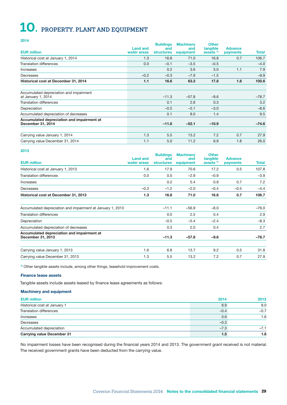# <span id="page-30-0"></span>**10. PROPERTY, PLANT AND EQUIPMENT**

#### 2014

| <b>EUR million</b>                                              | <b>Land and</b><br>water areas | <b>Buildings</b><br>and<br><b>structures</b> | <b>Machinery</b><br>and<br>equipment | <b>Other</b><br>tangible<br>assets <sup>1)</sup> | <b>Advance</b><br>payments | Total   |
|-----------------------------------------------------------------|--------------------------------|----------------------------------------------|--------------------------------------|--------------------------------------------------|----------------------------|---------|
| Historical cost at January 1, 2014                              | 1.3                            | 16.8                                         | 71.0                                 | 16.8                                             | 0.7                        | 106.7   |
| <b>Translation differences</b>                                  | 0.0                            | $-0.1$                                       | $-3.5$                               | $-0.5$                                           |                            | $-4.0$  |
| Increases                                                       |                                | 0.2                                          | 3.6                                  | 3.0                                              | 1.1                        | 7.9     |
| Decreases                                                       | $-0.2$                         | $-0.3$                                       | $-7.9$                               | $-1.5$                                           |                            | $-9.9$  |
| Historical cost at December 31, 2014                            | 1.1                            | 16.6                                         | 63.3                                 | 17.8                                             | 1.8                        | 100.6   |
| Accumulated depreciation and impairment<br>at January 1, 2014   |                                | $-11.3$                                      | $-57.8$                              | $-9.6$                                           |                            | $-78.7$ |
| Translation differences                                         |                                | 0.1                                          | 2.8                                  | 0.3                                              |                            | 3.2     |
| Depreciation                                                    |                                | $-0.5$                                       | $-5.1$                               | $-3.0$                                           |                            | $-8.6$  |
| Accumulated depreciation of decreases                           |                                | 0.1                                          | 8.0                                  | 1.4                                              |                            | 9.5     |
| Accumulated depreciation and impairment at<br>December 31, 2014 |                                | $-11.6$                                      | $-52.1$                              | $-10.9$                                          |                            | $-74.6$ |
| Carrying value January 1, 2014                                  | 1.3                            | 5.5                                          | 13.2                                 | 7.2                                              | 0.7                        | 27.9    |
| Carrying value December 31, 2014                                | 1.1                            | 5.0                                          | 11.2                                 | 6.9                                              | 1.8                        | 26.0    |

#### 2013

| <b>EUR million</b>                                              | <b>Land and</b><br>water areas | <b>Buildings</b><br>and<br><b>structures</b> | <b>Machinery</b><br>and<br>equipment | <b>Other</b><br>tangible<br>assets <sup>1)</sup> | <b>Advance</b><br>payments | Total   |
|-----------------------------------------------------------------|--------------------------------|----------------------------------------------|--------------------------------------|--------------------------------------------------|----------------------------|---------|
| Historical cost at January 1, 2013                              | 1.6                            | 17.9                                         | 70.6                                 | 17.2                                             | 0.5                        | 107.8   |
| <b>Translation differences</b>                                  | 0.0                            | 0.0                                          | $-2.9$                               | $-0.9$                                           |                            | $-3.9$  |
| Increases                                                       |                                | 0.2                                          | 5.4                                  | 0.9                                              | 0.7                        | 7.2     |
| Decreases                                                       | $-0.3$                         | $-1.2$                                       | $-2.0$                               | $-0.4$                                           | $-0.5$                     | $-4.4$  |
| Historical cost at December 31, 2013                            | 1.3                            | 16.8                                         | 71.0                                 | 16.8                                             | 0.7                        | 106.7   |
| Accumulated depreciation and impairment at January 1, 2013      |                                | $-11.1$                                      | $-56.9$                              | $-8.0$                                           |                            | $-76.0$ |
| <b>Translation differences</b>                                  |                                | 0.0                                          | 2.5                                  | 0.4                                              |                            | 2.9     |
| Depreciation                                                    |                                | $-0.5$                                       | $-5.4$                               | $-2.4$                                           |                            | $-8.3$  |
| Accumulated depreciation of decreases                           |                                | 0.3                                          | 2.0                                  | 0.4                                              |                            | 2.7     |
| Accumulated depreciation and impairment at<br>December 31, 2013 |                                | $-11.3$                                      | $-57.8$                              | $-9.6$                                           |                            | $-78.7$ |
| Carrying value January 1, 2013                                  | 1.6                            | 6.8                                          | 13.7                                 | 9.2                                              | 0.5                        | 31.8    |
| Carrying value December 31, 2013                                | 1.3                            | 5.5                                          | 13.2                                 | 7.2                                              | 0.7                        | 27.9    |

<sup>1)</sup> Other tangible assets include, among other things, leasehold improvement costs.

#### Finance lease assets

Tangible assets include assets leased by finance lease agreements as follows:

#### Machinery and equipment

| <b>EUR million</b>                | 2014   | 2013   |
|-----------------------------------|--------|--------|
| Historical cost at January 1      | 8.9    | 8.0    |
| Translation differences           | $-0.4$ | $-0.7$ |
| Increases                         | 0.6    | 1.6    |
| Decreases                         | $-0.3$ |        |
| Accumulated depreciation          | $-7.3$ | $-7.1$ |
| <b>Carrying value December 31</b> | 1.5    | 1.8    |

No impairment losses have been recognised during the financial years 2014 and 2013. The government grant received is not material. The received government grants have been deducted from the carrying value.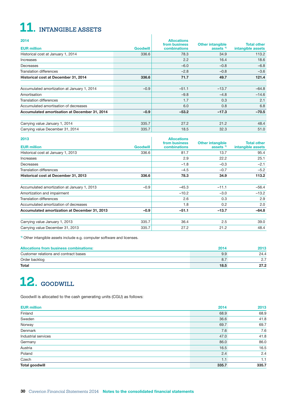# <span id="page-31-0"></span>**11. INTANGIBLE ASSETS**

| 2014<br><b>EUR million</b>                    | <b>Goodwill</b> | <b>Allocations</b><br>from business<br>combinations | <b>Other intangible</b><br>assets <sup>1)</sup> | <b>Total other</b><br>intangible assets |
|-----------------------------------------------|-----------------|-----------------------------------------------------|-------------------------------------------------|-----------------------------------------|
| Historical cost at January 1, 2014            | 336.6           | 78.3                                                | 34.9                                            | 113.2                                   |
| Increases                                     |                 | 2.2                                                 | 16.4                                            | 18.6                                    |
| Decreases                                     |                 | $-6.0$                                              | $-0.8$                                          | $-6.8$                                  |
| <b>Translation differences</b>                |                 | $-2.8$                                              | $-0.8$                                          | $-3.6$                                  |
| Historical cost at December 31, 2014          | 336.6           | 71.7                                                | 49.7                                            | 121.4                                   |
| Accumulated amortization at January 1, 2014   | $-0.9$          | $-51.1$                                             | $-13.7$                                         | $-64.8$                                 |
| Amortisation                                  |                 | $-9.8$                                              | $-4.8$                                          | $-14.6$                                 |
| <b>Translation differences</b>                |                 | 1.7                                                 | 0.3                                             | 2.1                                     |
| Accumulated amortisation of decreases         |                 | 6.0                                                 | 0.8                                             | 6.8                                     |
| Accumulated amortisation at December 31, 2014 | $-0.9$          | $-53.2$                                             | $-17.3$                                         | -70.5                                   |
| Carrying value January 1, 2014                | 335.7           | 27.2                                                | 21.2                                            | 48.4                                    |
| Carrying value December 31, 2014              | 335.7           | 18.5                                                | 32.3                                            | 51.0                                    |

 $\overline{\phantom{a}}$ 

| 2013                                          |                 | <b>Allocations</b>            |                                                 |                                         |
|-----------------------------------------------|-----------------|-------------------------------|-------------------------------------------------|-----------------------------------------|
| <b>EUR</b> million                            | <b>Goodwill</b> | from business<br>combinations | <b>Other intangible</b><br>assets <sup>1)</sup> | <b>Total other</b><br>intangible assets |
| Historical cost at January 1, 2013            | 336.6           | 81.7                          | 13.7                                            | 95.4                                    |
| Increases                                     |                 | 2.9                           | 22.2                                            | 25.1                                    |
| Decreases                                     |                 | $-1.8$                        | $-0.3$                                          | $-2.1$                                  |
| <b>Translation differences</b>                |                 | $-4.5$                        | $-0.7$                                          | $-5.2$                                  |
| Historical cost at December 31, 2013          | 336.6           | 78.3                          | 34.9                                            | 113.2                                   |
| Accumulated amortization at January 1, 2013   | $-0.9$          | $-45.3$                       | $-11.1$                                         | $-56.4$                                 |
| Amortization and impairment                   |                 | $-10.2$                       | $-3.0$                                          | $-13.2$                                 |
| <b>Translation differences</b>                |                 | 2.6                           | 0.3                                             | 2.9                                     |
| Accumulated amortization of decreases         |                 | 1.8                           | 0.2                                             | 2.0                                     |
| Accumulated amortization at December 31, 2013 | $-0.9$          | $-51.1$                       | $-13.7$                                         | $-64.8$                                 |
| Carrying value January 1, 2013                | 335.7           | 36.4                          | 2.5                                             | 39.0                                    |
| Carrying value December 31, 2013              | 335.7           | 27.2                          | 21.2                                            | 48.4                                    |

<sup>1)</sup> Other intangible assets include e.g. computer software and licenses.

| Allocations from business combinations: | 2014 | 2013 |
|-----------------------------------------|------|------|
| Customer relations and contract bases   | 9.9  | 24.4 |
| Order backlog                           | 8.7  |      |
| <b>Total</b>                            | 18.5 | 27.2 |

# 12. *GOODWILL*

Goodwill is allocated to the cash generating units (CGU) as follows:

| <b>EUR million</b>    | 2014  | 2013  |
|-----------------------|-------|-------|
| Finland               | 68.9  | 68.9  |
| Sweden                | 36.6  | 41.8  |
| Norway                | 69.7  | 69.7  |
| Denmark               | 7.6   | 7.6   |
| Industrial services   | 47.0  | 41.8  |
| Germany               | 86.0  | 86.0  |
| Austria               | 16.5  | 16.5  |
| Poland                | 2.4   | 2.4   |
| Czech                 | 1.1   | 1.1   |
| <b>Total goodwill</b> | 335.7 | 335.7 |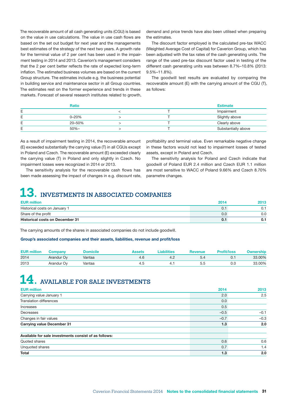<span id="page-32-0"></span>The recoverable amount of all cash generating units (CGU) is based on the value in use calculations. The value in use cash flows are based on the set out budget for next year and the managements best estimates of the strategy of the next two years. A growth rate for the terminal value of 2 per cent has been used in the impairment testing in 2014 and 2013. Caverion's management considers that the 2 per cent better reflects the rate of expected long-term inflation. The estimated business volumes are based on the current Group structure. The estimates include e.g. the business potential in building service and maintenance sector in all Group countries. The estimates rest on the former experience and trends in these markets. Forecast of several research institutes related to growth, demand and price trends have also been utilised when preparing the estimates.

The discount factor employed is the calculated pre-tax WACC (Weighted Average Cost of Capital) for Caverion Group, which has been adjusted with the tax rates of the cash generating units. The range of the used pre-tax discount factor used in testing of the different cash generating units was between 8.7%–10.8% (2013: 9.5%–11.8%).

The goodwill test results are evaluated by comparing the recoverable amount (E) with the carrying amount of the CGU (T), as follows:

|        | <b>Ratio</b> |  | <b>Estimate</b>     |
|--------|--------------|--|---------------------|
| E<br>- |              |  | Impairment          |
| Е      | $0 - 20%$    |  | Slightly above      |
| F<br>- | 20-50%       |  | Clearly above       |
| F      | $50% -$      |  | Substantially above |

As a result of impairment testing in 2014, the recoverable amount (E) exceeded substantially the carrying value (T) in all CGUs except in Poland and Czech. The recoverable amount (E) exceeded clearly the carrying value (T) in Poland and only slightly in Czech. No impairment losses were recognized in 2014 or 2013.

The sensitivity analysis for the recoverable cash flows has been made assessing the impact of changes in e.g. discount rate,

profitability and terminal value. Even remarkable negative change in these factors would not lead to impairment losses of tested assets, except in Poland and Czech.

The sensitivity analysis for Poland and Czech indicate that goodwill of Poland EUR 2.4 million and Czech EUR 1.1 million are most sensitive to WACC of Poland 9.66% and Czech 8.70% parametre changes.

# **13. INVESTMENTS IN ASSOCIATED COMPANIES**

| <b>EUR million</b>                     | 2014 | 2013 |
|----------------------------------------|------|------|
| Historical costs on January 1          |      |      |
| Share of the profit                    | 0.0  | 0.0  |
| <b>Historical costs on December 31</b> |      |      |

The carrying amounts of the shares in associated companies do not include goodwill.

#### Group's associated companies and their assets, liabilities, revenue and profit/loss

| <b>EUR million</b> | Company    | Domicile | Assets | Liabilities | Revenue | <b>Profit/loss</b> | <b>Ownership</b> |
|--------------------|------------|----------|--------|-------------|---------|--------------------|------------------|
| 2014               | Arandur Ov | Vantaa   | 4.c    |             | ວ.4     |                    | 33.00%           |
| 2013               | Arandur Ov | Vantaa   |        |             | 5.5     | 0.C                | 33.00%           |

# **14. AVAILABLE FOR SALE INVESTMENTS**

| <b>EUR million</b>                                    | 2014   | 2013   |
|-------------------------------------------------------|--------|--------|
| Carrying value January 1                              | 2.0    | 2.5    |
| <b>Translation differences</b>                        | 0.0    |        |
| Increases                                             | 0.5    |        |
| Decreases                                             | $-0.5$ | $-0.1$ |
| Changes in fair values                                | $-0.7$ | $-0.3$ |
| <b>Carrying value December 31</b>                     | 1.3    | 2.0    |
| Available for sale investments consist of as follows: |        |        |
| Quoted shares                                         | 0.6    | 0.6    |
| Unquoted shares                                       | 0.7    | 1.4    |
| Total                                                 | 1.3    | 2.0    |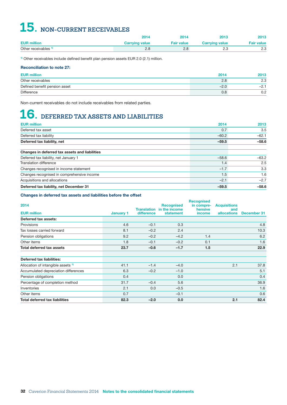# <span id="page-33-0"></span>**15. NON-CURRENT RECEIVABLES**

|                                 | 2014                  | 2014              | 2013                  | 2013              |
|---------------------------------|-----------------------|-------------------|-----------------------|-------------------|
| <b>EUR million</b>              | <b>Carrying value</b> | <b>Fair value</b> | <b>Carrying value</b> | <b>Fair value</b> |
| Other receivables <sup>1)</sup> |                       | 2.8               | ن ـ ـ                 |                   |

<sup>1)</sup> Other receivables include defined benefit plan pension assets EUR 2.0 (2.1) million.

### Reconciliation to note 27:

| <b>EUR million</b>            | 2014   | 2013  |
|-------------------------------|--------|-------|
| Other receivables             | 2.8    | 2.3   |
| Defined benefit pension asset | $-2.0$ | -2. . |
| Difference                    | 0.8    | 0.2   |

Non-current receivables do not include receivables from related parties.

# **16. DEFERRED TAX ASSETS AND LIABILITIES**

| <b>EUR million</b>                             | 2014    | 2013    |
|------------------------------------------------|---------|---------|
| Deferred tax asset                             | 0.7     | 3.5     |
| Deferred tax liability                         | $-60.2$ | $-62.1$ |
| Deferred tax liability, net                    | $-59.5$ | $-58.6$ |
| Changes in deferred tax assets and liabilities |         |         |
| Deferred tax liability, net January 1          | $-58.6$ | $-63.2$ |
| Translation difference                         | 1.4     | 2.5     |
| Changes recognised in income statement         | $-1.7$  | 3.3     |
| Changes recognised in comprehensive income     | 1.5     | 1.6     |
| Acquisitions and allocations                   | $-2.1$  | $-2.7$  |
| Deferred tax liability, net December 31        | $-59.5$ | $-58.6$ |

#### Changes in deferred tax assets and liabilities before the offset

| 2014                                          |                  |            | <b>Recognised</b>                | <b>Recognised</b><br>in compre- | <b>Acquisitions</b> |             |
|-----------------------------------------------|------------------|------------|----------------------------------|---------------------------------|---------------------|-------------|
|                                               |                  |            | <b>Translation</b> in the income | hensive                         | and                 |             |
| <b>EUR million</b>                            | <b>January 1</b> | difference | statement                        | income                          | <b>allocations</b>  | December 31 |
| Deferred tax assets:                          |                  |            |                                  |                                 |                     |             |
| <b>Provisions</b>                             | 4.6              | $-0.1$     | 0.3                              |                                 |                     | 4.8         |
| Tax losses carried forward                    | 8.1              | $-0.2$     | 2.4                              |                                 |                     | 10.3        |
| Pension obligations                           | 9.2              | $-0.2$     | $-4.2$                           | 1.4                             |                     | 6.2         |
| Other items                                   | 1.8              | $-0.1$     | $-0.2$                           | 0.1                             |                     | 1.6         |
| <b>Total deferred tax assets</b>              | 23.7             | $-0.6$     | $-1.7$                           | 1.5                             |                     | 22.9        |
| Deferred tax liabilities:                     |                  |            |                                  |                                 |                     |             |
| Allocation of intangible assets <sup>1)</sup> | 41.1             | $-1.4$     | $-4.0$                           |                                 | 2.1                 | 37.8        |
| Accumulated depreciation differences          | 6.3              | $-0.2$     | $-1.0$                           |                                 |                     | 5.1         |
| Pension obligations                           | 0.4              |            | 0.0                              |                                 |                     | 0.4         |
| Percentage of completion method               | 31.7             | $-0.4$     | 5.6                              |                                 |                     | 36.9        |
| Inventories                                   | 2.1              | 0.0        | $-0.5$                           |                                 |                     | 1.6         |
| Other items                                   | 0.7              |            | $-0.1$                           |                                 |                     | 0.6         |
| <b>Total deferred tax liabilities</b>         | 82.3             | $-2.0$     | 0.0                              |                                 | 2.1                 | 82.4        |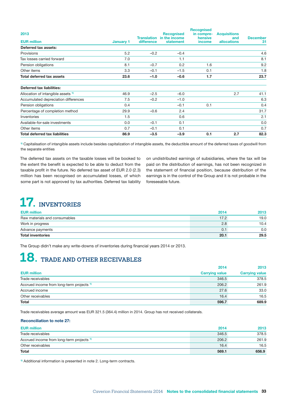<span id="page-34-0"></span>

| 2013                                          |           |                                  | <b>Recognised</b>          | <b>Recognised</b><br>in compre- | <b>Acquisitions</b>       |                       |
|-----------------------------------------------|-----------|----------------------------------|----------------------------|---------------------------------|---------------------------|-----------------------|
| <b>EUR million</b>                            | January 1 | <b>Translation</b><br>difference | in the income<br>statement | hensive<br>income               | and<br><b>allocations</b> | <b>December</b><br>31 |
| Deferred tax assets:                          |           |                                  |                            |                                 |                           |                       |
| Provisions                                    | 5.2       | $-0.2$                           | $-0.4$                     |                                 |                           | 4.6                   |
| Tax losses carried forward                    | 7.0       |                                  | 1.1                        |                                 |                           | 8.1                   |
| Pension obligations                           | 8.1       | $-0.7$                           | 0.2                        | 1.6                             |                           | 9.2                   |
| Other items                                   | 3.3       | $-0.1$                           | $-1.5$                     | 0.1                             |                           | 1.8                   |
| <b>Total deferred tax assets</b>              | 23.6      | $-1.0$                           | $-0.6$                     | 1.7                             |                           | 23.7                  |
| <b>Deferred tax liabilities:</b>              |           |                                  |                            |                                 |                           |                       |
| Allocation of intangible assets <sup>1)</sup> | 46.9      | $-2.5$                           | $-6.0$                     |                                 | 2.7                       | 41.1                  |
| Accumulated depreciation differences          | 7.5       | $-0.2$                           | $-1.0$                     |                                 |                           | 6.3                   |
| Pension obligations                           | 0.4       |                                  | $-0.1$                     | 0.1                             |                           | 0.4                   |
| Percentage of completion method               | 29.9      | $-0.6$                           | 2.4                        |                                 |                           | 31.7                  |
| Inventories                                   | 1.5       |                                  | 0.6                        |                                 |                           | 2.1                   |
| Available-for-sale investments                | 0.0       | $-0.1$                           | 0.1                        |                                 |                           | 0.0                   |
| Other items                                   | 0.7       | $-0.1$                           | 0.1                        |                                 |                           | 0.7                   |
| <b>Total deferred tax liabilities</b>         | 86.9      | $-3.5$                           | $-3.9$                     | 0.1                             | 2.7                       | 82.3                  |

1) Capitalisation of intangible assets include besides capitalization of intangible assets, the deductible amount of the deferred taxes of goodwill from the separate entities

The deferred tax assets on the taxable losses will be booked to the extent the benefit is expected to be able to deduct from the taxable profit in the future. No deferred tax asset of EUR 2.0 (2.3) million has been recognised on accumulated losses, of which some part is not approved by tax authorities. Deferred tax liability on undistributed earnings of subsidiaries, where the tax will be paid on the distribution of earnings, has not been recognized in the statement of financial position, because distribution of the earnings is in the control of the Group and it is not probable in the foreseeable future.

# **17. INVENTORIES**

| <b>EUR million</b>            | 2014 | 2013 |
|-------------------------------|------|------|
| Raw materials and consumables | 17.2 | 19.0 |
| Work in progress              | 2.8  | 10.4 |
| Advance payments              | U. - | 0.0  |
| <b>Total inventories</b>      | 20.1 | 29.5 |

The Group didn't make any write-downs of inventories during financial years 2014 or 2013.

# **18. TRADE AND OTHER RECEIVABLES**

|                                                      | 2014                  | 2013                  |
|------------------------------------------------------|-----------------------|-----------------------|
| <b>EUR million</b>                                   | <b>Carrying value</b> | <b>Carrying value</b> |
| Trade receivables                                    | 346.5                 | 378.5                 |
| Accrued income from long-term projects <sup>1)</sup> | 206.2                 | 261.9                 |
| Accrued income                                       | 27.6                  | 33.0                  |
| Other receivables                                    | 16.4                  | 16.5                  |
| <b>Total</b>                                         | 596.7                 | 689.9                 |

Trade receivables average amount was EUR 321.5 (364.4) million in 2014. Group has not received collaterals.

### Reconciliation to note 27:

| <b>EUR million</b>                                   | 2014  | 2013  |
|------------------------------------------------------|-------|-------|
| Trade receivables                                    | 346.5 | 378.5 |
| Accrued income from long-term projects <sup>1)</sup> | 206.2 | 261.9 |
| Other receivables                                    | 16.4  | 16.5  |
| <b>Total</b>                                         | 569.1 | 656.9 |

<sup>1)</sup> Additional information is presented in note 2. Long-term contracts.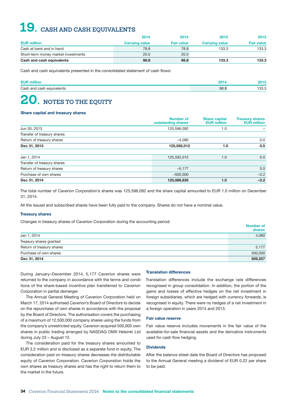# <span id="page-35-0"></span>**19. CASH AND CASH EQUIVALENTS**

|                                     | 2014                  | 2014              | 2013                  | 2013              |
|-------------------------------------|-----------------------|-------------------|-----------------------|-------------------|
| <b>EUR million</b>                  | <b>Carrying value</b> | <b>Fair value</b> | <b>Carrying value</b> | <b>Fair value</b> |
| Cash at bank and in hand            | 78.8                  | 78.8              | 133.3                 | 133.3             |
| Short-term money market investments | 20.0                  | 20.0              |                       |                   |
| Cash and cash equivalents           | 98.8                  | 98.8              | 133.3                 | 133.3             |

Cash and cash equivalents presented in the consolidated statement of cash flows:

| <b>EUR</b>                |      |      |
|---------------------------|------|------|
| Cash and cash equivalents | 98.8 | 33.3 |

# **20. NOTES TO THE EQUITY**

#### Share capital and treasury shares

|                             | <b>Number of</b><br>outstanding shares | <b>Share capital</b><br><b>EUR million</b> | <b>Treasury shares</b><br><b>EUR million</b> |
|-----------------------------|----------------------------------------|--------------------------------------------|----------------------------------------------|
| Jun 30, 2013                | 125,596,092                            | 1.0                                        |                                              |
| Transfer of treasury shares |                                        |                                            |                                              |
| Return of treasury shares   | $-4.080$                               |                                            | 0.0                                          |
| Dec 31, 2013                | 125,592,012                            | 1.0                                        | 0.0                                          |
|                             |                                        |                                            |                                              |
| Jan 1, 2014                 | 125,592,012                            | 1.0                                        | 0.0                                          |
| Transfer of treasury shares |                                        |                                            |                                              |
| Return of treasury shares   | $-5,177$                               |                                            | 0.0                                          |
| Purchase of own shares      | $-500.000$                             |                                            | $-3.2$                                       |
| Dec 31, 2014                | 125,086,835                            | 1.0                                        | $-3.2$                                       |

The total number of Caverion Corporation's shares was 125,596,092 and the share capital amounted to EUR 1.0 million on December 31, 2014.

All the issued and subscribed shares have been fully paid to the company. Shares do not have a nominal value.

#### Treasury shares

Changes in treasury shares of Caverion Corporation during the accounting period:

|                           | <b>Number of</b><br>shares |
|---------------------------|----------------------------|
| Jan 1, 2014               | 4,080                      |
| Treasury shares granted   |                            |
| Return of treasury shares | 5,177                      |
| Purchase of own shares    | 500,000                    |
| Dec 31, 2014              | 509,257                    |

During January–December 2014, 5,177 Caverion shares were returned to the company in accordance with the terms and conditions of the share-based incentive plan transferred to Caverion Corporation in partial demerger.

The Annual General Meeting of Caverion Corporation held on March 17, 2014 authorised Caverion's Board of Directors to decide on the repurchase of own shares in accordance with the proposal by the Board of Directors. The authorisation covers the purchasing of a maximum of 12,500,000 company shares using the funds from the company's unrestricted equity. Caverion acquired 500,000 own shares in public trading arranged by NASDAQ OMX Helsinki Ltd during July 23 – August 12.

The consideration paid for the treasury shares amounted to EUR 3.2 million and is disclosed as a separate fund in equity. The consideration paid on treasury shares decreases the distributable equity of Caverion Corporation. Caverion Corporation holds the own shares as treasury shares and has the right to return them to the market in the future.

#### Translation differences

Translation differences include the exchange rate differences recognised in group consolidation. In addition, the portion of the gains and losses of effective hedges on the net investment in foreign subsidiaries, which are hedged with currency forwards, is recognised in equity. There were no hedges of a net investment in a foreign operation in years 2014 and 2013.

#### Fair value reserve

Fair value reserve includes movements in the fair value of the available-for-sale financial assets and the derivative instruments used for cash flow hedging.

#### **Dividends**

After the balance sheet date the Board of Directors has proposed to the Annual General meeting a dividend of EUR 0.22 per share to be paid.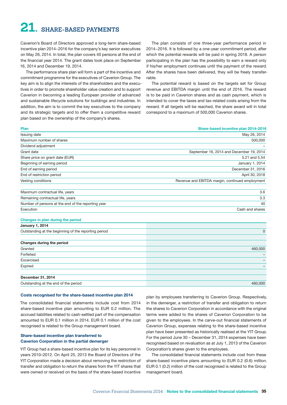# <span id="page-36-0"></span>**21. SHARE-BASED PAYMENTS**

Caverion's Board of Directors approved a long-term share-based incentive plan 2014−2016 for the company's key senior executives on May 26, 2014. In total, the plan covers 40 persons at the end of the financial year 2014. The grant dates took place on September 16, 2014 and December 19, 2014.

The performance share plan will form a part of the incentive and commitment programme for the executives of Caverion Group. The key aim is to align the interests of the shareholders and the executives in order to promote shareholder value creation and to support Caverion in becoming a leading European provider of advanced and sustainable lifecycle solutions for buildings and industries. In addition, the aim is to commit the key executives to the company and its strategic targets and to offer them a competitive reward plan based on the ownership of the company's shares.

The plan consists of one three-year performance period in 2014−2016. It is followed by a one-year commitment period, after which the potential rewards will be paid in spring 2018. A person participating in the plan has the possibility to earn a reward only if his/her employment continues until the payment of the reward. After the shares have been delivered, they will be freely transferrable.

The potential reward is based on the targets set for Group revenue and EBITDA margin until the end of 2016. The reward is to be paid in Caverion shares and as cash payment, which is intended to cover the taxes and tax-related costs arising from the reward. If all targets will be reached, the share award will in total correspond to a maximum of 500,000 Caverion shares.

| Share-based incentive plan 2014-2016            |
|-------------------------------------------------|
| May 26, 2014                                    |
| 500,000                                         |
|                                                 |
| September 16, 2014 and December 19, 2014        |
| 5.21 and 5.54                                   |
| January 1, 2014                                 |
| December 31, 2016                               |
| April 30, 2018                                  |
| Revenue and EBITDA margin, continued employment |
| 3.6                                             |
| 3.3                                             |
| 40                                              |
| Cash and shares                                 |
|                                                 |
|                                                 |
| 0                                               |
|                                                 |
| 460,000                                         |
|                                                 |
|                                                 |
|                                                 |
|                                                 |
| 460,000                                         |
|                                                 |

#### Costs recognised for the share-based incentive plan 2014

The consolidated financial statements include cost from 2014 share-based incentive plan amounting to EUR 0.2 million. The accrued liabilities related to cash-settled part of the compensation amounted to EUR 0.1 million in 2014. EUR 0.1 million of the cost recognised is related to the Group management board.

### Share-based incentive plan transferred to Caverion Corporation in the partial demerger

YIT Group had a share-based incentive plan for its key personnel in years 2010–2012. On April 25, 2013 the Board of Directors of the YIT Corporation made a decision about removing the restriction of transfer and obligation to return the shares from the YIT shares that were owned or received on the basis of the share-based incentive

plan by employees transferring to Caverion Group. Respectively, in the demerger, a restriction of transfer and obligation to return the shares to Caverion Corporation in accordance with the original terms were added to the shares of Caverion Corporation to be given to the employees. In the carve-out financial statements of Caverion Group, expenses relating to the share-based incentive plan have been presented as historically realised at the YIT Group. For the period June 30 – December 31, 2014 expenses have been recognised based on revaluation as at July 1, 2013 of the Caverion Corporation's shares given to the employees.

The consolidated financial statements include cost from these share-based incentive plans amounting to EUR 0.2 (0.6) million. EUR 0.1 (0.2) million of the cost recognised is related to the Group management board.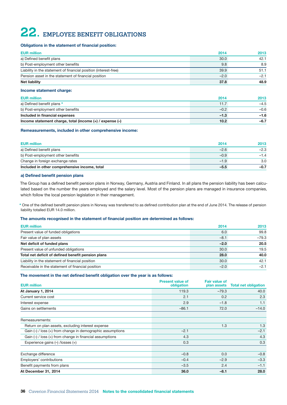# <span id="page-37-0"></span>**22. EMPLOYEE BENEFIT OBLIGATIONS**

#### Obligations in the statement of financial position:

| <b>EUR million</b>                                               | 2014   | 2013   |
|------------------------------------------------------------------|--------|--------|
| a) Defined benefit plans                                         | 30.0   | 42.1   |
| b) Post-employment other benefits                                | 9.8    | 8.9    |
| Liability in the statement of financial position (interest-free) | 39.9   | 51.1   |
| Pension asset in the statement of financial position             | $-2.0$ | $-2.1$ |
| <b>Net liability</b>                                             | 37.8   | 48.9   |

#### Income statement charge:

|  | JR million |  |
|--|------------|--|
|  |            |  |
|  |            |  |

| <b>EUR million</b>                                           | 2014   | 2013   |
|--------------------------------------------------------------|--------|--------|
| a) Defined benefit plans *                                   | 11.7   | $-4.5$ |
| b) Post-employment other benefits                            | $-0.2$ | $-0.6$ |
| Included in financial expenses                               | $-1.3$ | $-1.6$ |
| Income statement charge, total (income $(+)$ / expense $(-)$ | 10.2   | $-6.7$ |

#### Remeasurements, included in other comprehensive income:

| <b>EUR million</b>                            | 2014   | 2013   |
|-----------------------------------------------|--------|--------|
| a) Defined benefit plans                      | $-2.6$ | $-2.3$ |
| b) Post-employment other benefits             | $-0.9$ | $-1.4$ |
| Change in foreign exchange rates              | $-1.9$ | 3.0    |
| Included in other comprehensive income, total | $-5.5$ | $-0.7$ |

#### a) Defined benefit pension plans

The Group has a defined benefit pension plans in Norway, Germany, Austria and Finland. In all plans the pension liability has been calculated based on the number the years employed and the salary level. Most of the pension plans are managed in insurance companies, which follow the local pension legislation in their management.

\* One of the defined benefit pension plans in Norway was transferred to as defined contribution plan at the end of June 2014. The release of pension liability totalled EUR 14.0 million.

#### The amounts recognised in the statement of financial position are determined as follows:

| <b>EUR million</b>                                 | 2014   | 2013    |
|----------------------------------------------------|--------|---------|
| Present value of funded obligations                | 6.0    | 99.8    |
| Fair value of plan assets                          | $-8.1$ | $-79.3$ |
| Net deficit of funded plans                        | $-2.0$ | 20.5    |
| Present value of unfunded obligations              | 30.0   | 19.5    |
| Total net deficit of defined benefit pension plans | 28.0   | 40.0    |
| Liability in the statement of financial position   | 30.0   | 42.1    |
| Receivable in the statement of financial position  | $-2.0$ | $-2.1$  |

#### The movement in the net defined benefit obligation over the year is as follows:

|                                                                | <b>Present value of</b> | <b>Fair value of</b> |                             |
|----------------------------------------------------------------|-------------------------|----------------------|-----------------------------|
| <b>EUR million</b>                                             | obligation              | plan assets          | <b>Total net obligation</b> |
| At January 1, 2014                                             | 119.3                   | $-79.3$              | 40.0                        |
| Current service cost                                           | 2.1                     | 0.2                  | 2.3                         |
| Interest expense                                               | 2.9                     | $-1.8$               | 1.1                         |
| Gains on settlements                                           | $-86.1$                 | 72.0                 | $-14.0$                     |
| Remeasurements:                                                |                         |                      |                             |
| Return on plan assets, excluding interest expense              |                         | 1.3                  | 1.3                         |
| Gain $(-)$ / loss $(+)$ from change in demographic assumptions | $-2.1$                  |                      | $-2.1$                      |
| Gain $(-)$ / loss $(+)$ from change in financial assumptions   | 4.3                     |                      | 4.3                         |
| Experience gains (-) /losses (+)                               | 0.3                     |                      | 0.3                         |
| Exchange difference                                            | $-0.8$                  | 0.0                  | $-0.8$                      |
| Employers' contributions                                       | $-0.4$                  | $-2.9$               | $-3.3$                      |
| Benefit payments from plans                                    | $-3.5$                  | 2.4                  | $-1.1$                      |
| At December 31, 2014                                           | 36.0                    | $-8.1$               | 28.0                        |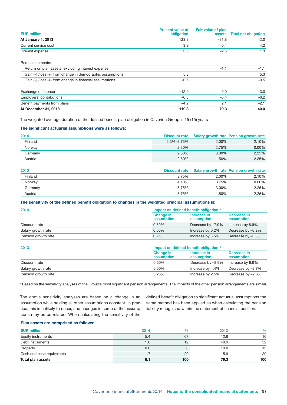| <b>EUR million</b>                                            | <b>Present value of</b><br>obligation | <b>Fair value of plan</b><br>assets | <b>Total net obligation</b> |
|---------------------------------------------------------------|---------------------------------------|-------------------------------------|-----------------------------|
| At January 1, 2013                                            | 123.8                                 | $-81.8$                             | 42.0                        |
| Current service cost                                          | 3.9                                   | 0.4                                 | 4.2                         |
| Interest expense                                              | 3.8                                   | $-2.5$                              | 1.3                         |
| Remeasurements:                                               |                                       |                                     |                             |
| Return on plan assets, excluding interest expense             |                                       | $-1.1$                              | $-1.1$                      |
| Gain $(-)$ /loss $(+)$ from change in demographic assumptions | 5.3                                   |                                     | 5.3                         |
| Gain $(-)$ /loss $(+)$ from change in financial assumptions   | $-0.5$                                |                                     | $-0.5$                      |
| Exchange difference                                           | $-12.0$                               | 9.0                                 | $-3.0$                      |
| Employers' contributions                                      | $-0.8$                                | $-5.4$                              | $-6.2$                      |
| Benefit payments from plans                                   | $-4.2$                                | 2.1                                 | $-2.1$                      |
| At December 31, 2013                                          | 119.3                                 | $-79.3$                             | 40.0                        |

The weighted average duration of the defined benefit plan obligation in Caverion Group is 15 (15) years

#### The significant actuarial assumptions were as follows:

| 2014    | <b>Discount rate</b> |          | <b>Salary growth rate Pension growth rate</b> |
|---------|----------------------|----------|-----------------------------------------------|
| Finland | 2.3%-3.75%           | 2.00%    | 2.10%                                         |
| Norway  | 2.30%                | 2.75%    | $0.00\%$                                      |
| Germany | 2.50%                | $3.00\%$ | 2.25%                                         |
| Austria | 2.50%                | 1.50%    | 2.25%                                         |

| 2013    | <b>Discount rate</b> |       | <b>Salary growth rate Pension growth rate</b> |
|---------|----------------------|-------|-----------------------------------------------|
| Finland | 3.75%                | 2.00% | 2.10%                                         |
| Norway  | 4.10%                | 3.75% | 0.60%                                         |
| Germany | 3.75%                | 3.00% | 2.25%                                         |
| Austria | 3.75%                | .50%  | 2.25%                                         |

#### The sensitivity of the defined benefit obligation to changes in the weighted principal assumptions is:

| 2014                | Impact on defined benefit obligation * |                           |                           |  |
|---------------------|----------------------------------------|---------------------------|---------------------------|--|
|                     | <b>Change in</b><br>assumption         | Increase in<br>assumption | Decrease in<br>assumption |  |
| Discount rate       | 0.50%                                  | Decrease by -7.9%         | Increase by 8.9%          |  |
| Salary growth rate  | 0.50%                                  | Increase by 0.2%          | Decrease by -0.2%,        |  |
| Pension growth rate | 0.25%                                  | Increase by 3.5%          | Decrease by -3.3%         |  |

| 2013                | Impact on defined benefit obligation * |                           |                           |  |
|---------------------|----------------------------------------|---------------------------|---------------------------|--|
|                     | <b>Change in</b><br>assumption         | Increase in<br>assumption | Decrease in<br>assumption |  |
| Discount rate       | 0.50%                                  | Decrease by -8.9%         | Increase by 9.9%          |  |
| Salary growth rate  | 0.50%                                  | Increase by 4.4%          | Decrease by -8.7%         |  |
| Pension growth rate | 0.25%                                  | Increase by 2.5%          | Decrease by -2.6%         |  |

\* Based on the sensitivity analyses of the Group's most significant pension arrangements. The impacts of the other pension arrangements are similar.

The above sensitivity analyses are based on a change in an assumption while holding all other assumptions constant. In practice, this is unlikely to occur, and changes in some of the assumptions may be correlated. When calculating the sensitivity of the

defined benefit obligation to significant actuarial assumptions the same method has been applied as when calculating the pension liability recognised within the statement of financial position.

#### Plan assets are comprised as follows:

| <b>EUR million</b>        | 2014 | %   | 2013 | $\frac{9}{6}$ |
|---------------------------|------|-----|------|---------------|
| Equity instruments        | 5.4  | 67  | 12.6 | 16            |
| Debt instruments          | 1.0  | 12  | 40.9 | 52            |
| Property                  | 0.0  |     | 10.0 | 13            |
| Cash and cash equivalents | 1.7  | 20  | 15.9 | 20            |
| Total plan assets         | 8.1  | 100 | 79.3 | 100           |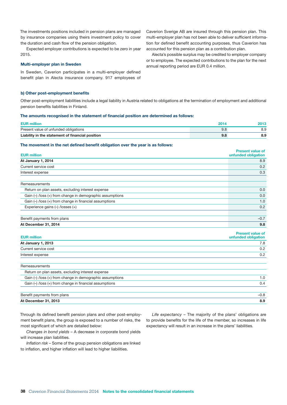The investments positions included in pension plans are managed by insurance companies using theirs investment policy to cover the duration and cash flow of the pension obligation.

Expected employer contributions is expected to be zero in year 2015.

#### Multi-employer plan in Sweden

In Sweden, Caverion participates in a multi-employer defined benefit plan in Alecta insurance company. 917 employees of

#### b) Other post-employment benefits

Other post-employment liabilities include a legal liability in Austria related to obligations at the termination of employment and additional pension benefits liabilities in Finland.

#### The amounts recognised in the statement of financial position are determined as follows:

| <b>EUR million</b>                               |     |  |
|--------------------------------------------------|-----|--|
| Present value of unfunded obligations            |     |  |
| Liability in the statement of financial position | 9.8 |  |

#### The movement in the net defined benefit obligation over the year is as follows:

| <b>EUR million</b>                                            | <b>Present value of</b><br>unfunded obligation |
|---------------------------------------------------------------|------------------------------------------------|
| At January 1, 2014                                            | 8.9                                            |
| Current service cost                                          | 0.2                                            |
| Interest expense                                              | 0.3                                            |
|                                                               |                                                |
| Remeasurements                                                |                                                |
| Return on plan assets, excluding interest expense             | 0.0                                            |
| Gain $(-)$ /loss $(+)$ from change in demographic assumptions | 0.0                                            |
| Gain $(-)$ /loss $(+)$ from change in financial assumptions   | 1.0                                            |
| Experience gains $(-)$ /losses $(+)$                          | 0.2                                            |
|                                                               |                                                |
| Benefit payments from plans                                   | $-0.7$                                         |
| At December 31, 2014                                          | 9.8                                            |

| <b>EUR million</b>   | <b>Present value of</b><br>unfunded obligation |
|----------------------|------------------------------------------------|
| At January 1, 2013   | 7.8                                            |
| Current service cost | 0.2                                            |
| Interest expense     | 0.2                                            |

| Remeasurements                                                |        |
|---------------------------------------------------------------|--------|
| Return on plan assets, excluding interest expense             |        |
| Gain $(-)$ /loss $(+)$ from change in demographic assumptions | 1.0    |
| Gain $(-)$ /loss $(+)$ from change in financial assumptions   | 0.4    |
| Benefit payments from plans                                   | $-0.8$ |
| At December 31, 2013                                          | 8.9    |

Through its defined benefit pension plans and other post-employment benefit plans, the group is exposed to a number of risks, the most significant of which are detailed below:

*Changes in bond yields* – A decrease in corporate bond yields will increase plan liabilities.

*Inflation risk* – Some of the group pension obligations are linked to inflation, and higher inflation will lead to higher liabilities.

*Life expectancy* – The majority of the plans' obligations are to provide benefits for the life of the member, so increases in life expectancy will result in an increase in the plans' liabilities.

Caverion Sverige AB are insured through this pension plan. This multi-employer plan has not been able to deliver sufficient information for defined benefit accounting purposes, thus Caverion has accounted for this pension plan as a contribution plan.

Alecta's possible surplus may be credited to employer company or to employee. The expected contributions to the plan for the next annual reporting period are EUR 0.4 million.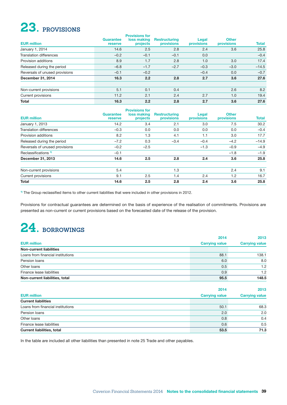# <span id="page-40-0"></span>**23. PROVISIONS**

| <b>EUR million</b>             | Guarantee<br>reserve | <b>Provisions for</b><br>loss making<br>projects | <b>Restructuring</b><br><b>provisions</b> | Legal<br>provisions | <b>Other</b><br>provisions | <b>Total</b> |
|--------------------------------|----------------------|--------------------------------------------------|-------------------------------------------|---------------------|----------------------------|--------------|
| January 1, 2014                | 14.6                 | 2.5                                              | 2.8                                       | 2.4                 | 3.6                        | 25.8         |
| <b>Translation differences</b> | $-0.2$               | $-0.1$                                           | $-0.1$                                    | 0.0                 |                            | $-0.4$       |
| Provision additions            | 8.9                  | 1.7                                              | 2.8                                       | 1.0                 | 3.0                        | 17.4         |
| Released during the period     | $-6.8$               | $-1.7$                                           | $-2.7$                                    | $-0.3$              | $-3.0$                     | $-14.5$      |
| Reversals of unused provisions | $-0.1$               | $-0.2$                                           |                                           | $-0.4$              | 0.0                        | $-0.7$       |
| December 31, 2014              | 16.3                 | 2.2                                              | 2.8                                       | 2.7                 | 3.6                        | 27.6         |
| Non-current provisions         | 5.1                  | 0.1                                              | 0.4                                       |                     | 2.6                        | 8.2          |
| Current provisions             | 11.2                 | 2.1                                              | 2.4                                       | 2.7                 | 1.0                        | 19.4         |
| <b>Total</b>                   | 16.3                 | 2.2                                              | 2.8                                       | 2.7                 | 3.6                        | 27.6         |

|                                | Guarantee | <b>Provisions for</b><br>loss making | <b>Restructuring</b> | Legal             | <b>Other</b>      |              |
|--------------------------------|-----------|--------------------------------------|----------------------|-------------------|-------------------|--------------|
| <b>EUR million</b>             | reserve   | projects                             | provisions           | <b>provisions</b> | <b>provisions</b> | <b>Total</b> |
| January 1, 2013                | 14.2      | 3.4                                  | 2.1                  | 3.0               | 7.5               | 30.2         |
| <b>Translation differences</b> | $-0.3$    | 0.0                                  | 0.0                  | 0.0               | 0.0               | $-0.4$       |
| Provision additions            | 8.2       | 1.3                                  | 4.1                  | 1.1               | 3.0               | 17.7         |
| Released during the period     | $-7.2$    | 0.3                                  | $-3.4$               | $-0.4$            | $-4.2$            | $-14.9$      |
| Reversals of unused provisions | $-0.2$    | $-2.5$                               |                      | $-1.3$            | $-0.9$            | $-4.9$       |
| Reclassifications <sup>1</sup> | $-0.1$    |                                      |                      |                   | $-1.8$            | $-1.9$       |
| December 31, 2013              | 14.6      | 2.5                                  | 2.8                  | 2.4               | 3.6               | 25.8         |
| Non-current provisions         | 5.4       |                                      | 1.3                  |                   | 2.4               | 9.1          |
| Current provisions             | 9.1       | 2.5                                  | 1.4                  | 2.4               | 1.2               | 16.7         |
| Total                          | 14.6      | 2.5                                  | 2.8                  | 2.4               | 3.6               | 25.8         |

<sup>1)</sup> The Group reclassified items to other current liabilities that were included in other provisions in 2012.

Provisions for contractual guarantees are determined on the basis of experience of the realisation of commitments. Provisions are presented as non-current or current provisions based on the forecasted date of the release of the provision.

# **24. BORROWINGS**

|                                   | 2014                  | 2013                  |
|-----------------------------------|-----------------------|-----------------------|
| <b>EUR million</b>                | <b>Carrying value</b> | <b>Carrying value</b> |
| <b>Non-current liabilities</b>    |                       |                       |
| Loans from financial institutions | 88.1                  | 138.1                 |
| Pension loans                     | 6.0                   | 8.0                   |
| Other loans                       | 0.5                   | 1.2                   |
| Finance lease liabilities         | 0.9                   | 1.2                   |
| Non-current liabilities, total    | 95.5                  | 148.5                 |

|                                   | 2014                  | 2013                  |
|-----------------------------------|-----------------------|-----------------------|
| <b>EUR million</b>                | <b>Carrying value</b> | <b>Carrying value</b> |
| <b>Current liabilities</b>        |                       |                       |
| Loans from financial institutions | 50.1                  | 68.3                  |
| Pension loans                     | 2.0                   | 2.0                   |
| Other loans                       | 0.8                   | 0.4                   |
| Finance lease liabilities         | 0.6                   | 0.5                   |
| <b>Current liabilities, total</b> | 53.5                  | 71.3                  |

In the table are included all other liabilities than presented in note 25 Trade and other payables.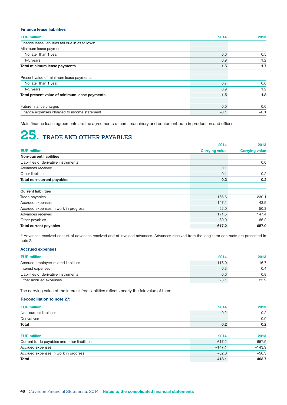### <span id="page-41-0"></span>Finance lease liabilities

| <b>EUR million</b>                                | 2014   | 2013   |
|---------------------------------------------------|--------|--------|
| Finance lease liabilities fall due in as follows: |        |        |
| Minimum lease payments                            |        |        |
| No later than 1 year                              | 0.6    | 0.5    |
| $1-5$ years                                       | 0.9    | 1.2    |
| Total minimum lease payments                      | 1.5    | 1.7    |
| Present value of minimum lease payments           |        |        |
| No later than 1 year                              | 0.7    | 0.6    |
| $1-5$ years                                       | 0.9    | 1.2    |
| Total present value of minimum lease payments     | 1.5    | 1.8    |
| Future finance charges                            | 0.0    | 0.0    |
| Finance expenses charged to income statement      | $-0.1$ | $-0.1$ |

Main finance lease agreements are the agreements of cars, machinery and equipment both in production and offices.

# **25. TRADE AND OTHER PAYABLES**

|                                       | 2014                  | 2013                  |
|---------------------------------------|-----------------------|-----------------------|
| <b>EUR million</b>                    | <b>Carrying value</b> | <b>Carrying value</b> |
| <b>Non-current liabilities</b>        |                       |                       |
| Liabilities of derivative instruments |                       | 0.0                   |
| Advances received                     | 0.1                   |                       |
| Other liabilities                     | 0.1                   | 0.2                   |
| Total non-current payables            | 0.2 <sub>0</sub>      | 0.2                   |
| <b>Current liabilities</b>            |                       |                       |
| Trade payables                        | 166.6                 | 230.1                 |
| Accrued expenses                      | 147.1                 | 143.9                 |
| Accrued expenses in work in progress  | 52.0                  | 50.3                  |
| Advances received 1)                  | 171.5                 | 147.4                 |
| Other payables                        | 80.0                  | 86.2                  |
| <b>Total current payables</b>         | 617.2                 | 657.9                 |

<sup>1)</sup> Advances received consist of advances received and of invoiced advances. Advances received from the long-term contracts are presented in note 2.

### Accrued expenses

| <b>EUR million</b>                    | 2014  | 2013  |
|---------------------------------------|-------|-------|
| Accrued employee-related liabilities  | 118.0 | 116.7 |
| Interest expenses                     | 0.3   | 0.4   |
| Liabilities of derivative instruments | 0.6   | 0.8   |
| Other accrued expenses                | 28.1  | 25.9  |

The carrying value of the interest-free liabilities reflects nearly the fair value of them.

### Reconciliation to note 27:

| <b>EUR million</b>                           | 2014     | 2013     |
|----------------------------------------------|----------|----------|
| Non-current liabilities                      | 0.2      | 0.2      |
| Derivatives                                  |          | 0.0      |
| Total                                        | 0.2      | 0.2      |
| <b>EUR million</b>                           | 2014     | 2013     |
| Current trade payables and other liabilities | 617.2    | 657.9    |
| Accrued expenses                             | $-147.1$ | $-143.9$ |
| Accrued expenses in work in progress         | $-52.0$  | $-50.3$  |
| Total                                        | 418.1    | 463.7    |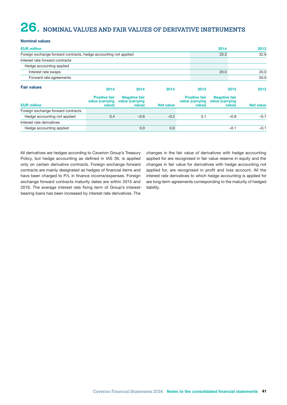# <span id="page-42-0"></span>**26. NOMINAL VALUES AND FAIR VALUES OF DERIVATIVE INSTRUMENTS**

### Nominal values

| <b>EUR million</b>                                               |                                                   | 2014                                              |                  | 2013                                              |                                         |        |                  |
|------------------------------------------------------------------|---------------------------------------------------|---------------------------------------------------|------------------|---------------------------------------------------|-----------------------------------------|--------|------------------|
| Foreign exchange forward contracts, hedge accounting not applied |                                                   |                                                   |                  |                                                   | 33.3                                    |        | 32.9             |
| Interest rate forward contracts                                  |                                                   |                                                   |                  |                                                   |                                         |        |                  |
| Hedge accounting applied                                         |                                                   |                                                   |                  |                                                   |                                         |        |                  |
| Interest rate swaps                                              |                                                   |                                                   |                  |                                                   | 20.0                                    |        | 20.0             |
| Forward rate agreements                                          |                                                   |                                                   |                  |                                                   |                                         |        | 50.0             |
| <b>Fair values</b>                                               | 2014                                              | 2014                                              | 2014             | 2013                                              |                                         | 2013   | 2013             |
| <b>EUR million</b>                                               | <b>Positive fair</b><br>value (carrying<br>value) | <b>Negative fair</b><br>value (carrying<br>value) | <b>Net value</b> | <b>Positive fair</b><br>value (carrying<br>value) | <b>Negative fair</b><br>value (carrying | value) | <b>Net value</b> |
| Foreign exchange forward contracts                               |                                                   |                                                   |                  |                                                   |                                         |        |                  |
| Hedge accounting not applied                                     | 0.4                                               | $-0.6$                                            | $-0.2$           | 0.1                                               |                                         | $-0.8$ | $-0.7$           |
| Interest rate derivatives                                        |                                                   |                                                   |                  |                                                   |                                         |        |                  |
| Hedge accounting applied                                         |                                                   | 0.0                                               | 0.0              |                                                   |                                         | $-0.1$ | $-0.1$           |

All derivatives are hedges according to Caverion Group's Treasury Policy, but hedge accounting as defined in IAS 39, is applied only on certain derivative contracts. Foreign exchange forward contracts are mainly designated as hedges of financial items and have been charged to P/L in finance income/expenses. Foreign exchange forward contracts maturity dates are within 2015 and 2016. The average interest rate fixing term of Group's interestbearing loans has been increased by interest rate derivatives. The

changes in the fair value of derivatives with hedge accounting applied for are recognised in fair value reserve in equity and the changes in fair value for derivatives with hedge accounting not applied for, are recognised in profit and loss account. All the interest rate derivatives to which hedge accounting is applied for are long-term agreements corresponding to the maturity of hedged liability.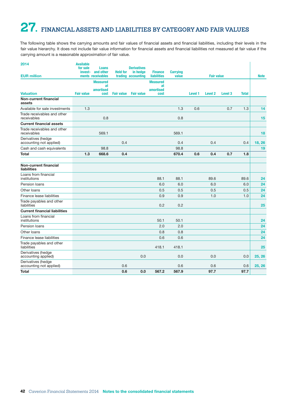# <span id="page-43-0"></span>**27. FINANCIAL ASSETS AND LIABILITIES BY CATEGORY AND FAIR VALUES**

The following table shows the carrying amounts and fair values of financial assets and financial liabilities, including their levels in the fair value hierarchy. It does not include fair value information for financial assets and financial liabilities not measured at fair value if the carrying amount is a reasonable approximation of fair value.

| 2014                                          | <b>Available</b><br>for sale | Loans<br>invest- and other         | <b>Held for</b>   | <b>Derivatives</b><br>in hedge | <b>Finance</b>                     | <b>Carrying</b> |                |                   |         |              |             |
|-----------------------------------------------|------------------------------|------------------------------------|-------------------|--------------------------------|------------------------------------|-----------------|----------------|-------------------|---------|--------------|-------------|
| <b>EUR million</b>                            |                              | ments receivables                  |                   | trading accounting             | <b>liabilities</b>                 | value           |                | <b>Fair value</b> |         |              | <b>Note</b> |
|                                               |                              | <b>Measured</b><br>at<br>amortised |                   |                                | <b>Measured</b><br>at<br>amortised |                 |                |                   |         |              |             |
| <b>Valuation</b>                              | <b>Fair value</b>            | cost                               | <b>Fair value</b> | <b>Fair value</b>              | cost                               |                 | <b>Level 1</b> | <b>Level 2</b>    | Level 3 | <b>Total</b> |             |
| <b>Non-current financial</b><br>assets        |                              |                                    |                   |                                |                                    |                 |                |                   |         |              |             |
| Available for sale investments                | 1.3                          |                                    |                   |                                |                                    | 1.3             | 0.6            |                   | 0.7     | 1.3          | 14          |
| Trade receivables and other<br>receivables    |                              | 0.8                                |                   |                                |                                    | 0.8             |                |                   |         |              | 15          |
| <b>Current financial assets</b>               |                              |                                    |                   |                                |                                    |                 |                |                   |         |              |             |
| Trade receivables and other<br>receivables    |                              | 569.1                              |                   |                                |                                    | 569.1           |                |                   |         |              | 18          |
| Derivatives (hedge<br>accounting not applied) |                              |                                    | 0.4               |                                |                                    | 0.4             |                | 0.4               |         | 0.4          | 18, 26      |
| Cash and cash equivalents                     |                              | 98.8                               |                   |                                |                                    | 98.8            |                |                   |         |              | 19          |
| <b>Total</b>                                  | 1.3                          | 668.6                              | 0.4               |                                |                                    | 670.4           | 0.6            | 0.4               | 0.7     | 1.8          |             |
| Non-current financial<br>liabilities          |                              |                                    |                   |                                |                                    |                 |                |                   |         |              |             |
| Loans from financial<br>institutions          |                              |                                    |                   |                                | 88.1                               | 88.1            |                | 89.6              |         | 89.6         | 24          |
| Pension Ioans                                 |                              |                                    |                   |                                | 6.0                                | 6.0             |                | 6.0               |         | 6.0          | 24          |
| Other loans                                   |                              |                                    |                   |                                | 0.5                                | 0.5             |                | 0.5               |         | 0.5          | 24          |
| Finance lease liabilities                     |                              |                                    |                   |                                | 0.9                                | 0.9             |                | 1.0               |         | 1.0          | 24          |
| Trade payables and other<br>liabilities       |                              |                                    |                   |                                | 0.2                                | 0.2             |                |                   |         |              | 25          |
| <b>Current financial liabilities</b>          |                              |                                    |                   |                                |                                    |                 |                |                   |         |              |             |
| Loans from financial<br>institutions          |                              |                                    |                   |                                | 50.1                               | 50.1            |                |                   |         |              | 24          |
| Pension loans                                 |                              |                                    |                   |                                | 2.0                                | 2.0             |                |                   |         |              | 24          |
| Other loans                                   |                              |                                    |                   |                                | 0.8                                | 0.8             |                |                   |         |              | 24          |
| Finance lease liabilities                     |                              |                                    |                   |                                | 0.6                                | 0.6             |                |                   |         |              | 24          |
| Trade payables and other<br>liabilities       |                              |                                    |                   |                                | 418.1                              | 418.1           |                |                   |         |              | 25          |
| Derivatives (hedge<br>accounting applied)     |                              |                                    |                   | 0.0                            |                                    | 0.0             |                | 0.0               |         | 0.0          | 25, 26      |
| Derivatives (hedge<br>accounting not applied) |                              |                                    | 0.6               |                                |                                    | 0.6             |                | 0.6               |         | 0.6          | 25, 26      |
| <b>Total</b>                                  |                              |                                    | 0.6               | 0.0                            | 567.2                              | 567.9           |                | 97.7              |         | 97.7         |             |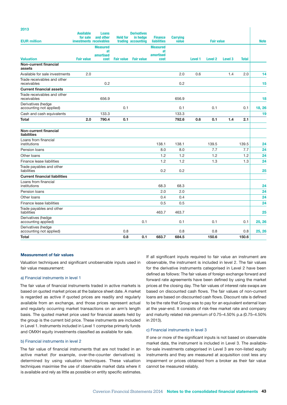#### 2013

| ט ו טב                                        | <b>Available</b><br>for sale | Loans<br>and other | <b>Held for</b>   | <b>Derivatives</b><br>in hedge | <b>Finance</b>     | <b>Carrying</b> |         |                    |         |              |             |
|-----------------------------------------------|------------------------------|--------------------|-------------------|--------------------------------|--------------------|-----------------|---------|--------------------|---------|--------------|-------------|
| <b>EUR million</b>                            | investments receivables      |                    |                   | trading accounting             | <b>liabilities</b> | value           |         | <b>Fair value</b>  |         |              | <b>Note</b> |
|                                               |                              | <b>Measured</b>    |                   |                                | <b>Measured</b>    |                 |         |                    |         |              |             |
|                                               |                              | at<br>amortised    |                   |                                | at<br>amortised    |                 |         |                    |         |              |             |
| <b>Valuation</b>                              | <b>Fair value</b>            | cost               | <b>Fair value</b> | <b>Fair value</b>              | cost               |                 | Level 1 | Level <sub>2</sub> | Level 3 | <b>Total</b> |             |
| Non-current financial<br>assets               |                              |                    |                   |                                |                    |                 |         |                    |         |              |             |
| Available for sale investments                | 2.0                          |                    |                   |                                |                    | 2.0             | 0.6     |                    | 1.4     | 2.0          | 14          |
| Trade receivables and other<br>receivables    |                              | 0.2                |                   |                                |                    | 0.2             |         |                    |         |              | 15          |
| <b>Current financial assets</b>               |                              |                    |                   |                                |                    |                 |         |                    |         |              |             |
| Trade receivables and other<br>receivables    |                              | 656.9              |                   |                                |                    | 656.9           |         |                    |         |              | 18          |
| Derivatives (hedge<br>accounting not applied) |                              |                    | 0.1               |                                |                    | 0.1             |         | 0.1                |         | 0.1          | 18, 26      |
| Cash and cash equivalents                     |                              | 133.3              |                   |                                |                    | 133.3           |         |                    |         |              | 19          |
| Total                                         | 2.0                          | 790.4              | 0.1               |                                |                    | 792.6           | 0.6     | 0.1                | 1.4     | 2.1          |             |
| <b>Non-current financial</b><br>liabilities   |                              |                    |                   |                                |                    |                 |         |                    |         |              |             |
| Loans from financial<br>institutions          |                              |                    |                   |                                | 138.1              | 138.1           |         | 139.5              |         | 139.5        | 24          |
| Pension Ioans                                 |                              |                    |                   |                                | 8.0                | 8.0             |         | 7.7                |         | 7.7          | 24          |
| Other loans                                   |                              |                    |                   |                                | 1.2                | 1.2             |         | 1.2                |         | 1.2          | 24          |
| Finance lease liabilities                     |                              |                    |                   |                                | 1.2                | 1.2             |         | 1.3                |         | 1.3          | 24          |
| Trade payables and other<br>liabilities       |                              |                    |                   |                                | 0.2                | 0.2             |         |                    |         |              | 25          |
| <b>Current financial liabilities</b>          |                              |                    |                   |                                |                    |                 |         |                    |         |              |             |
| Loans from financial<br>institutions          |                              |                    |                   |                                | 68.3               | 68.3            |         |                    |         |              | 24          |
| Pension loans                                 |                              |                    |                   |                                | 2.0                | 2.0             |         |                    |         |              | 24          |
| Other loans                                   |                              |                    |                   |                                | 0.4                | 0.4             |         |                    |         |              | 24          |
| <b>Finance lease liabilities</b>              |                              |                    |                   |                                | 0.5                | 0.5             |         |                    |         |              | 24          |
| Trade payables and other<br>liabilities       |                              |                    |                   |                                | 463.7              | 463.7           |         |                    |         |              | 25          |
| Derivatives (hedge<br>accounting applied)     |                              |                    |                   | 0.1                            |                    | 0.1             |         | 0.1                |         | 0.1          | 25, 26      |
| Derivatives (hedge<br>accounting not applied) |                              |                    | 0.8               |                                |                    | 0.8             |         | 0.8                |         | 0.8          | 25, 26      |
| Total                                         |                              |                    | 0.8               | 0.1                            | 683.7              | 684.5           |         | 150.6              |         | 150.6        |             |

#### Measurement of fair values

Valuation techniques and significant unobservable inputs used in fair value measurement:

#### a) Financial instruments in level 1

The fair value of financial instruments traded in active markets is based on quoted market prices at the balance sheet date. A market is regarded as active if quoted prices are readily and regularly available from an exchange, and those prices represent actual and regularly occurring market transactions on an arm's length basis. The quoted market price used for financial assets held by the group is the current bid price. These instruments are included in Level 1. Instruments included in Level 1 comprise primarily funds and OMXH equity investments classified as available for sale.

#### b) Financial instruments in level 2

The fair value of financial instruments that are not traded in an active market (for example, over-the-counter derivatives) is determined by using valuation techniques. These valuation techniques maximise the use of observable market data where it is available and rely as little as possible on entity specific estimates.

If all significant inputs required to fair value an instrument are observable, the instrument is included in level 2. The fair values for the derivative instruments categorised in Level 2 have been defined as follows: The fair values of foreign exchange forward and forward rate agreements have been defined by using the market prices at the closing day. The fair values of interest rate swaps are based on discounted cash flows. The fair values of non-current loans are based on discounted cash flows. Discount rate is defined to be the rate that Group was to pay for an equivalent external loan at the year-end. It consists of risk-free market rate and company and maturity related risk premium of 0.75–4.50% p.a (0.75–4.50% in 2013).

#### c) Financial instruments in level 3

If one or more of the significant inputs is not based on observable market data, the instrument is included in Level 3. The availablefor-sale investments categorised in Level 3 are non-listed equity instruments and they are measured at acquisition cost less any impairment or prices obtained from a broker as their fair value cannot be measured reliably.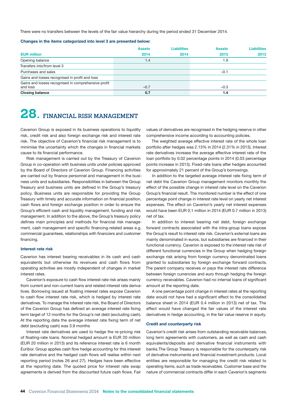<span id="page-45-0"></span>There were no transfers between the levels of the fair value hierarchy during the period ended 31 December 2014.

#### Changes in the items categorized into level 3 are presented below:

|                                                                 | <b>Assets</b> | <b>Liabilities</b> | <b>Assets</b> | <b>Liabilities</b> |
|-----------------------------------------------------------------|---------------|--------------------|---------------|--------------------|
| <b>EUR million</b>                                              | 2014          | 2014               | 2013          | 2013               |
| Opening balance                                                 | 1.4           |                    | 1.9           |                    |
| Transfers into/from level 3                                     |               |                    |               |                    |
| Purchases and sales                                             |               |                    | $-0.1$        |                    |
| Gains and losses recognised in profit and loss                  |               |                    |               |                    |
| Gains and losses recognised in comprehensive profit<br>and loss | $-0.7$        |                    | $-0.3$        |                    |
| <b>Closing balance</b>                                          | 0.7           |                    | 1.4           |                    |

# **28. FINANCIAL RISK MANAGEMENT**

Caverion Group is exposed in its business operations to liquidity risk, credit risk and also foreign exchange risk and interest rate risk. The objective of Caverion's financial risk management is to minimise the uncertainty which the changes in financial markets cause to its financial performance.

Risk management is carried out by the Treasury of Caverion Group in co-operation with business units under policies approved by the Board of Directors of Caverion Group. Financing activities are carried out by finance personnel and management in the business units and subsidiaries. Responsibilities in between the Group Treasury and business units are defined in the Group's treasury policy. Business units are responsible for providing the Group Treasury with timely and accurate information on financial position, cash flows and foreign exchange position in order to ensure the Group's efficient cash and liquidity management, funding and risk management. In addition to the above, the Group's treasury policy defines main principles and methods for financial risk management, cash management and specific financing-related areas e.g. commercial guarantees, relationships with financiers and customer financing.

#### Interest rate risk

Caverion has interest bearing receivables in its cash and cash equivalents but otherwise its revenues and cash flows from operating activities are mostly independent of changes in market interest rates.

Caverion's exposure to cash flow interest rate risk arises mainly from current and non-current loans and related interest rate derivatives. Borrowing issued at floating interest rates expose Caverion to cash flow interest rate risk, which is hedged by interest rate derivatives. To manage the interest rate risk, the Board of Directors of the Caverion Group has defined an average interest rate fixing term target of 12 months for the Group's net debt (excluding cash). At the reporting date the average interest rate fixing term of net debt (excluding cash) was 3.9 months

Interest rate derivatives are used to hedge the re-pricing risk of floating-rate loans. Nominal hedged amount is EUR 20 million (EUR 20 million in 2013) and its reference interest rate is 6 month Euribor. Group applies cash flow hedge accounting for this interest rate derivative and the hedged cash flows will realise within next reporting period (notes 26 and 27). Hedges have been effective at the reporting date. The quoted price for interest rate swap agreements is derived from the discounted future cash flows. Fair values of derivatives are recognised in the hedging reserve in other comprehensive income according to accounting policies.

The weighted average effective interest rate of the whole loan portfolio after hedges was 2.13% in 2014 (2.31% in 2013). Interest rate derivatives increase the average effective interest rate of the loan portfolio by 0.02 percentage points in 2014 (0.03 percentage points increase in 2013). Fixed-rate loans after hedges accounted for approximately 21 percent of the Group's borrowings.

In addition to the targeted average interest rate fixing term of net debt the Caverion Group management monitors monthly the effect of the possible change in interest rate level on the Caverion Group's financial result. The monitored number is the effect of one percentage point change in interest rate level on yearly net interest expenses. The effect on Caverion's yearly net interest expenses would have been EUR 0.1 million in 2014 (EUR 0.7 million in 2013) net of tax.

In addition to interest bearing net debt, foreign exchange forward contracts associated with the intra-group loans expose the Group's result to interest rate risk. Caverion's external loans are mainly denominated in euros, but subsidiaries are financed in their functional currency. Caverion is exposed to the interest rate risk of different functional currencies in the Group when hedging foreign exchange risk arising from foreign currency denominated loans granted to subsidiaries by foreign exchange forward contracts. The parent company receives or pays the interest rate difference between foreign currencies and euro through hedging the foreign currency receivables. Caverion had no internal loans of significant amount at the reporting date.

A one percentage point change in interest rates at the reporting date would not have had a significant effect to the consolidated balance sheet in 2014 (EUR 0.4 million in 2013) net of tax. The effect would have changed the fair values of the interest rate derivatives in hedge accounting, in the fair value reserve in equity.

#### Credit and counterparty risk

Caverion's credit risk arises from outstanding receivable balances, long term agreements with customers, as well as cash and cash equivalents/deposits and derivative financial instruments with banks.The Group Treasury is responsible for the counterparty risk of derivative instruments and financial investment products. Local entities are responsible for managing the credit risk related to operating items, such as trade receivables. Customer base and the nature of commercial contracts differ in each Caverion's segments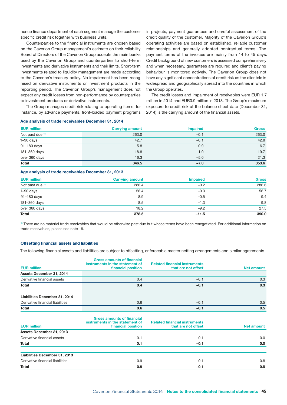hence finance department of each segment manage the customer specific credit risk together with business units.

Counterparties to the financial instruments are chosen based on the Caverion Group management's estimate on their reliability. Board of Directors of the Caverion Group accepts the main banks used by the Caverion Group and counterparties to short-term investments and derivative instruments and their limits. Short-term investments related to liquidity management are made according to the Caverion's treasury policy. No impairment has been recognised on derivative instruments or investment products in the reporting period. The Caverion Group's management does not expect any credit losses from non-performance by counterparties to investment products or derivative instruments.

The Group manages credit risk relating to operating items, for instance, by advance payments, front-loaded payment programs

#### Age analysis of trade receivables December 31, 2014

in projects, payment guarantees and careful assessment of the credit quality of the customer. Majority of the Caverion Group's operating activities are based on established, reliable customer relationships and generally adopted contractual terms. The payment terms of the invoices are mainly from 14 to 45 days. Credit background of new customers is assessed comprehensively and when necessary, guarantees are required and client's paying behaviour is monitored actively. The Caverion Group does not have any significant concentrations of credit risk as the clientele is widespread and geographically spread into the countries in which the Group operates.

The credit losses and impairment of receivables were EUR 1.7 million in 2014 and EUR0.9 million in 2013. The Group's maximum exposure to credit risk at the balance sheet date (December 31, 2014) is the carrying amount of the financial assets.

| <b>EUR million</b>         | <b>Carrying amount</b> | <b>Impaired</b> | <b>Gross</b> |
|----------------------------|------------------------|-----------------|--------------|
| Not past due <sup>1)</sup> | 263.0                  | $-0.1$          | 263.0        |
| $1-90$ days                | 42.7                   | $-0.1$          | 42.8         |
| 91-180 days                | 5.8                    | $-0.9$          | 6.7          |
| 181-360 days               | 18.8                   | $-1.0$          | 19.7         |
| over 360 days              | 16.3                   | $-5.0$          | 21.3         |
| <b>Total</b>               | 346.5                  | $-7.0$          | 353.6        |

#### Age analysis of trade receivables December 31, 2013

| <b>EUR million</b>         | <b>Carrying amount</b> | <b>Impaired</b> | <b>Gross</b> |
|----------------------------|------------------------|-----------------|--------------|
| Not past due <sup>1)</sup> | 286.4                  | $-0.2$          | 286.6        |
| $1-90$ days                | 56.4                   | $-0.3$          | 56.7         |
| 91-180 days                | 8.9                    | $-0.5$          | 9.4          |
| 181-360 days               | 8.5                    | $-1.3$          | 9.8          |
| over 360 days              | 18.2                   | $-9.2$          | 27.5         |
| <b>Total</b>               | 378.5                  | $-11.5$         | 390.0        |

1) There are no material trade receivables that would be otherwise past due but whose terms have been renegotiated. For additional information on trade receivables, please see note 18.

#### Offsetting financial assets and liabilities

The following financial assets and liabilities are subject to offsetting, enforceable master netting arrangements and similar agreements.

| <b>EUR million</b>               | <b>Gross amounts of financial</b><br>instruments in the statement of<br>financial position | <b>Related financial instruments</b><br>that are not offset | <b>Net amount</b> |
|----------------------------------|--------------------------------------------------------------------------------------------|-------------------------------------------------------------|-------------------|
|                                  |                                                                                            |                                                             |                   |
| Assets December 31, 2014         |                                                                                            |                                                             |                   |
| Derivative financial assets      | 0.4                                                                                        | $-0.1$                                                      | 0.3               |
| <b>Total</b>                     | 0.4                                                                                        | $-0.1$                                                      | 0.3               |
| Liabilities December 31, 2014    |                                                                                            |                                                             |                   |
| Derivative financial liabilities | 0.6                                                                                        | $-0.1$                                                      | 0.5               |
| Total                            | 0.6                                                                                        | $-0.1$                                                      | 0.5               |
| <b>EUR million</b>               | <b>Gross amounts of financial</b><br>instruments in the statement of<br>financial position | <b>Related financial instruments</b><br>that are not offset | <b>Net amount</b> |
| Assets December 31, 2013         |                                                                                            |                                                             |                   |
| Derivative financial assets      | 0.1                                                                                        | $-0.1$                                                      | 0.0               |
| Total                            | 0.1                                                                                        | $-0.1$                                                      | 0.0               |
| Liabilities December 31, 2013    |                                                                                            |                                                             |                   |
| Derivative financial liabilities | 0.9                                                                                        | $-0.1$                                                      | 0.8               |
| <b>Total</b>                     | 0.9                                                                                        | $-0.1$                                                      | 0.8               |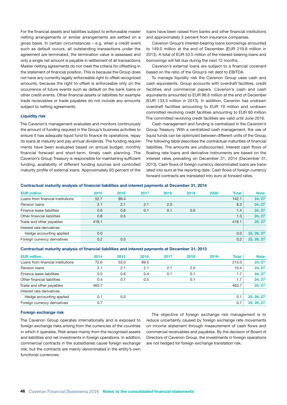For the financial assets and liabilities subject to enforceable master netting arrangements or similar arrangements are settled on a gross basis. In certain circumstances – e.g. when a credit event such as default occurs, all outstanding transactions under the agreement are terminated, the termination value is assessed and only a single net amount is payable in settlement of all transactions. Master netting agreements do not meet the criteria for offsetting in the statement of financial position. This is because the Group does not have any currently legally enforceable right to offset recognized amounts, because the right to offset is enforceable only on the occurrence of future events such as default on the bank loans or other credit events. Other financial assets or liabilities for example trade receivables or trade payables do not include any amounts subject to netting agreements.

#### Liquidity risk

The Caverion's management evaluates and monitors continuously the amount of funding required in the Group's business activities to ensure it has adequate liquid fund to finance its operations, repay its loans at maturity and pay annual dividends. The funding requirements have been evaluated based on annual budget, monthly financial forecast and short-term, timely cash planning. The Caverion's Group Treasury is responsible for maintaining sufficient funding, availability of different funding sources and controlled maturity profile of external loans. Approximately 93 percent of the

loans have been raised from banks and other financial institutions and approximately 5 percent from insurance companies.

Caverion Group's interest-bearing loans borrowings amounted to 149.0 million at the end of December (EUR 219.8 million in 2013). A total of EUR 53.5 million of the interest-bearing loans and borrowings will fall due during the next 12 months.

Caverion's external loans are subject to a financial covenant based on the ratio of the Group's net debt to EBITDA.

To manage liquidity risk the Caverion Group uses cash and cash equivalents, Group accounts with overdraft facilities, credit facilities and commercial papers. Caverion's cash and cash equivalents amounted to EUR 98.8 million at the end of December (EUR 133.3 million in 2013). In addition, Caverion has undrawn overdraft facilities amounting to EUR 19 million and undrawn committed revolving credit facilities amounting to EUR 60 million. The committed revolving credit facilities are valid until June 2016.

Cash management and funding is centralized in the Caverion's Group Treasury. With a centralized cash management, the use of liquid funds can be optimized between different units of the Group. The following table describes the contractual maturities of financial liabilities. The amounts are undiscounted. Interest cash flows of floating rate loans and derivative instruments are based on the interest rates prevailing on December 31, 2014 (December 31, 2013). Cash flows of foreign currency denominated loans are translated into euro at the reporting date. Cash flows of foreign currency forward contracts are translated into euro at forward rates.

#### Contractual maturity analysis of financial liabilities and interest payments at December 31, 2014

| <b>EUR million</b>                | 2015  | 2016 | 2017 | 2018 | 2019 | $2020 -$ | <b>Total</b> | <b>Note</b> |
|-----------------------------------|-------|------|------|------|------|----------|--------------|-------------|
| Loans from financial institutions | 52.7  | 89.4 |      |      |      |          | 142.1        | 24, 27      |
| Pension loans                     | 2.1   | 2.1  | 2.1  | 2.0  |      |          | 8.3          | 24, 27      |
| Finance lease liabilities         | 0.6   | 0.6  | 0.1  | 0.1  | 0.0  |          | 1.4          | 24, 27      |
| Other financial liabilities       | 0.8   | 0.5  |      |      |      |          | 1.3          | 24, 27      |
| Trade and other payables          | 418.1 |      |      |      |      |          | 418.1        | 25, 27      |
| Interest rate derivatives         |       |      |      |      |      |          |              |             |
| Hedge accounting applied          | 0.0   |      |      |      |      |          | 0.0          | 25, 26, 27  |
| Foreign currency derivatives      | 0.2   | 0.0  |      |      |      |          | 0.2          | 25, 26, 27  |

#### Contractual maturity analysis of financial liabilities and interest payments at December 31, 2013

| <b>EUR million</b>                | 2014  | 2015 | 2016 | 2017 | 2018 | $2019 -$ | <b>Total</b> | <b>Note</b> |
|-----------------------------------|-------|------|------|------|------|----------|--------------|-------------|
| Loans from financial institutions | 72.6  | 53.0 | 89.5 |      |      |          | 215.0        | 24, 27      |
| Pension loans                     | 2.1   | 2.1  | 2.1  | 2.1  | 2.0  |          | 10.4         | 24, 27      |
| Finance lease liabilities         | 0.5   | 0.6  | 0.4  | 0.1  | 0.1  |          | 1.7          | 24, 27      |
| Other financial liabilities       | 0.4   | 0.7  | 0.5  |      | 0.1  |          | 1.7          | 24, 27      |
| Trade and other payables          | 463.7 |      |      |      |      |          | 463.7        | 25.27       |
| Interest rate derivatives         |       |      |      |      |      |          |              |             |
| Hedge accounting applied          | 0.1   | 0.0  |      |      |      |          | 0.1          | 25, 26, 27  |
| Foreign currency derivatives      | 0.7   |      |      |      |      |          | 0.7          | 25, 26, 27  |

#### Foreign exchange risk

The Caverion Group operates internationally and is exposed to foreign exchange risks arising from the currencies of the countries in which it operates. Risk arises mainly from the recognised assets and liabilities and net investments in foreign operations. In addition, commercial contracts in the subsidiaries cause foreign exchange risk, but the contracts are mainly denominated in the entity's own functional currencies.

The objective of foreign exchange risk management is to reduce uncertainty caused by foreign exchange rate movements on income statement through measurement of cash flows and commercial receivables and payables. By the decision of Board of Directors of Caverion Group, the investments in foreign operations are not hedged for foreign exchange translation risk.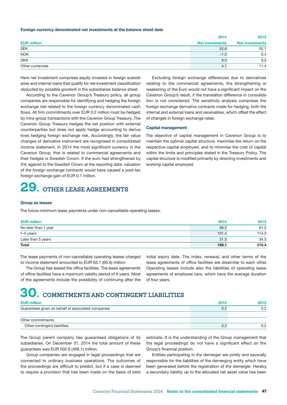#### <span id="page-48-0"></span>Foreign currency denominated net investments at the balance sheet date

|                    | 2014                   | 2013                   |
|--------------------|------------------------|------------------------|
| <b>EUR million</b> | <b>Net investments</b> | <b>Net investments</b> |
| <b>SEK</b>         | 52.6                   | 52.1                   |
| <b>NOK</b>         | $-1.5$                 | 0.4                    |
| <b>DKK</b>         | 9.0                    | 9.5                    |
| Other currencies   | 4.1                    | 11.4                   |

Here net investment comprises equity invested in foreign subsidiaries and internal loans that qualify for net investment classification deducted by possible goodwill in the subsidiaries balance sheet.

According to the Caverion Group's Treasury policy, all group companies are responsible for identifying and hedging the foreign exchange risk related to the foreign currency denominated cash flows. All firm commitments over EUR 0.2 million must be hedged, by intra-group transactions with the Caverion Group Treasury. The Caverion Group Treasury hedges the net position with external counterparties but does not apply hedge accounting to derivatives hedging foreign exchange risk. Accordingly, the fair value changes of derivative instrument are recognised in consolidated income statement. In 2014 the most significant currency in the Caverion Group, that is related to commercial agreements and their hedges is Swedish Crown. If the euro had strengthened by 5% against to the Swedish Crown at the reporting date, valuation of the foreign exchange contracts would have caused a post-tax foreign exchange gain of EUR 0.1 million.

# **29. OTHER LEASE AGREEMENTS**

Excluding foreign exchange differences due to derivatives relating to the commercial agreements, the strengthening or weakening of the Euro would not have a significant impact on the Caverion Group's result, if the translation difference in consolidation is not considered. The sensitivity analysis comprises the foreign exchange derivative contracts made for hedging, both the internal and external loans and receivables, which offset the effect of changes in foreign exchange rates.

#### Capital management

The objective of capital management in Caverion Group is to maintain the optimal capital structure, maximise the return on the respective capital employed, and to minimise the cost of capital within the limits and principles stated in the Treasury Policy. The capital structure is modified primarily by directing investments and working capital employed.

#### Group as lessee

The future minimum lease payments under non-cancellable operating leases:

| <b>EUR million</b>   | 2014  | 2013  |
|----------------------|-------|-------|
| No later than 1 year | 56.2  | 61.5  |
| 1-5 years            | 101.4 | 114.3 |
| Later than 5 years   | 31.5  | 34.5  |
| <b>Total</b>         | 189.1 | 210.4 |

The lease payments of non-cancellable operating leases charged to income statement amounted to EUR 63.1 (60.6) million.

The Group has leased the office facilities. The lease agreements of office facilities have a maximum validity period of 9 years. Most of the agreements include the possibility of continuing after the

initial expiry date. The index, renewal, and other terms of the lease agreements of office facilities are dissimilar to each other. Operating leases include also the liabilities of operating lease agreements of employee cars, which have the average duration of four years.

## **30. COMMITMENTS AND CONTINGENT LIABILITIES**

| <b>EUR million</b>                                 | 2014 | 2013 |
|----------------------------------------------------|------|------|
| Guarantees given on behalf of associated companies | 0.2  | 0.2  |
| Other commitments                                  |      |      |
| Other contingent liabilities                       |      | 0.2  |

The Group parent company has guaranteed obligations of its subsidiaries. On December 31, 2014 the total amount of these guarantees was EUR 502.8 (468.1) million.

Group companies are engaged in legal proceedings that are connected to ordinary business operations. The outcomes of the proceedings are difficult to predict, but if a case is deemed to require a provision that has been made on the basis of best

estimate. It is the understanding of the Group management that the legal proceedings do not have a significant effect on the Group's financial position.

Entities participating in the demerger are jointly and severally responsible for the liabilities of the demerging entity which have been generated before the registration of the demerger. Hereby, a secondary liability up to the allocated net asset value has been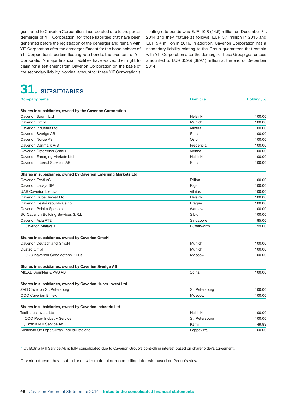<span id="page-49-0"></span>generated to Caverion Corporation, incorporated due to the partial demerger of YIT Corporation, for those liabilities that have been generated before the registration of the demerger and remain with YIT Corporation after the demerger. Except for the bond holders of YIT Corporation's certain floating rate bonds, the creditors of YIT Corporation's major financial liabilities have waived their right to claim for a settlement from Caverion Corporation on the basis of the secondary liability. Nominal amount for these YIT Corporation's

# **31. SUBSIDIARIES**

floating rate bonds was EUR 10.8 (94.6) million on December 31, 2014 and they mature as follows: EUR 5.4 million in 2015 and EUR 5.4 million in 2016. In addition, Caverion Corporation has a secondary liability relating to the Group guarantees that remain with YIT Corporation after the demerger. These Group guarantees amounted to EUR 359.9 (389.1) million at the end of December 2014.

| <b>Company name</b>                                            | <b>Domicile</b> | Holding, % |
|----------------------------------------------------------------|-----------------|------------|
| Shares in subsidiaries, owned by the Caverion Corporation      |                 |            |
| Caverion Suomi Ltd                                             | Helsinki        | 100.00     |
| Caverion GmbH                                                  | Munich          | 100.00     |
| Caverion Industria Ltd                                         | Vantaa          | 100.00     |
| Caverion Sverige AB                                            | Solna           | 100.00     |
| <b>Caverion Norge AS</b>                                       | Oslo            | 100.00     |
| Caverion Danmark A/S                                           | Fredericia      | 100.00     |
| Caverion Österreich GmbH                                       | Vienna          | 100.00     |
| Caverion Emerging Markets Ltd                                  | Helsinki        | 100.00     |
| Caverion Internal Services AB                                  | Solna           | 100.00     |
| Shares in subsidiaries, owned by Caverion Emerging Markets Ltd |                 |            |
| Caverion Eesti AS                                              | Tallinn         | 100.00     |
| Caverion Latvija SIA                                           | Riga            | 100.00     |
| <b>UAB Caverion Lietuva</b>                                    | Vilnius         | 100.00     |
| Caverion Huber Invest Ltd                                      | Helsinki        | 100.00     |
| Caverion Česká rebublika s.r.o                                 | Prague          | 100.00     |
| Caverion Polska Sp.z.o.o.                                      | Warsaw          | 100.00     |
| SC Caverion Building Services S.R.L                            | Sibiu           | 100.00     |
| <b>Caverion Asia PTE</b>                                       | Singapore       | 85.00      |
| Caverion Malaysia                                              | Butterworth     | 99.00      |
| Shares in subsidiaries, owned by Caverion GmbH                 |                 |            |
| Caverion Deutschland GmbH                                      | Munich          | 100.00     |
| Duatec GmbH                                                    | Munich          | 100.00     |
| 000 Kaverion Geboidetehnik Rus                                 | <b>Moscow</b>   | 100.00     |
| Shares in subsidiaries, owned by Caverion Sverige AB           |                 |            |
| MISAB Sprinkler & VVS AB                                       | Solna           | 100.00     |
| Shares in subsidiaries, owned by Caverion Huber Invest Ltd     |                 |            |
| ZAO Caverion St. Petersburg                                    | St. Petersburg  | 100.00     |
| <b>OOO Caverion Elmek</b>                                      | Moscow          | 100.00     |
| Shares in subsidiaries, owned by Caverion Industria Ltd        |                 |            |
| <b>Teollisuus Invest Ltd</b>                                   | Helsinki        | 100.00     |
| <b>OOO Peter Industry Service</b>                              | St. Petersburg  | 100.00     |
| Oy Botnia Mill Service Ab <sup>1)</sup>                        | Kemi            | 49.83      |
| Kiinteistö Oy Leppävirran Teollisuustalotie 1                  | Leppävirta      | 60.00      |

1) Oy Botnia Mill Service Ab is fully consolidated due to Caverion Group's controlling interest based on shareholder's agreement.

Caverion doesn't have subsidiaries with material non-controlling interests based on Group's view.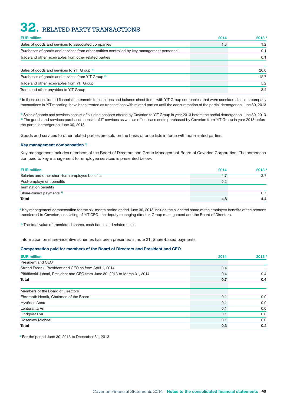# <span id="page-50-0"></span>**32. RELATED PARTY TRANSACTIONS**

| <b>EUR million</b>                                                                         | 2014 | 2013* |
|--------------------------------------------------------------------------------------------|------|-------|
| Sales of goods and services to associated companies                                        | 1.3  | 1.2   |
| Purchases of goods and services from other entities controlled by key management personnel |      | 0.1   |
| Trade and other receivables from other related parties                                     |      | 0.1   |
| Sales of goods and services to YIT Group <sup>1)</sup>                                     |      | 26.0  |
| Purchases of goods and services from YIT Group <sup>2</sup>                                |      | 12.7  |
| Trade and other receivables from YIT Group                                                 |      | 5.2   |
| Trade and other payables to YIT Group                                                      |      | 3.4   |

\* In these consolidated financial statements transactions and balance sheet items with YIT Group companies, that were considered as intercompany transactions in YIT reporting, have been treated as transactions with related parties until the consummation of the partial demerger on June 30, 2013

1) Sales of goods and services consist of building services offered by Caverion to YIT Group in year 2013 before the partial demerger on June 30, 2013. <sup>2)</sup> The goods and services purchased consist of IT services as well as office lease costs purchased by Caverion from YIT Group in year 2013 before the partial demerger on June 30, 2013.

Goods and services to other related parties are sold on the basis of price lists in force with non-related parties.

#### Key management compensation<sup>1)</sup>

Key management includes members of the Board of Directors and Group Management Board of Caverion Corporation. The compensation paid to key management for employee services is presented below:

| <b>EUR million</b>                              | 2014 | 2013* |
|-------------------------------------------------|------|-------|
| Salaries and other short-term employee benefits | 4.7  | 3.7   |
| Post-employment benefits                        | 0.2  |       |
| Termination benefits                            |      |       |
| Share-based payments <sup>1)</sup>              |      | 0.7   |
| <b>Total</b>                                    | 4.8  | 4.4   |

\* Key management compensation for the six-month period ended June 30, 2013 include the allocated share of the employee benefits of the persons transferred to Caverion, consisting of YIT CEO, the deputy managing director, Group management and the Board of Directors.

<sup>1)</sup> The total value of transferred shares, cash bonus and related taxes.

Information on share-incentive schemes has been presented in note 21. Share-based payments.

#### Compensation paid for members of the Board of Directors and President and CEO

| <b>EUR million</b>                                                        | 2014 | $2013*$ |
|---------------------------------------------------------------------------|------|---------|
| President and CEO                                                         |      |         |
| Strand Fredrik, President and CEO as from April 1, 2014                   | 0.4  |         |
| Pitkäkoski Juhani, President and CEO from June 30, 2013 to March 31, 2014 | 0.4  | 0.4     |
| Total                                                                     | 0.7  | 0.4     |
| Members of the Board of Directors                                         |      |         |
| Ehrnrooth Henrik, Chairman of the Board                                   | 0.1  | 0.0     |
| Hyvönen Anna                                                              | 0.1  | 0.0     |
| Lehtoranta Ari                                                            | 0.1  | 0.0     |
| Lindqvist Eva                                                             | 0.1  | 0.0     |
| Rosenlew Michael                                                          | 0.1  | 0.0     |
| Total                                                                     | 0.3  | 0.2     |

\* For the period June 30, 2013 to December 31, 2013.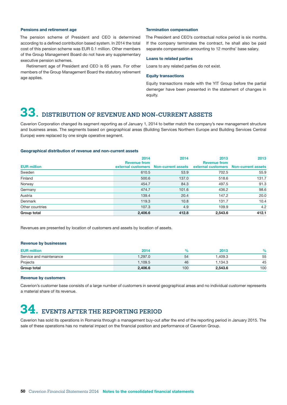#### <span id="page-51-0"></span>Pensions and retirement age

The pension scheme of President and CEO is determined according to a defined contribution based system. In 2014 the total cost of this pension scheme was EUR 0.1 million. Other members of the Group Management Board do not have any supplementary executive pension schemes.

Retirement age of President and CEO is 65 years. For other members of the Group Management Board the statutory retirement age applies.

#### Termination compensation

The President and CEO's contractual notice period is six months. If the company terminates the contract, he shall also be paid separate compensation amounting to 12 months' base salary.

#### Loans to related parties

Loans to any related parties do not exist.

#### Equity transactions

Equity transactions made with the YIT Group before the partial demerger have been presented in the statement of changes in equity.

# **33. DISTRIBUTION OF REVENUE AND NON-CURRENT ASSETS**

Caverion Corporation changed its segment reporting as of January 1, 2014 to better match the company's new management structure and business areas. The segments based on geographical areas (Building Services Northern Europe and Building Services Central Europe) were replaced by one single operative segment.

#### Geographical distribution of revenue and non-current assets

|                    | 2014                | 2014                                  | 2013                                                         | 2013  |
|--------------------|---------------------|---------------------------------------|--------------------------------------------------------------|-------|
| <b>EUR million</b> | <b>Revenue from</b> | external customers Non-current assets | <b>Revenue from</b><br>external customers Non-current assets |       |
| Sweden             | 610.5               | 53.9                                  | 702.5                                                        | 55.9  |
| Finland            | 500.6               | 137.0                                 | 518.6                                                        | 131.7 |
| Norway             | 454.7               | 84.3                                  | 497.5                                                        | 91.3  |
| Germany            | 474.7               | 101.6                                 | 436.2                                                        | 98.6  |
| Austria            | 139.4               | 20.4                                  | 147.2                                                        | 20.0  |
| Denmark            | 119.3               | 10.8                                  | 131.7                                                        | 10.4  |
| Other countries    | 107.3               | 4.9                                   | 109.9                                                        | 4.2   |
| Group total        | 2,406.6             | 412.8                                 | 2,543.6                                                      | 412.1 |

Revenues are presented by location of customers and assets by location of assets.

#### Revenue by businesses

| <b>EUR million</b>      | 2014    |     | 2013    | $\%$ |
|-------------------------|---------|-----|---------|------|
| Service and maintenance | 1.297.0 | 54  | 1.409.3 | 55   |
| Projects                | 1.109.5 | 46  | 1.134.3 | 45   |
| Group total             | 2.406.6 | 100 | 2.543.6 | 100  |

#### Revenue by customers

Caverion's customer base consists of a large number of customers in several geographical areas and no individual customer represents a material share of its revenue.

# **34. EVENTS AFTER THE REPORTING PERIOD**

Caverion has sold its operations in Romania through a management buy-out after the end of the reporting period in January 2015. The sale of these operations has no material impact on the financial position and performance of Caverion Group.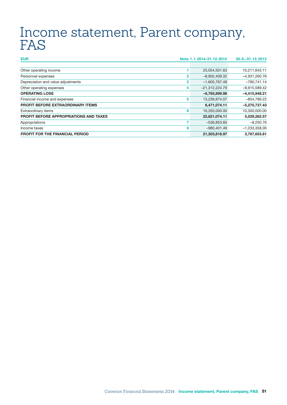# <span id="page-52-0"></span>Income statement, Parent company, FAS

| <b>EUR</b>                                    |   | Note 1.1.2014-31.12.2014 | 30.6 - 31, 12, 2013 |
|-----------------------------------------------|---|--------------------------|---------------------|
|                                               |   |                          |                     |
| Other operating income                        |   | 25,054,501.63            | 10,211,643.11       |
| Personnel expenses                            | 2 | $-8,902,409.32$          | $-4,931,260.76$     |
| Depreciation and value adjustments            | 3 | $-1,605,767.48$          | $-780,741.14$       |
| Other operating expenses                      | 4 | $-21,312,224.79$         | $-8,915,589.42$     |
| <b>OPERATING LOSS</b>                         |   | $-6,765,899.96$          | $-4,415,948.21$     |
| Financial income and expenses                 | 5 | 13,236,974.07            | $-854,789.22$       |
| <b>PROFIT BEFORE EXTRAORDINARY ITEMS</b>      |   | 6,471,074.11             | $-5,270,737.43$     |
| Extraordinary items                           | 6 | 16,350,000.00            | 10,300,000.00       |
| <b>PROFIT BEFORE APPROPRIATIONS AND TAXES</b> |   | 22,821,074.11            | 5,029,262.57        |
| Appropriations                                |   | $-536,853.65$            | $-8,250.76$         |
| Income taxes                                  | 8 | $-980,401.49$            | $-1,233,358.00$     |
| <b>PROFIT FOR THE FINANCIAL PERIOD</b>        |   | 21,303,818.97            | 3,787,653.81        |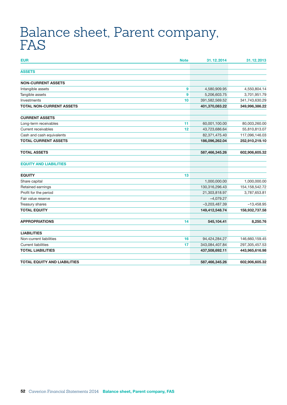# <span id="page-53-0"></span>Balance sheet, Parent company, FAS

| <b>Note</b><br><b>EUR</b>           | 31.12.2014      | 31.12.2013        |
|-------------------------------------|-----------------|-------------------|
| <b>ASSETS</b>                       |                 |                   |
| <b>NON-CURRENT ASSETS</b>           |                 |                   |
| Intangible assets<br>9              | 4,580,909.95    | 4,550,804.14      |
| Tangible assets<br>9                | 5,206,603.75    | 3,701,951.79      |
| Investments<br>10                   | 391,582,569.52  | 341,743,630.29    |
| <b>TOTAL NON-CURRENT ASSETS</b>     | 401,370,083.22  | 349,996,386.22    |
| <b>CURRENT ASSETS</b>               |                 |                   |
| Long-term receivables<br>11         | 60,001,100.00   | 80,003,260.00     |
| Current receivables<br>12           | 43,723,686.64   | 55,810,813.07     |
| Cash and cash equivalents           | 82,371,475.40   | 117,096,146.03    |
| <b>TOTAL CURRENT ASSETS</b>         | 186,096,262.04  | 252,910,219.10    |
| <b>TOTAL ASSETS</b>                 | 587,466,345.26  | 602,906,605.32    |
| <b>EQUITY AND LIABILITIES</b>       |                 |                   |
| <b>EQUITY</b><br>13                 |                 |                   |
| Share capital                       | 1,000,000.00    | 1,000,000.00      |
| Retained earnings                   | 130,316,296.43  | 154, 158, 542. 72 |
| Profit for the period               | 21,303,818.97   | 3,787,653.81      |
| Fair value reserve                  | $-4,079.27$     |                   |
| Treasury shares                     | $-3,203,487.39$ | $-13,458.95$      |
| <b>TOTAL EQUITY</b>                 | 149,412,548.74  | 158,932,737.58    |
| <b>APPROPRIATIONS</b><br>14         | 545,104.41      | 8,250.76          |
| <b>LIABILITIES</b>                  |                 |                   |
| Non-current liabilities<br>16       | 94,424,284.27   | 146,660,159.45    |
| <b>Current liabilities</b><br>17    | 343,084,407.84  | 297,305,457.53    |
| <b>TOTAL LIABILITIES</b>            | 437,508,692.11  | 443,965,616.98    |
| <b>TOTAL EQUITY AND LIABILITIES</b> | 587,466,345.26  | 602,906,605.32    |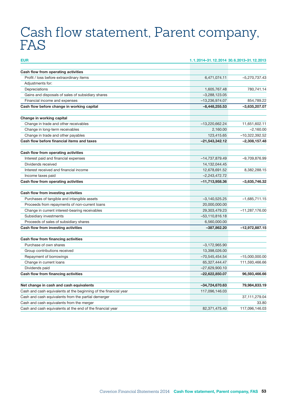# <span id="page-54-0"></span>Cash flow statement, Parent company, FAS

| <b>EUR</b>                                                                         | 1.1.2014-31.12.2014 30.6.2013-31.12.2013 |                  |
|------------------------------------------------------------------------------------|------------------------------------------|------------------|
| Cash flow from operating activities                                                |                                          |                  |
| Profit / loss before extraordinary items                                           | 6,471,074.11                             | -5,270,737.43    |
| Adjustments for:                                                                   |                                          |                  |
| Depreciations                                                                      | 1,605,767.48                             | 780,741.14       |
|                                                                                    |                                          |                  |
| Gains and disposals of sales of subsidiary shares<br>Financial income and expenses | $-3,288,123.05$                          | 854,789.22       |
| Cash flow before change in working capital                                         | -13,236,974.07                           | $-3,635,207.07$  |
|                                                                                    | $-8,448,255.53$                          |                  |
| Change in working capital                                                          |                                          |                  |
| Change in trade and other receivables                                              | $-13,220,662.24$                         | 11,651,602.11    |
| Change in long-term receivables                                                    | 2,160.00                                 | $-2,160.00$      |
| Change in trade and other payables                                                 | 123,415.65                               | $-10,322,392.52$ |
| Cash flow before financial items and taxes                                         | $-21,543,342.12$                         | $-2,308,157.48$  |
| Cash flow from operating activities                                                |                                          |                  |
| Interest paid and financial expenses                                               | $-14,737,879.49$                         | $-9,709,876.99$  |
| Dividends received                                                                 | 14,132,044.45                            |                  |
| Interest received and financial income                                             | 12,678,691.52                            | 8,382,288.15     |
| Income taxes paid                                                                  | $-2,243,472.72$                          |                  |
| Cash flow from operating activities                                                | $-11,713,958.36$                         | $-3,635,746.32$  |
|                                                                                    |                                          |                  |
| Cash flow from investing activities                                                |                                          |                  |
| Purchases of tangible and intangible assets                                        | $-3,140,525.25$                          | $-1,685,711.15$  |
| Proceeds from repayments of non-current loans                                      | 20,000,000.00                            |                  |
| Change in current interest-bearing receivables                                     | 29,303,479.23                            | $-11,287,176.00$ |
| Subsidiary investments                                                             | $-53,110,816.18$                         |                  |
| Proceeds of sales of subsidiary shares                                             | 6,560,000.00                             |                  |
| Cash flow from investing activities                                                | $-387,862.20$                            | $-12,972,887.15$ |
| Cash flow from financing activities                                                |                                          |                  |
| Purchase of own shares                                                             | $-3,172,965.90$                          |                  |
| Group contributions received                                                       | 13,398,026.00                            |                  |
| Repayment of borrowings                                                            | $-70,545,454.54$                         | $-15,000,000.00$ |
| Change in current loans                                                            | 65,327,444.47                            | 111.593.466.66   |
| Dividends paid                                                                     | $-27,629,900.10$                         |                  |
| Cash flow from financing activities                                                | $-22,622,850.07$                         | 96,593,466.66    |
|                                                                                    |                                          |                  |
| Net change in cash and cash equivalents                                            | -34,724,670.63                           | 79,984,833.19    |
| Cash and cash equivalents at the beginning of the financial year                   | 117,096,146.03                           |                  |
| Cash and cash equivalents from the partial demerger                                |                                          | 37, 111, 279.04  |
| Cash and cash equivalents from the merger                                          |                                          | 33.80            |
| Cash and cash equivalents at the end of the financial year                         | 82,371,475.40                            | 117,096,146.03   |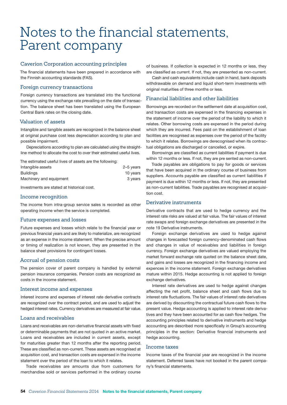# <span id="page-55-0"></span>Notes to the financial statements, Parent company

### Caverion Corporation accounting principles

The financial statements have been prepared in accordance with the Finnish accounting standards (FAS).

#### Foreign currency transactions

Foreign currency transactions are translated into the functional currency using the exchange rate prevailing on the date of transaction. The balance sheet has been translated using the European Central Bank rates on the closing date.

#### Valuation of assets

Intangible and tangible assets are recognized in the balance sheet at original purchase cost less depreciation according to plan and possible impairment.

Depreciations according to plan are calculated using the straightline method to allocate the cost to over their estimated useful lives.

The estimated useful lives of assets are the following:

| Intangible assets       | 2-5 years |
|-------------------------|-----------|
| <b>Buildings</b>        | 10 years  |
| Machinery and equipment | 3 years   |

Investments are stated at historical cost.

#### Income recognition

The income from intra-group service sales is recorded as other operating income when the service is completed.

### Future expenses and losses

Future expenses and losses which relate to the financial year or previous financial years and are likely to materialize, are recognized as an expense in the income statement. When the precise amount or timing of realization is not known, they are presented in the balance sheet provisions for contingent losses.

### Accrual of pension costs

The pension cover of parent company is handled by external pension insurance companies. Pension costs are recognized as costs in the income statement.

### Interest income and expenses

Interest income and expenses of interest rate derivative contracts are recognized over the contract period, and are used to adjust the hedged interest rates. Currency derivatives are measured at fair value.

### Loans and receivables

Loans and receivables are non-derivative financial assets with fixed or determinable payments that are not quoted in an active market. Loans and receivables are included in current assets, except for maturities greater than 12 months after the reporting period. These are classified as non-current. These assets are recognised at acquisition cost, and transaction costs are expensed in the income statement over the period of the loan to which it relates.

Trade receivables are amounts due from customers for merchandise sold or services performed in the ordinary course

of business. If collection is expected in 12 months or less, they are classified as current. If not, they are presented as non-current.

Cash and cash equivalents include cash in hand, bank deposits withdrawable on demand and liquid short-term investments with original maturities of three months or less.

### Financial liabilities and other liabilities

Borrowings are recorded on the settlement date at acquisition cost, and transaction costs are expensed in the financing expenses in the statement of income over the period of the liability to which it relates. Other borrowing costs are expensed in the period during which they are incurred. Fees paid on the establishment of loan facilities are recognised as expenses over the period of the facility to which it relates. Borrowings are derecognised when its contractual obligations are discharged or cancelled, or expire.

Borrowings are classified as current liabilities if payment is due within 12 months or less. If not, they are pre sented as non-current.

Trade payables are obligations to pay for goods or services that have been acquired in the ordinary course of business from suppliers. Accounts payable are classified as current liabilities if payment is due within 12 months or less. If not, they are presented as non-current liabilities. Trade payables are recognised at acquisition cost.

#### Derivative instruments

Derivative contracts that are used to hedge currency and the interest rate risks are valued at fair value. The fair values of interest rate swaps and foreign exchange derivatives are presented in the note 19 Derivative instruments.

Foreign exchange derivatives are used to hedge against changes in forecasted foreign currency-denominated cash flows and changes in value of receivables and liabilities in foreign currency. Foreign exchange derivatives are valued employing the market forward exchange rate quoted on the balance sheet date, and gains and losses are recognized in the financing income and expences in the income statement. Foreign exchange derivatives mature within 2015. Hedge accounting is not applied to foreign exchange derivatives.

Interest rate derivatives are used to hedge against changes affecting the net profit, balance sheet and cash flows due to interest rate fluctuations. The fair values of interest rate derivatives are derived by discounting the contractual future cash flows to the present value. Hedge accounting is applied to interest rate derivatives and they have been accounted for as cash flow hedges. The accounting principles related to derivative instruments and hedge accounting are described more specifically in Group's accounting principles in the section: Derivative financial instruments and hedge accounting.

#### Income taxes

Income taxes of the financial year are recognized in the income statement. Deferred taxes have not booked in the parent company's financial statements.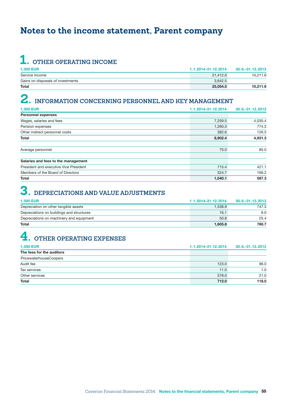## <span id="page-56-0"></span>**Notes to the income statement, Parent company**

# **1. OTHER OPERATING INCOME**

| <b>1.000 EUR</b>                  | 1.1.2014-31.12.2014 | 30.6. - 31.12.2013 |
|-----------------------------------|---------------------|--------------------|
| Service income                    | 21.412.0            | 10,211.6           |
| Gains on disposals of investments | 3.642.5             |                    |
| <b>Total</b>                      | 25.054.5            | 10,211.6           |

# **2. INFORMATION CONCERNING PERSONNEL AND KEY MANAGEMENT**

| <b>1,000 EUR</b>                       | 1.1.2014-31.12.2014 | 30.6. - 31.12.2013 |
|----------------------------------------|---------------------|--------------------|
| <b>Personnel expenses</b>              |                     |                    |
| Wages, salaries and fees               | 7,259.5             | 4,030.4            |
| Pension expenses                       | 1,260.3             | 774.3              |
| Other indirect personnel costs         | 382.6               | 126.5              |
| <b>Total</b>                           | 8,902.4             | 4,931.3            |
|                                        |                     |                    |
| Average personnel                      | 70.0                | 85.0               |
| Salaries and fees to the management    |                     |                    |
| President and executive Vice President | 715.4               | 421.1              |
| Members of the Board of Directors      | 324.7               | 166.2              |
| <b>Total</b>                           | 1,040.1             | 587.3              |

# **3. DEPRECIATIONS AND VALUE ADJUSTMENTS**

| <b>1.000 EUR</b>                          | 1.1.2014-31.12.2014 | 30.6. - 31.12.2013 |
|-------------------------------------------|---------------------|--------------------|
| Depreciation on other tangible assets     | 1,538.9             | 747.3              |
| Depreciations on buildings and structures | 16.1                | 8.0                |
| Depreciations on machinery and equipment  | 50.8                | 25.4               |
| Total                                     | 1.605.8             | 780.7              |

# **4. OTHER OPERATING EXPENSES**

| <b>1,000 EUR</b>              | 1.1.2014-31.12.2014 | 30.6. - 31.12.2013 |
|-------------------------------|---------------------|--------------------|
| The fees for the auditors     |                     |                    |
| <b>PricewaterhouseCoopers</b> |                     |                    |
| Audit fee                     | 123.0               | 96.0               |
| Tax services                  | 11.0                | 1.0                |
| Other services                | 578.0               | 21.0               |
| <b>Total</b>                  | 712.0               | 118.0              |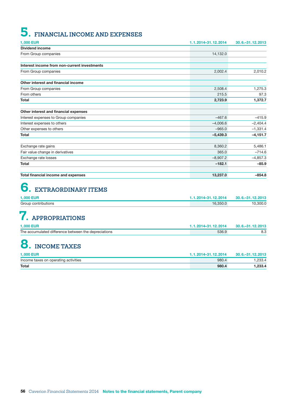# <span id="page-57-0"></span>**5. FINANCIAL INCOME AND EXPENSES**

| <b>1,000 EUR</b>                             | 1.1.2014-31.12.2014 | 30.6. - 31.12.2013 |
|----------------------------------------------|---------------------|--------------------|
| <b>Dividend income</b>                       |                     |                    |
| From Group companies                         | 14,132.0            |                    |
|                                              |                     |                    |
| Interest income from non-current investments |                     |                    |
| From Group companies                         | 2,002.4             | 2,010.2            |
| Other interest and financial income          |                     |                    |
| From Group companies                         | 2,508.4             | 1,275.3            |
| From others                                  | 215.5               | 97.3               |
| <b>Total</b>                                 | 2,723.9             | 1,372.7            |
| Other interest and financial expenses        |                     |                    |
| Interest expenses to Group companies         | $-467.6$            | $-415.9$           |
| Interest expenses to others                  | $-4,006.6$          | $-2,404.4$         |
| Other expenses to others                     | $-965.0$            | $-1,331.4$         |
| <b>Total</b>                                 | $-5,439.3$          | $-4, 151.7$        |
| Exchange rate gains                          | 8,360.2             | 5,486.1            |
| Fair value change in derivatives             | 365.0               | $-714.6$           |
| Exchange rate losses                         | $-8,907.2$          | $-4,857.3$         |
| <b>Total</b>                                 | $-182.1$            | $-85.9$            |
| Total financial income and expenses          | 13,237.0            | $-854.8$           |

# **6. EXTRAORDINARY ITEMS**

| <b>1.000 EUR</b>    | 1.2014-31.12.2014 | 30.6 - 31, 12, 2013 |
|---------------------|-------------------|---------------------|
| Group contributions |                   | .300C               |

# **7. APPROPRIATIONS**

| <b>1,000 EUR</b>                                     | 1.1.2014-31.12.2014 | 30.6. - 31.12.2013 |
|------------------------------------------------------|---------------------|--------------------|
| The accumulated difference between the depreciations | 536.9               |                    |

# **8. INCOME TAXES**

| <b>1.000 EUR</b>                     | 1.1.2014-31.12.2014 | $30.6 - 31.12.2013$ |
|--------------------------------------|---------------------|---------------------|
| Income taxes on operating activities | 980.4               | .233.4              |
| <b>Total</b>                         | 980.4               | .233.4              |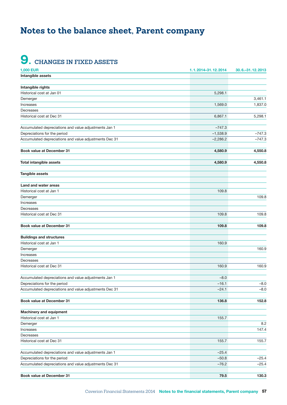## <span id="page-58-0"></span>**Notes to the balance sheet, Parent company**

# **9. CHANGES IN FIXED ASSETS**

| <b>1,000 EUR</b>                                       | 1.1.2014-31.12.2014 | 30.6. - 31.12.2013 |
|--------------------------------------------------------|---------------------|--------------------|
| Intangible assets                                      |                     |                    |
|                                                        |                     |                    |
| Intangible rights                                      |                     |                    |
| Historical cost at Jan 01                              | 5,298.1             |                    |
| Demerger                                               |                     | 3,461.1            |
| Increases                                              | 1,569.0             | 1,837.0            |
| Decreases                                              |                     |                    |
| Historical cost at Dec 31                              | 6,867.1             | 5,298.1            |
|                                                        |                     |                    |
| Accumulated depreciations and value adjustments Jan 1  | $-747.3$            |                    |
| Depreciations for the period                           | $-1,538.9$          | $-747.3$           |
| Accumulated depreciations and value adjustments Dec 31 | $-2,286.2$          | $-747.3$           |
|                                                        |                     |                    |
| <b>Book value at December 31</b>                       | 4,580.9             | 4,550.8            |
|                                                        |                     |                    |
| <b>Total intangible assets</b>                         | 4,580.9             | 4,550.8            |
|                                                        |                     |                    |
| Tangible assets                                        |                     |                    |
|                                                        |                     |                    |
| Land and water areas                                   |                     |                    |
| Historical cost at Jan 1                               | 109.8               |                    |
| Demerger                                               |                     | 109.8              |
| Increases                                              |                     |                    |
| Decreases                                              |                     |                    |
| Historical cost at Dec 31                              | 109.8               | 109.8              |
|                                                        |                     |                    |
| <b>Book value at December 31</b>                       | 109.8               | 109.8              |
|                                                        |                     |                    |
| <b>Buildings and structures</b>                        |                     |                    |
| Historical cost at Jan 1                               | 160.9               |                    |
| Demerger                                               |                     | 160.9              |
| Increases                                              |                     |                    |
| Decreases                                              |                     |                    |
| Historical cost at Dec 31                              | 160.9               | 160.9              |
|                                                        |                     |                    |
| Accumulated depreciations and value adjustments Jan 1  | $-8.0$              |                    |
| Depreciations for the period                           | $-16.1$             | $-8.0$             |
| Accumulated depreciations and value adjustments Dec 31 | -24.1               | $-8.0$             |
|                                                        |                     |                    |
| <b>Book value at December 31</b>                       | 136.8               | 152.8              |
|                                                        |                     |                    |
| Machinery and equipment                                |                     |                    |
| Historical cost at Jan 1                               | 155.7               |                    |
| Demerger                                               |                     | 8.2                |
| Increases                                              |                     | 147.4              |
| Decreases                                              |                     |                    |
| Historical cost at Dec 31                              | 155.7               | 155.7              |
|                                                        |                     |                    |
| Accumulated depreciations and value adjustments Jan 1  | $-25.4$             |                    |
| Depreciations for the period                           | $-50.8$             | $-25.4$            |
| Accumulated depreciations and value adjustments Dec 31 | $-76.2$             | $-25.4$            |
|                                                        |                     |                    |
| Book value at December 31                              | 79.5                | 130.3              |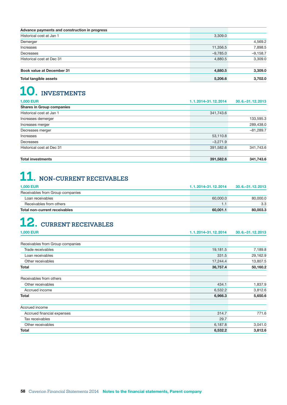<span id="page-59-0"></span>

| Advance payments and construction in progress |            |            |
|-----------------------------------------------|------------|------------|
| Historical cost at Jan 1                      | 3,309.0    |            |
| Demerger                                      |            | 4,569.2    |
| Increases                                     | 11,356.5   | 7,898.5    |
| Decreases                                     | $-9,785.0$ | $-9,158.7$ |
| Historical cost at Dec 31                     | 4,880.5    | 3,309.0    |
| <b>Book value at December 31</b>              | 4,880.5    | 3,309.0    |
| Total tangible assets                         | 5,206.6    | 3,702.0    |

# **10. INVESTMENTS**

| <b>1,000 EUR</b>                 | 1.1.2014-31.12.2014 | 30.6. - 31.12.2013 |
|----------------------------------|---------------------|--------------------|
| <b>Shares in Group companies</b> |                     |                    |
| Historical cost at Jan 1         | 341,743.6           |                    |
| Increases demerger               |                     | 133,595.3          |
| Increases merger                 |                     | 289,438.0          |
| Decreases merger                 |                     | $-81,289.7$        |
| Increases                        | 53,110.8            |                    |
| Decreases                        | $-3,271.9$          |                    |
| Historical cost at Dec 31        | 391,582.6           | 341,743.6          |
| <b>Total investments</b>         | 391,582.6           | 341,743.6          |

# **11. NON-CURRENT RECEIVABLES**

| <b>1.000 EUR</b>                     | 1.1.2014-31.12.2014 | 30.6. - 31.12.2013 |
|--------------------------------------|---------------------|--------------------|
| Receivables from Group companies     |                     |                    |
| Loan receivables                     | 60.000.0            | 80.000.0           |
| Receivables from others              |                     | 3.3                |
| <b>Total non-current receivables</b> | 60,001.1            | 80,003.3           |

# **12. CURRENT RECEIVABLES**

| <b>1,000 EUR</b>                 | 1.1.2014-31.12.2014 | 30.6. - 31.12.2013 |
|----------------------------------|---------------------|--------------------|
|                                  |                     |                    |
| Receivables from Group companies |                     |                    |
| Trade receivables                | 19,181.5            | 7,189.8            |
| Loan receivables                 | 331.5               | 29,162.9           |
| Other receivables                | 17,244.4            | 13,807.5           |
| Total                            | 36,757.4            | 50,160.2           |
| Receivables from others          |                     |                    |
| Other receivables                | 434.1               | 1,837.9            |
| Accrued income                   | 6,532.2             | 3,812.6            |
| Total                            | 6,966.3             | 5,650.6            |
| Accrued income                   |                     |                    |
| Accrued financial expenses       | 314.7               | 771.6              |
| Tax receivables                  | 29.7                |                    |
| Other receivables                | 6,187.8             | 3,041.0            |
| Total                            | 6,532.2             | 3,812.6            |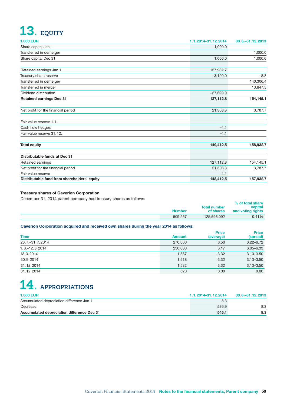# <span id="page-60-0"></span>**13. EQUITY**

| <b>1,000 EUR</b>                             | 1.1.2014-31.12.2014 | 30.6. - 31.12.2013 |
|----------------------------------------------|---------------------|--------------------|
| Share capital Jan 1                          | 1,000.0             |                    |
| Transferred in demerger                      |                     | 1,000.0            |
| Share capital Dec 31                         | 1,000.0             | 1,000.0            |
| Retained earnings Jan 1                      | 157,932.7           |                    |
| Treasury share reserve                       | $-3,190.0$          | $-8.8$             |
| Transferred in demerger                      |                     | 140,306.4          |
| Transferred in merger                        |                     | 13,847.5           |
| Dividend distribution                        | $-27,629.9$         |                    |
| <b>Retained earnings Dec 31</b>              | 127,112.8           | 154,145.1          |
| Net profit for the financial period          | 21,303.8            | 3,787.7            |
| Fair value reserve 1.1.                      |                     |                    |
| Cash flow hedges                             | $-4.1$              |                    |
| Fair value reserve 31.12.                    | $-4.1$              |                    |
| <b>Total equity</b>                          | 149,412.5           | 158,932.7          |
| Distributable funds at Dec 31                |                     |                    |
| Retained earnings                            | 127,112.8           | 154,145.1          |
| Net profit for the financial period          | 21,303.8            | 3,787.7            |
| Fair value reserve                           | $-4.1$              |                    |
| Distributable fund from shareholders' equity | 148,412.5           | 157,932.7          |

### Treasury shares of Caverion Corporation

December 31, 2014 parent company had treasury shares as follows:

|               | <b>Total number</b> | % of total share<br>capital |
|---------------|---------------------|-----------------------------|
| <b>Number</b> | of shares           | and voting rights           |
| 509.257       | 125.596.092         | 0.41%                       |

### Caverion Corporation acquired and received own shares during the year 2014 as follows:

| <b>Time</b>       | <b>Amount</b> | <b>Price</b><br>(average) | <b>Price</b><br>(spread) |
|-------------------|---------------|---------------------------|--------------------------|
| 23.7. - 31.7.2014 | 270,000       | 6.50                      | $6.22 - 6.72$            |
| $1.8 - 12.82014$  | 230,000       | 6.17                      | $6.05 - 6.39$            |
| 13.3.2014         | 1,557         | 3.32                      | $3.13 - 3.50$            |
| 30.9.2014         | 1,518         | 3.32                      | $3.13 - 3.50$            |
| 31.12.2014        | 1,582         | 3.32                      | $3.13 - 3.50$            |
| 31.12.2014        | 520           | 0.00                      | 0.00                     |

# **14. APPROPRIATIONS**

| <b>1.000 EUR</b>                           | 1.1.2014-31.12.2014 | 30.6. - 31.12.2013 |
|--------------------------------------------|---------------------|--------------------|
| Accumulated depreciation difference Jan 1  | 8.3                 |                    |
| Decrease                                   | 536.9               |                    |
| Accumulated depreciation difference Dec 31 | 545.1               | 8.3                |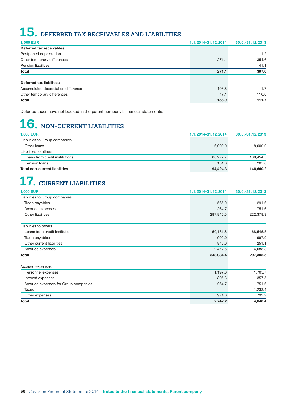# <span id="page-61-0"></span>**15. DEFERRED TAX RECEIVABLES AND LIABILITIES**

| <b>1,000 EUR</b>                    | 1.1.2014-31.12.2014 | 30.6 - 31, 12, 2013 |
|-------------------------------------|---------------------|---------------------|
| Deferred tax receivables            |                     |                     |
| Postponed depreciation              |                     | 1.2                 |
| Other temporary differences         | 271.1               | 354.6               |
| Pension liabilities                 |                     | 41.1                |
| <b>Total</b>                        | 271.1               | 397.0               |
| <b>Deferred tax liabilities</b>     |                     |                     |
| Accumulated depreciation difference | 108.8               | 1.7                 |
| Other temporary differences         | 47.1                | 110.0               |
| <b>Total</b>                        | 155.9               | 111.7               |

Deferred taxes have not booked in the parent company's financial statements.

# **16. NON-CURRENT LIABILITIES**

| <b>1.000 EUR</b>                     | 1.1.2014-31.12.2014 | $30.6 - 31.12 2013$ |
|--------------------------------------|---------------------|---------------------|
| Liabilities to Group companies       |                     |                     |
| Other loans                          | 6,000.0             | 8.000.0             |
| Liabilities to others                |                     |                     |
| Loans from credit institutions       | 88.272.7            | 138.454.5           |
| Pension loans                        | 151.6               | 205.6               |
| <b>Total non-current liabilities</b> | 94,424.3            | 146,660.2           |

# **17. CURRENT LIABILITIES**

| <b>1,000 EUR</b>                     | 1.1.2014-31.12.2014 | 30.6. - 31.12.2013 |
|--------------------------------------|---------------------|--------------------|
| Liabilities to Group companies       |                     |                    |
| Trade payables                       | 565.9               | 291.6              |
| Accrued expenses                     | 264.7               | 751.6              |
| Other liabilities                    | 287,846.5           | 222,378.9          |
| Liabilities to others                |                     |                    |
| Loans from credit institutions       | 50,181.8            | 68,545.5           |
| Trade payables                       | 902.0               | 997.9              |
| Other current liabilities            | 846.0               | 251.1              |
| Accrued expenses                     | 2,477.5             | 4,088.8            |
| Total                                | 343,084.4           | 297,305.5          |
| Accrued expenses                     |                     |                    |
| Personnel expenses                   | 1,197.6             | 1,705.7            |
| Interest expenses                    | 305.3               | 357.5              |
| Accrued expenses for Group companies | 264.7               | 751.6              |
| Taxes                                |                     | 1,233.4            |
| Other expenses                       | 974.6               | 792.2              |
| <b>Total</b>                         | 2,742.2             | 4,840.4            |
|                                      |                     |                    |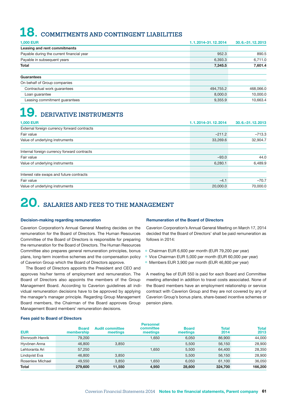# <span id="page-62-0"></span>**18. COMMITMENTS AND CONTINGENT LIABILITIES**

| <b>1,000 EUR</b>                          | 1.1.2014-31.12.2014 | 30.6 - 31, 12, 2013 |
|-------------------------------------------|---------------------|---------------------|
| Leasing and rent commitments              |                     |                     |
| Payable during the current financial year | 952.3               | 890.5               |
| Payable in subsequent years               | 6,393.3             | 6,711.0             |
| <b>Total</b>                              | 7,345.5             | 7,601.4             |
| Guarantees                                |                     |                     |
| On behalf of Group companies              |                     |                     |
| Contractual work guarantees               | 494,755.2           | 468,066.0           |
| Loan guarantee                            | 8,000.0             | 10,000.0            |
| Leasing commitment quarantees             | 9,355.9             | 10,663.4            |

# **19. DERIVATIVE INSTRUMENTS**

| <b>1,000 EUR</b>                            | 1.1.2014-31.12.2014 | 30.6. - 31.12.2013 |
|---------------------------------------------|---------------------|--------------------|
| External foreign currency forward contracts |                     |                    |
| Fair value                                  | $-211.2$            | $-713.3$           |
| Value of underlying instruments             | 33,269.6            | 32,904.7           |
| Internal foreign currency forward contracts |                     |                    |
| Fair value                                  | $-93.0$             | 44.0               |
| Value of underlying instruments             | 6,280.1             | 6,489.9            |
| Interest rate swaps and future contracts    |                     |                    |
| Fair value                                  | $-4.1$              | $-70.7$            |
| Value of underlying instruments             | 20,000.0            | 70.000.0           |

# **20. SALARIES AND FEES TO THE MANAGEMENT**

#### Decision-making regarding remuneration

Caverion Corporation's Annual General Meeting decides on the remuneration for the Board of Directors. The Human Resources Committee of the Board of Directors is responsible for preparing the remuneration for the Board of Directors. The Human Resources Committee also prepares general remuneration principles, bonus plans, long-term incentive schemes and the compensation policy of Caverion Group which the Board of Directors approve.

The Board of Directors appoints the President and CEO and approves his/her terms of employment and remuneration. The Board of Directors also appoints the members of the Group Management Board. According to Caverion guidelines all individual remuneration decisions have to be approved by applying the manager's manager principle. Regarding Group Management Board members, the Chairman of the Board approves Group Management Board members' remuneration decisions.

#### Remuneration of the Board of Directors

Caverion Corporation's Annual General Meeting on March 17, 2014 decided that the Board of Directors' shall be paid remuneration as follows in 2014:

- ° Chairman EUR 6,600 per month (EUR 79,200 per year)
- ° Vice Chairman EUR 5,000 per month (EUR 60,000 per year)
- ° Members EUR 3,900 per month (EUR 46,800 per year)

A meeting fee of EUR 550 is paid for each Board and Committee meeting attended in addition to travel costs associated. None of the Board members have an employment relationship or service contract with Caverion Group and they are not covered by any of Caverion Group's bonus plans, share-based incentive schemes or pension plans.

#### Fees paid to Board of Directors

| <b>EUR</b>       | <b>Board</b><br>membership | <b>Audit committee</b><br>meetings | <b>Personnel</b><br>committee<br>meetings | <b>Board</b><br>meetings | <b>Total</b><br>2014 | <b>Total</b><br>2013 |
|------------------|----------------------------|------------------------------------|-------------------------------------------|--------------------------|----------------------|----------------------|
| Ehrnrooth Henrik | 79,200                     |                                    | 1.650                                     | 6.050                    | 86,900               | 44,000               |
| Hyvönen Anna     | 46,800                     | 3.850                              |                                           | 5.500                    | 56.150               | 28,900               |
| Lehtoranta Ari   | 57.250                     |                                    | 1.650                                     | 5.500                    | 64,400               | 28,350               |
| Lindqvist Eva    | 46,800                     | 3.850                              |                                           | 5.500                    | 56,150               | 28,900               |
| Rosenlew Michael | 49.550                     | 3.850                              | 1.650                                     | 6.050                    | 61,100               | 36,050               |
| <b>Total</b>     | 279,600                    | 11.550                             | 4,950                                     | 28,600                   | 324,700              | 166,200              |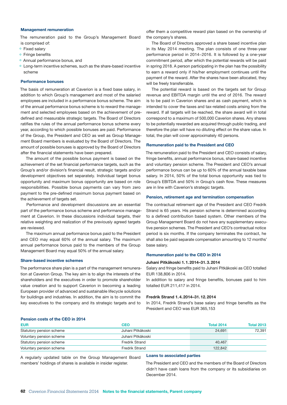#### Management remuneration

The remuneration paid to the Group's Management Board is comprised of:

° Fixed salary

- ° Fringe benefits
- ° Annual performance bonus, and
- ° Long-term incentive schemes, such as the share-based incentive scheme

#### Performance bonuses

The basis of remuneration at Caverion is a fixed base salary, in addition to which Group's management and most of the salaried employees are included in a performance bonus scheme. The aim of the annual performance bonus scheme is to reward the management and selected employees based on the achievement of predefined and measurable strategic targets. The Board of Directors ratifies the rules of the annual performance bonus scheme every year, according to which possible bonuses are paid. Performance of the Group, the President and CEO as well as Group Management Board members is evaluated by the Board of Directors. The amount of possible bonuses is approved by the Board of Directors after the financial statements have been prepared.

The amount of the possible bonus payment is based on the achievement of the set financial performance targets, such as the Group's and/or division's financial result, strategic targets and/or development objectives set separately. Individual target bonus opportunity and maximum bonus opportunity are based on role responsibilities. Possible bonus payments can vary from zero payment to the pre-defined maximum bonus payment based on the achievement of targets set.

Performance and development discussions are an essential part of the performance bonus scheme and performance management at Caverion. In these discussions individual targets, their relative weighting and realization of the previously agreed targets are reviewed.

The maximum annual performance bonus paid to the President and CEO may equal 60% of the annual salary. The maximum annual performance bonus paid to the members of the Group Management Board may equal 50% of the annual salary.

#### Share-based incentive schemes

The performance share plan is a part of the management remuneration at Caverion Group. The key aim is to align the interests of the shareholders and the executives in order to promote shareholder value creation and to support Caverion in becoming a leading European provider of advanced and sustainable lifecycle solutions for buildings and industries. In addition, the aim is to commit the key executives to the company and its strategic targets and to

offer them a competitive reward plan based on the ownership of the company's shares.

The Board of Directors approved a share based incentive plan in its May 2014 meeting. The plan consists of one three-year performance period in 2014−2016. It is followed by a one-year commitment period, after which the potential rewards will be paid in spring 2018. A person participating in the plan has the possibility to earn a reward only if his/her employment continues until the payment of the reward. After the shares have been allocated, they will be freely transferrable.

The potential reward is based on the targets set for Group revenue and EBITDA margin until the end of 2016. The reward is to be paid in Caverion shares and as cash payment, which is intended to cover the taxes and tax-related costs arising from the reward. If all targets will be reached, the share award will in total correspond to a maximum of 500,000 Caverion shares. Any shares to be potentially rewarded are acquired through public trading, and therefore the plan will have no diluting effect on the share value. In total, the plan will cover approximately 40 persons.

#### Remuneration paid to the President and CEO

The remuneration paid to the President and CEO consists of salary, fringe benefits, annual performance bonus, share-based incentive and voluntary pension scheme. The President and CEO's annual performance bonus can be up to 60% of the annual taxable base salary. In 2014, 50% of the total bonus opportunity was tied to Group's EBITDA and 50% in Group's cash flow. These measures are in line with Caverion's strategic targets.

#### Pension, retirement age and termination compensation

The contractual retirement age of the President and CEO Fredrik Strand is 65 years. His pension scheme is determined according to a defined contribution based system. Other members of the Group Management Board do not have any supplementary executive pension schemes. The President and CEO's contractual notice period is six months. If the company terminates the contract, he shall also be paid separate compensation amounting to 12 months' base salary.

#### Remuneration paid to the CEO in 2014

#### Juhani Pitkäkoski 1.1.2014–31.3.2014

Salary and fringe benefits paid to Juhani Pitkäkoski as CEO totalled EUR 138,806 in 2014.

In addition to salary and fringe benefits, bonuses paid to him totalled EUR 211,417 in 2014.

#### Fredrik Strand 1.4.2014–31.12.2014

In 2014, Fredrik Strand's base salary and fringe benefits as the President and CEO was EUR 365,153

### Pension costs of the CEO in 2014

| <b>EUR</b>               | <b>CEO</b>            | <b>Total 2014</b> | <b>Total 2013</b> |
|--------------------------|-----------------------|-------------------|-------------------|
| Statutory pension scheme | Juhani Pitkäkoski     | 24.691            | 72.391            |
| Voluntary pension scheme | Juhani Pitkäkoski     |                   |                   |
| Statutory pension scheme | <b>Fredrik Strand</b> | 40.467            |                   |
| Voluntary pension scheme | <b>Fredrik Strand</b> | 122.842           |                   |

A regularly updated table on the Group Management Board members' holdings of shares is available in insider register.

#### Loans to associated parties

The President and CEO and the members of the Board of Directors didn't have cash loans from the company or its subsidiaries on December 2014.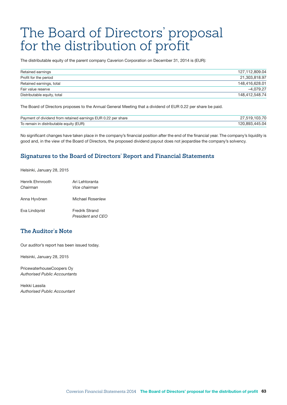# <span id="page-64-0"></span>The Board of Directors' proposal for the distribution of profit

The distributable equity of the parent company Caverion Corporation on December 31, 2014 is (EUR):

| Retained earnings           | 127.112.809.04 |
|-----------------------------|----------------|
| Profit for the period       | 21.303.818.97  |
| Retained earnings, total    | 148.416.628.01 |
| Fair value reserve          | $-4.079.27$    |
| Distributable equity, total | 148.412.548.74 |

The Board of Directors proposes to the Annual General Meeting that a dividend of EUR 0.22 per share be paid.

| Payment of dividend from retained earnings EUR 0.22 per share |                        |
|---------------------------------------------------------------|------------------------|
| To remain in distributable equity (EUR)                       | 445.04.ر<br><b>RO3</b> |

No significant changes have taken place in the company's financial position after the end of the financial year. The company's liquidity is good and, in the view of the Board of Directors, the proposed dividend payout does not jeopardise the company's solvency.

## **Signatures to the Board of Directors' Report and Financial Statements**

Helsinki, January 28, 2015

| Henrik Fhrnrooth | Ari Lehtoranta                             |
|------------------|--------------------------------------------|
| Chairman         | Vice chairman                              |
| Anna Hyvönen     | Michael Rosenlew                           |
| Eva Lindqvist    | <b>Fredrik Strand</b><br>President and CEO |

## **The Auditor's Note**

Our auditor's report has been issued today.

Helsinki, January 28, 2015

PricewaterhouseCoopers Oy *Authorised Public Accountants*

Heikki Lassila *Authorised Public Accountant*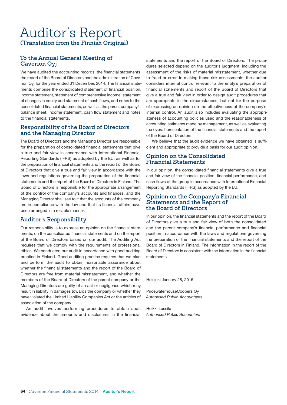## <span id="page-65-0"></span>Auditor's Report **(Translation from the Finnish Original)**

## **To the Annual General Meeting of Caverion Oyj**

We have audited the accounting records, the financial statements, the report of the Board of Directors and the administration of Caverion Oyj for the year ended 31 December, 2014. The financial statements comprise the consolidated statement of financial position, income statement, statement of comprehensive income, statement of changes in equity and statement of cash flows, and notes to the consolidated financial statements, as well as the parent company's balance sheet, income statement, cash flow statement and notes to the financial statements.

## **Responsibility of the Board of Directors and the Managing Director**

The Board of Directors and the Managing Director are responsible for the preparation of consolidated financial statements that give a true and fair view in accordance with International Financial Reporting Standards (IFRS) as adopted by the EU, as well as for the preparation of financial statements and the report of the Board of Directors that give a true and fair view in accordance with the laws and regulations governing the preparation of the financial statements and the report of the Board of Directors in Finland. The Board of Directors is responsible for the appropriate arrangement of the control of the company's accounts and finances, and the Managing Director shall see to it that the accounts of the company are in compliance with the law and that its financial affairs have been arranged in a reliable manner.

## **Auditor's Responsibility**

Our responsibility is to express an opinion on the financial statements, on the consolidated financial statements and on the report of the Board of Directors based on our audit. The Auditing Act requires that we comply with the requirements of professional ethics. We conducted our audit in accordance with good auditing practice in Finland. Good auditing practice requires that we plan and perform the audit to obtain reasonable assurance about whether the financial statements and the report of the Board of Directors are free from material misstatement, and whether the members of the Board of Directors of the parent company or the Managing Directors are guilty of an act or negligence which may result in liability in damages towards the company or whether they have violated the Limited Liability Companies Act or the articles of association of the company.

An audit involves performing procedures to obtain audit evidence about the amounts and disclosures in the financial

statements and the report of the Board of Directors. The procedures selected depend on the auditor's judgment, including the assessment of the risks of material misstatement, whether due to fraud or error. In making those risk assessments, the auditor considers internal control relevant to the entity's preparation of financial statements and report of the Board of Directors that give a true and fair view in order to design audit procedures that are appropriate in the circumstances, but not for the purpose of expressing an opinion on the effectiveness of the company's internal control. An audit also includes evaluating the appropriateness of accounting policies used and the reasonableness of accounting estimates made by management, as well as evaluating the overall presentation of the financial statements and the report of the Board of Directors.

We believe that the audit evidence we have obtained is sufficient and appropriate to provide a basis for our audit opinion.

## **Opinion on the Consolidated Financial Statements**

In our opinion, the consolidated financial statements give a true and fair view of the financial position, financial performance, and cash flows of the group in accordance with International Financial Reporting Standards (IFRS) as adopted by the EU.

## **Opinion on the Company's Financial Statements and the Report of the Board of Directors**

In our opinion, the financial statements and the report of the Board of Directors give a true and fair view of both the consolidated and the parent company's financial performance and financial position in accordance with the laws and regulations governing the preparation of the financial statements and the report of the Board of Directors in Finland. The information in the report of the Board of Directors is consistent with the information in the financial statements.

Helsinki January 28, 2015

PricewaterhouseCoopers Oy *Authorised Public Accountants*

Heikki Lassila *Authorised Public Accountant*